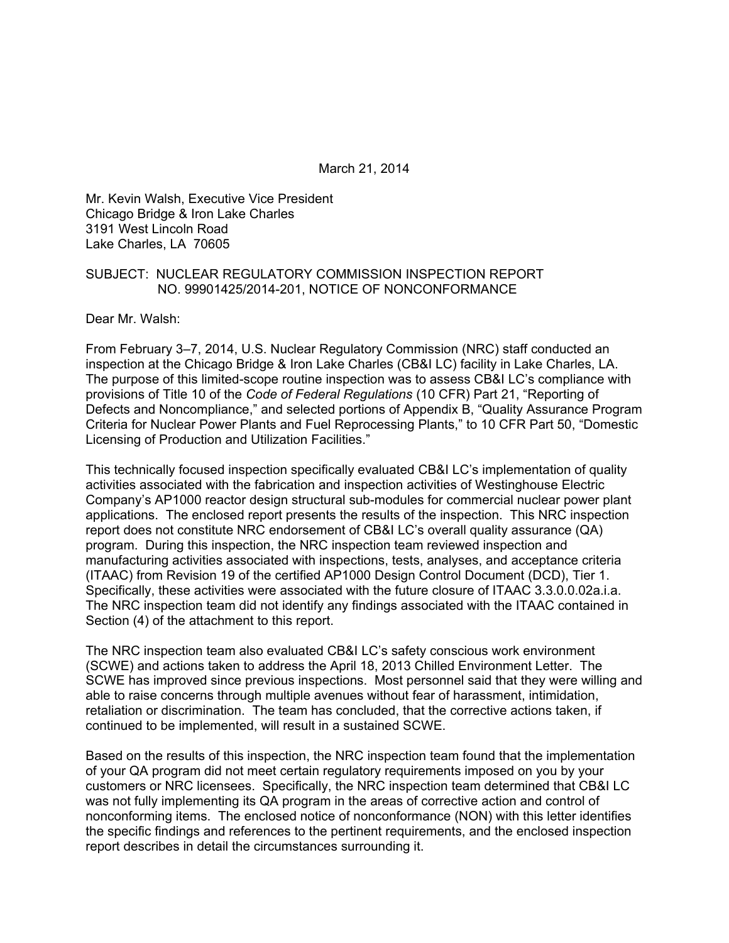March 21, 2014

Mr. Kevin Walsh, Executive Vice President Chicago Bridge & Iron Lake Charles 3191 West Lincoln Road Lake Charles, LA 70605

#### SUBJECT: NUCLEAR REGULATORY COMMISSION INSPECTION REPORT NO. 99901425/2014-201, NOTICE OF NONCONFORMANCE

Dear Mr. Walsh:

From February 3–7, 2014, U.S. Nuclear Regulatory Commission (NRC) staff conducted an inspection at the Chicago Bridge & Iron Lake Charles (CB&I LC) facility in Lake Charles, LA. The purpose of this limited-scope routine inspection was to assess CB&I LC's compliance with provisions of Title 10 of the *Code of Federal Regulations* (10 CFR) Part 21, "Reporting of Defects and Noncompliance," and selected portions of Appendix B, "Quality Assurance Program Criteria for Nuclear Power Plants and Fuel Reprocessing Plants," to 10 CFR Part 50, "Domestic Licensing of Production and Utilization Facilities."

This technically focused inspection specifically evaluated CB&I LC's implementation of quality activities associated with the fabrication and inspection activities of Westinghouse Electric Company's AP1000 reactor design structural sub-modules for commercial nuclear power plant applications. The enclosed report presents the results of the inspection. This NRC inspection report does not constitute NRC endorsement of CB&I LC's overall quality assurance (QA) program. During this inspection, the NRC inspection team reviewed inspection and manufacturing activities associated with inspections, tests, analyses, and acceptance criteria (ITAAC) from Revision 19 of the certified AP1000 Design Control Document (DCD), Tier 1. Specifically, these activities were associated with the future closure of ITAAC 3.3.0.0.02a.i.a. The NRC inspection team did not identify any findings associated with the ITAAC contained in Section (4) of the attachment to this report.

The NRC inspection team also evaluated CB&I LC's safety conscious work environment (SCWE) and actions taken to address the April 18, 2013 Chilled Environment Letter. The SCWE has improved since previous inspections. Most personnel said that they were willing and able to raise concerns through multiple avenues without fear of harassment, intimidation, retaliation or discrimination. The team has concluded, that the corrective actions taken, if continued to be implemented, will result in a sustained SCWE.

Based on the results of this inspection, the NRC inspection team found that the implementation of your QA program did not meet certain regulatory requirements imposed on you by your customers or NRC licensees. Specifically, the NRC inspection team determined that CB&I LC was not fully implementing its QA program in the areas of corrective action and control of nonconforming items. The enclosed notice of nonconformance (NON) with this letter identifies the specific findings and references to the pertinent requirements, and the enclosed inspection report describes in detail the circumstances surrounding it.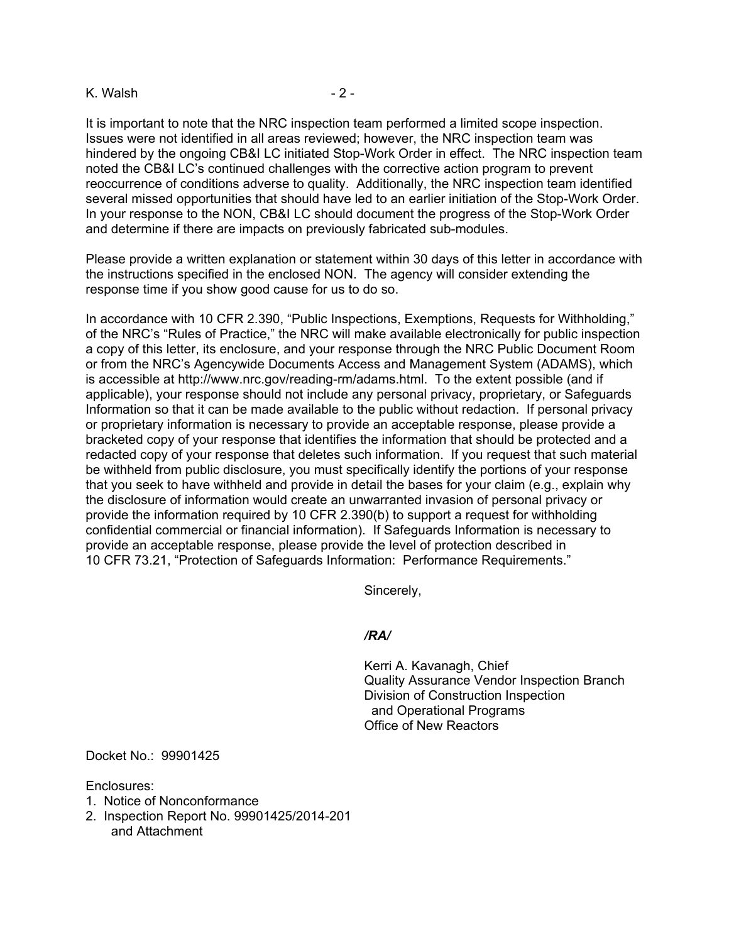#### K. Walsh  $-2$  -

It is important to note that the NRC inspection team performed a limited scope inspection. Issues were not identified in all areas reviewed; however, the NRC inspection team was hindered by the ongoing CB&I LC initiated Stop-Work Order in effect. The NRC inspection team noted the CB&I LC's continued challenges with the corrective action program to prevent reoccurrence of conditions adverse to quality. Additionally, the NRC inspection team identified several missed opportunities that should have led to an earlier initiation of the Stop-Work Order. In your response to the NON, CB&I LC should document the progress of the Stop-Work Order and determine if there are impacts on previously fabricated sub-modules.

Please provide a written explanation or statement within 30 days of this letter in accordance with the instructions specified in the enclosed NON. The agency will consider extending the response time if you show good cause for us to do so.

In accordance with 10 CFR 2.390, "Public Inspections, Exemptions, Requests for Withholding," of the NRC's "Rules of Practice," the NRC will make available electronically for public inspection a copy of this letter, its enclosure, and your response through the NRC Public Document Room or from the NRC's Agencywide Documents Access and Management System (ADAMS), which is accessible at http://www.nrc.gov/reading-rm/adams.html. To the extent possible (and if applicable), your response should not include any personal privacy, proprietary, or Safeguards Information so that it can be made available to the public without redaction. If personal privacy or proprietary information is necessary to provide an acceptable response, please provide a bracketed copy of your response that identifies the information that should be protected and a redacted copy of your response that deletes such information. If you request that such material be withheld from public disclosure, you must specifically identify the portions of your response that you seek to have withheld and provide in detail the bases for your claim (e.g., explain why the disclosure of information would create an unwarranted invasion of personal privacy or provide the information required by 10 CFR 2.390(b) to support a request for withholding confidential commercial or financial information). If Safeguards Information is necessary to provide an acceptable response, please provide the level of protection described in 10 CFR 73.21, "Protection of Safeguards Information: Performance Requirements."

Sincerely,

#### */RA/*

Kerri A. Kavanagh, Chief Quality Assurance Vendor Inspection Branch Division of Construction Inspection and Operational Programs Office of New Reactors

Docket No.: 99901425

Enclosures:

- 1. Notice of Nonconformance
- 2. Inspection Report No. 99901425/2014-201 and Attachment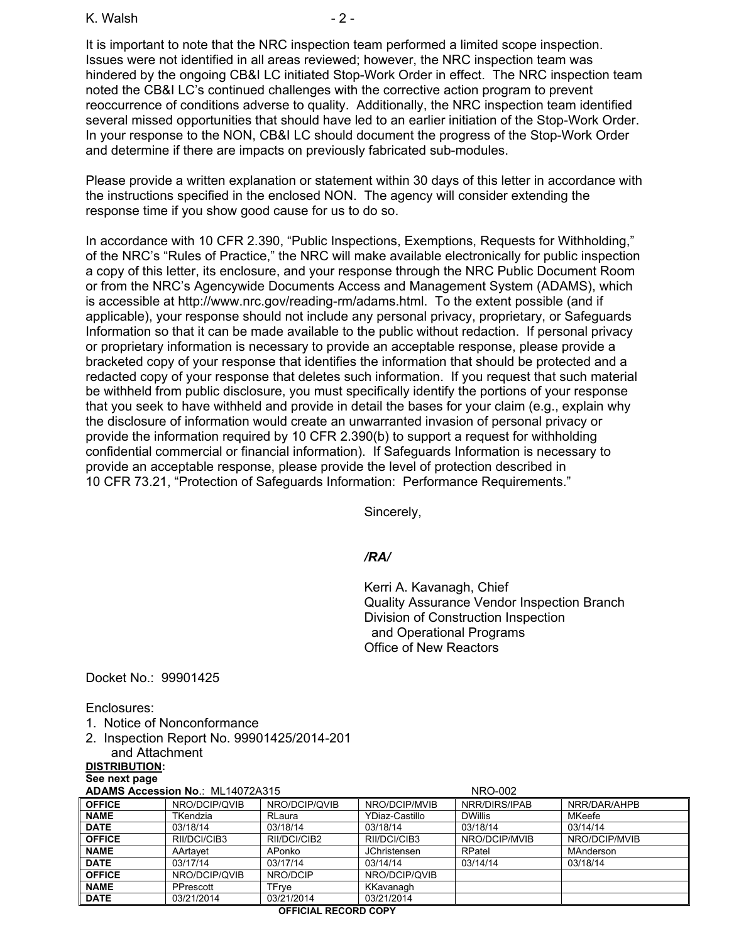K. Walsh - 2 -

It is important to note that the NRC inspection team performed a limited scope inspection. Issues were not identified in all areas reviewed; however, the NRC inspection team was hindered by the ongoing CB&I LC initiated Stop-Work Order in effect. The NRC inspection team noted the CB&I LC's continued challenges with the corrective action program to prevent reoccurrence of conditions adverse to quality. Additionally, the NRC inspection team identified several missed opportunities that should have led to an earlier initiation of the Stop-Work Order. In your response to the NON, CB&I LC should document the progress of the Stop-Work Order and determine if there are impacts on previously fabricated sub-modules.

Please provide a written explanation or statement within 30 days of this letter in accordance with the instructions specified in the enclosed NON. The agency will consider extending the response time if you show good cause for us to do so.

In accordance with 10 CFR 2.390, "Public Inspections, Exemptions, Requests for Withholding," of the NRC's "Rules of Practice," the NRC will make available electronically for public inspection a copy of this letter, its enclosure, and your response through the NRC Public Document Room or from the NRC's Agencywide Documents Access and Management System (ADAMS), which is accessible at http://www.nrc.gov/reading-rm/adams.html. To the extent possible (and if applicable), your response should not include any personal privacy, proprietary, or Safeguards Information so that it can be made available to the public without redaction. If personal privacy or proprietary information is necessary to provide an acceptable response, please provide a bracketed copy of your response that identifies the information that should be protected and a redacted copy of your response that deletes such information. If you request that such material be withheld from public disclosure, you must specifically identify the portions of your response that you seek to have withheld and provide in detail the bases for your claim (e.g., explain why the disclosure of information would create an unwarranted invasion of personal privacy or provide the information required by 10 CFR 2.390(b) to support a request for withholding confidential commercial or financial information). If Safeguards Information is necessary to provide an acceptable response, please provide the level of protection described in 10 CFR 73.21, "Protection of Safeguards Information: Performance Requirements."

Sincerely,

## */RA/*

Kerri A. Kavanagh, Chief Quality Assurance Vendor Inspection Branch Division of Construction Inspection and Operational Programs Office of New Reactors

Docket No.: 99901425

Enclosures:

- 1. Notice of Nonconformance
- 2. Inspection Report No. 99901425/2014-201 and Attachment

**DISTRIBUTION:** 

**See next page** 

| <b>ADAMS Accession No.: ML14072A315</b> |  |
|-----------------------------------------|--|
|-----------------------------------------|--|

| ADAMS Accession No.: ML14072A315 |               | NRO-002       |                     |                |               |
|----------------------------------|---------------|---------------|---------------------|----------------|---------------|
| <b>OFFICE</b>                    | NRO/DCIP/QVIB | NRO/DCIP/QVIB | NRO/DCIP/MVIB       | NRR/DIRS/IPAB  | NRR/DAR/AHPB  |
| <b>NAME</b>                      | TKendzia      | RLaura        | YDiaz-Castillo      | <b>DWillis</b> | MKeefe        |
| <b>DATE</b>                      | 03/18/14      | 03/18/14      | 03/18/14            | 03/18/14       | 03/14/14      |
| <b>OFFICE</b>                    | RII/DCI/CIB3  | RII/DCI/CIB2  | RII/DCI/CIB3        | NRO/DCIP/MVIB  | NRO/DCIP/MVIB |
| <b>NAME</b>                      | AArtavet      | APonko        | <b>JChristensen</b> | RPatel         | MAnderson     |
| <b>DATE</b>                      | 03/17/14      | 03/17/14      | 03/14/14            | 03/14/14       | 03/18/14      |
| <b>OFFICE</b>                    | NRO/DCIP/QVIB | NRO/DCIP      | NRO/DCIP/QVIB       |                |               |
| <b>NAME</b>                      | PPrescott     | TFrve         | KKavanagh           |                |               |
| <b>DATE</b>                      | 03/21/2014    | 03/21/2014    | 03/21/2014          |                |               |
|                                  |               |               |                     |                |               |

#### **OFFICIAL RECORD COPY**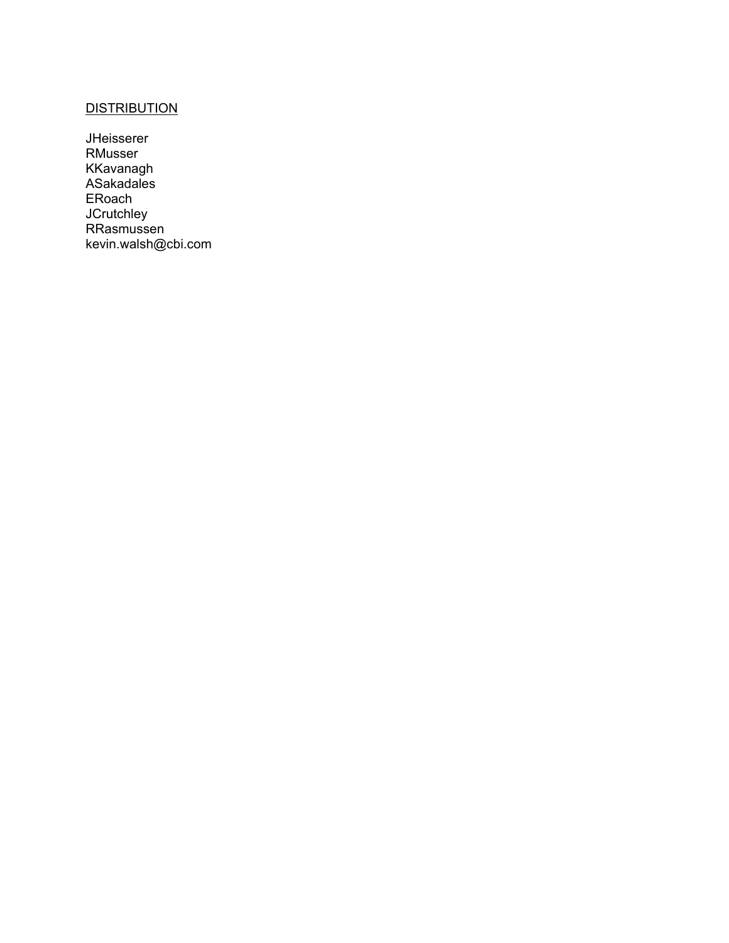# **DISTRIBUTION**

JHeisserer RMusser KKavanagh ASakadales **ERoach JCrutchley** RRasmussen kevin.walsh@cbi.com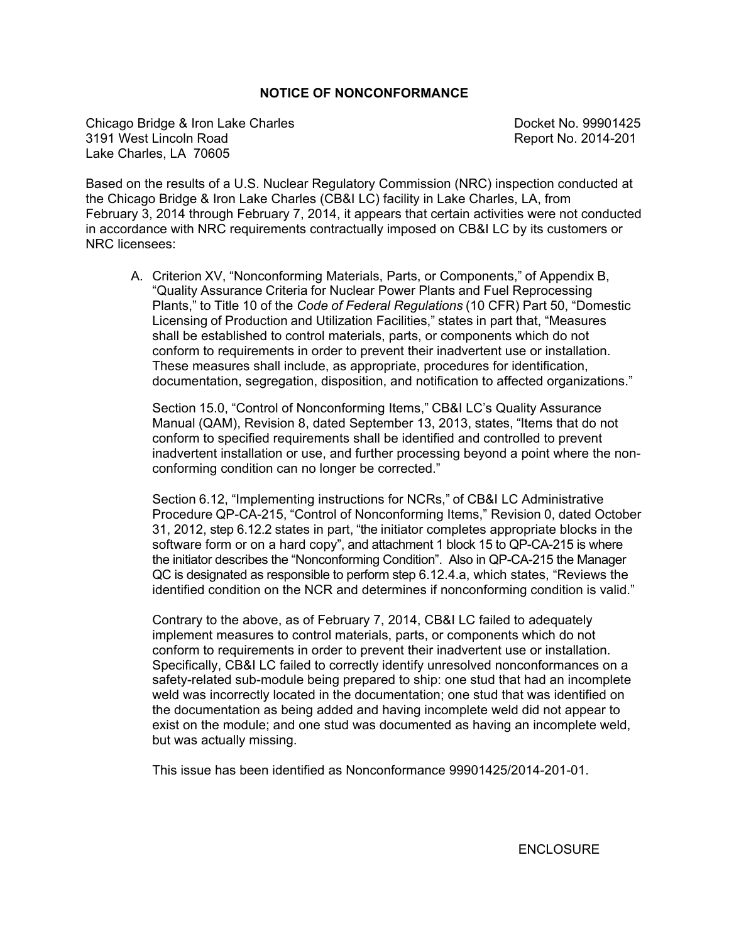## **NOTICE OF NONCONFORMANCE**

Chicago Bridge & Iron Lake Charles **Docket No. 99901425** 3191 West Lincoln Road Report No. 2014-201 Lake Charles, LA 70605

Based on the results of a U.S. Nuclear Regulatory Commission (NRC) inspection conducted at the Chicago Bridge & Iron Lake Charles (CB&I LC) facility in Lake Charles, LA, from February 3, 2014 through February 7, 2014, it appears that certain activities were not conducted in accordance with NRC requirements contractually imposed on CB&I LC by its customers or NRC licensees:

A. Criterion XV, "Nonconforming Materials, Parts, or Components," of Appendix B, "Quality Assurance Criteria for Nuclear Power Plants and Fuel Reprocessing Plants," to Title 10 of the *Code of Federal Regulations* (10 CFR) Part 50, "Domestic Licensing of Production and Utilization Facilities," states in part that, "Measures shall be established to control materials, parts, or components which do not conform to requirements in order to prevent their inadvertent use or installation. These measures shall include, as appropriate, procedures for identification, documentation, segregation, disposition, and notification to affected organizations."

Section 15.0, "Control of Nonconforming Items," CB&I LC's Quality Assurance Manual (QAM), Revision 8, dated September 13, 2013, states, "Items that do not conform to specified requirements shall be identified and controlled to prevent inadvertent installation or use, and further processing beyond a point where the nonconforming condition can no longer be corrected."

Section 6.12, "Implementing instructions for NCRs," of CB&I LC Administrative Procedure QP-CA-215, "Control of Nonconforming Items," Revision 0, dated October 31, 2012, step 6.12.2 states in part, "the initiator completes appropriate blocks in the software form or on a hard copy", and attachment 1 block 15 to QP-CA-215 is where the initiator describes the "Nonconforming Condition". Also in QP-CA-215 the Manager QC is designated as responsible to perform step 6.12.4.a, which states, "Reviews the identified condition on the NCR and determines if nonconforming condition is valid."

Contrary to the above, as of February 7, 2014, CB&I LC failed to adequately implement measures to control materials, parts, or components which do not conform to requirements in order to prevent their inadvertent use or installation. Specifically, CB&I LC failed to correctly identify unresolved nonconformances on a safety-related sub-module being prepared to ship: one stud that had an incomplete weld was incorrectly located in the documentation; one stud that was identified on the documentation as being added and having incomplete weld did not appear to exist on the module; and one stud was documented as having an incomplete weld, but was actually missing.

This issue has been identified as Nonconformance 99901425/2014-201-01.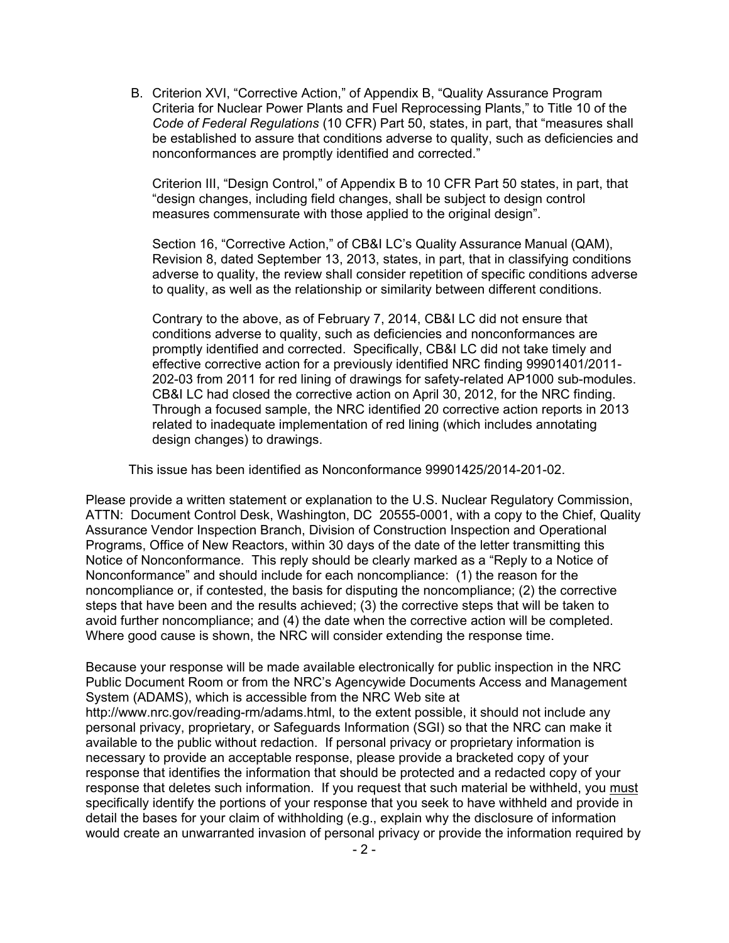B. Criterion XVI, "Corrective Action," of Appendix B, "Quality Assurance Program Criteria for Nuclear Power Plants and Fuel Reprocessing Plants," to Title 10 of the *Code of Federal Regulations* (10 CFR) Part 50, states, in part, that "measures shall be established to assure that conditions adverse to quality, such as deficiencies and nonconformances are promptly identified and corrected."

Criterion III, "Design Control," of Appendix B to 10 CFR Part 50 states, in part, that "design changes, including field changes, shall be subject to design control measures commensurate with those applied to the original design".

Section 16, "Corrective Action," of CB&I LC's Quality Assurance Manual (QAM), Revision 8, dated September 13, 2013, states, in part, that in classifying conditions adverse to quality, the review shall consider repetition of specific conditions adverse to quality, as well as the relationship or similarity between different conditions.

Contrary to the above, as of February 7, 2014, CB&I LC did not ensure that conditions adverse to quality, such as deficiencies and nonconformances are promptly identified and corrected. Specifically, CB&I LC did not take timely and effective corrective action for a previously identified NRC finding 99901401/2011- 202-03 from 2011 for red lining of drawings for safety-related AP1000 sub-modules. CB&I LC had closed the corrective action on April 30, 2012, for the NRC finding. Through a focused sample, the NRC identified 20 corrective action reports in 2013 related to inadequate implementation of red lining (which includes annotating design changes) to drawings.

This issue has been identified as Nonconformance 99901425/2014-201-02.

Please provide a written statement or explanation to the U.S. Nuclear Regulatory Commission, ATTN: Document Control Desk, Washington, DC 20555-0001, with a copy to the Chief, Quality Assurance Vendor Inspection Branch, Division of Construction Inspection and Operational Programs, Office of New Reactors, within 30 days of the date of the letter transmitting this Notice of Nonconformance. This reply should be clearly marked as a "Reply to a Notice of Nonconformance" and should include for each noncompliance: (1) the reason for the noncompliance or, if contested, the basis for disputing the noncompliance; (2) the corrective steps that have been and the results achieved; (3) the corrective steps that will be taken to avoid further noncompliance; and (4) the date when the corrective action will be completed. Where good cause is shown, the NRC will consider extending the response time.

Because your response will be made available electronically for public inspection in the NRC Public Document Room or from the NRC's Agencywide Documents Access and Management System (ADAMS), which is accessible from the NRC Web site at http://www.nrc.gov/reading-rm/adams.html, to the extent possible, it should not include any personal privacy, proprietary, or Safeguards Information (SGI) so that the NRC can make it available to the public without redaction. If personal privacy or proprietary information is necessary to provide an acceptable response, please provide a bracketed copy of your response that identifies the information that should be protected and a redacted copy of your response that deletes such information. If you request that such material be withheld, you must specifically identify the portions of your response that you seek to have withheld and provide in detail the bases for your claim of withholding (e.g., explain why the disclosure of information would create an unwarranted invasion of personal privacy or provide the information required by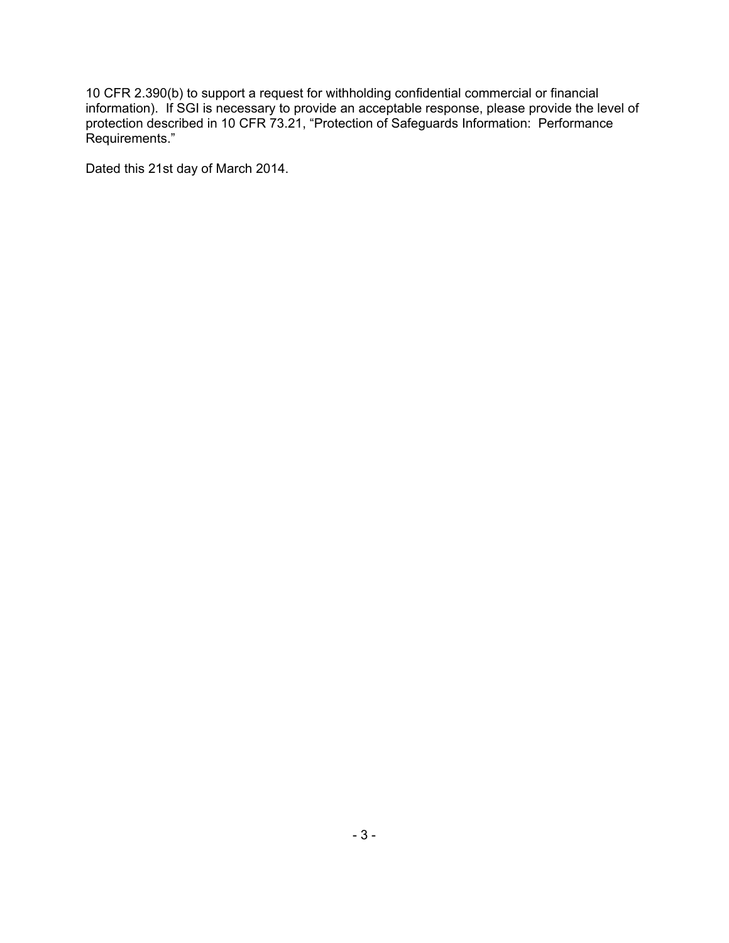10 CFR 2.390(b) to support a request for withholding confidential commercial or financial information). If SGI is necessary to provide an acceptable response, please provide the level of protection described in 10 CFR 73.21, "Protection of Safeguards Information: Performance Requirements."

Dated this 21st day of March 2014.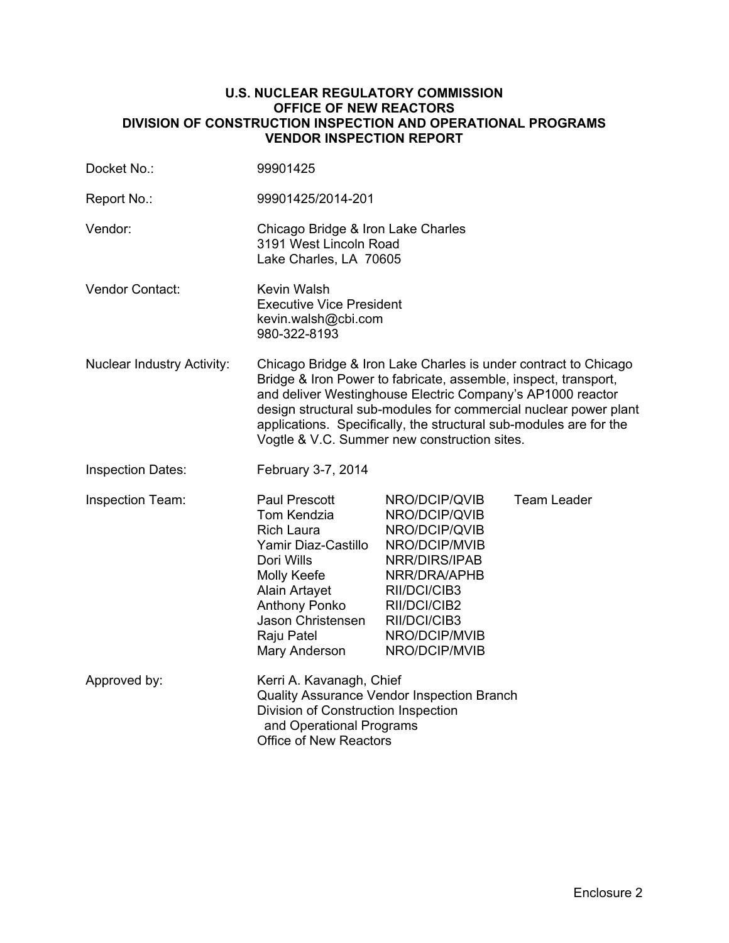#### **U.S. NUCLEAR REGULATORY COMMISSION OFFICE OF NEW REACTORS DIVISION OF CONSTRUCTION INSPECTION AND OPERATIONAL PROGRAMS VENDOR INSPECTION REPORT**

| Docket No.:                       | 99901425                                                                                                                                                                                                                                                                                                                                                                                   |                                                                                                                                                                                     |                    |  |
|-----------------------------------|--------------------------------------------------------------------------------------------------------------------------------------------------------------------------------------------------------------------------------------------------------------------------------------------------------------------------------------------------------------------------------------------|-------------------------------------------------------------------------------------------------------------------------------------------------------------------------------------|--------------------|--|
| Report No.:                       | 99901425/2014-201                                                                                                                                                                                                                                                                                                                                                                          |                                                                                                                                                                                     |                    |  |
| Vendor:                           | Chicago Bridge & Iron Lake Charles<br>3191 West Lincoln Road<br>Lake Charles, LA 70605                                                                                                                                                                                                                                                                                                     |                                                                                                                                                                                     |                    |  |
| <b>Vendor Contact:</b>            | <b>Kevin Walsh</b><br><b>Executive Vice President</b><br>kevin.walsh@cbi.com<br>980-322-8193                                                                                                                                                                                                                                                                                               |                                                                                                                                                                                     |                    |  |
| <b>Nuclear Industry Activity:</b> | Chicago Bridge & Iron Lake Charles is under contract to Chicago<br>Bridge & Iron Power to fabricate, assemble, inspect, transport,<br>and deliver Westinghouse Electric Company's AP1000 reactor<br>design structural sub-modules for commercial nuclear power plant<br>applications. Specifically, the structural sub-modules are for the<br>Vogtle & V.C. Summer new construction sites. |                                                                                                                                                                                     |                    |  |
| <b>Inspection Dates:</b>          | February 3-7, 2014                                                                                                                                                                                                                                                                                                                                                                         |                                                                                                                                                                                     |                    |  |
| Inspection Team:                  | Paul Prescott<br>Tom Kendzia<br><b>Rich Laura</b><br>Yamir Diaz-Castillo<br>Dori Wills<br>Molly Keefe<br>Alain Artayet<br><b>Anthony Ponko</b><br>Jason Christensen<br>Raju Patel<br>Mary Anderson                                                                                                                                                                                         | NRO/DCIP/QVIB<br>NRO/DCIP/QVIB<br>NRO/DCIP/QVIB<br>NRO/DCIP/MVIB<br>NRR/DIRS/IPAB<br>NRR/DRA/APHB<br>RII/DCI/CIB3<br>RII/DCI/CIB2<br>RII/DCI/CIB3<br>NRO/DCIP/MVIB<br>NRO/DCIP/MVIB | <b>Team Leader</b> |  |
| Approved by:                      | Kerri A. Kavanagh, Chief<br>Division of Construction Inspection<br>and Operational Programs<br>Office of New Reactors                                                                                                                                                                                                                                                                      | Quality Assurance Vendor Inspection Branch                                                                                                                                          |                    |  |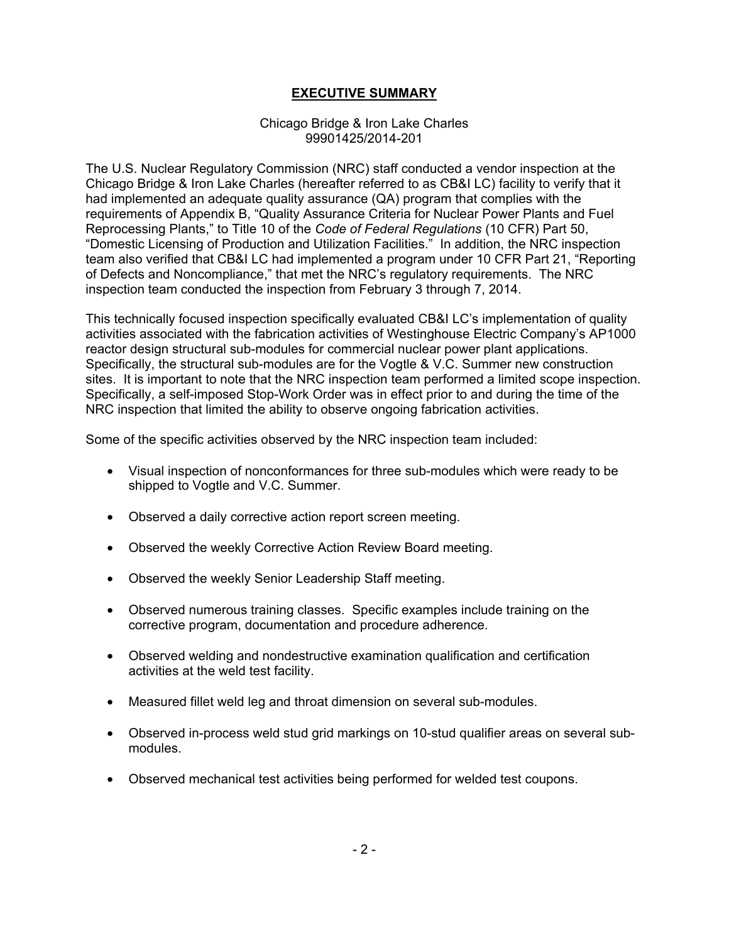# **EXECUTIVE SUMMARY**

#### Chicago Bridge & Iron Lake Charles 99901425/2014-201

The U.S. Nuclear Regulatory Commission (NRC) staff conducted a vendor inspection at the Chicago Bridge & Iron Lake Charles (hereafter referred to as CB&I LC) facility to verify that it had implemented an adequate quality assurance (QA) program that complies with the requirements of Appendix B, "Quality Assurance Criteria for Nuclear Power Plants and Fuel Reprocessing Plants," to Title 10 of the *Code of Federal Regulations* (10 CFR) Part 50, "Domestic Licensing of Production and Utilization Facilities." In addition, the NRC inspection team also verified that CB&I LC had implemented a program under 10 CFR Part 21, "Reporting of Defects and Noncompliance," that met the NRC's regulatory requirements. The NRC inspection team conducted the inspection from February 3 through 7, 2014.

This technically focused inspection specifically evaluated CB&I LC's implementation of quality activities associated with the fabrication activities of Westinghouse Electric Company's AP1000 reactor design structural sub-modules for commercial nuclear power plant applications. Specifically, the structural sub-modules are for the Vogtle & V.C. Summer new construction sites. It is important to note that the NRC inspection team performed a limited scope inspection. Specifically, a self-imposed Stop-Work Order was in effect prior to and during the time of the NRC inspection that limited the ability to observe ongoing fabrication activities.

Some of the specific activities observed by the NRC inspection team included:

- Visual inspection of nonconformances for three sub-modules which were ready to be shipped to Vogtle and V.C. Summer.
- Observed a daily corrective action report screen meeting.
- Observed the weekly Corrective Action Review Board meeting.
- Observed the weekly Senior Leadership Staff meeting.
- Observed numerous training classes. Specific examples include training on the corrective program, documentation and procedure adherence.
- Observed welding and nondestructive examination qualification and certification activities at the weld test facility.
- Measured fillet weld leg and throat dimension on several sub-modules.
- Observed in-process weld stud grid markings on 10-stud qualifier areas on several submodules.
- Observed mechanical test activities being performed for welded test coupons.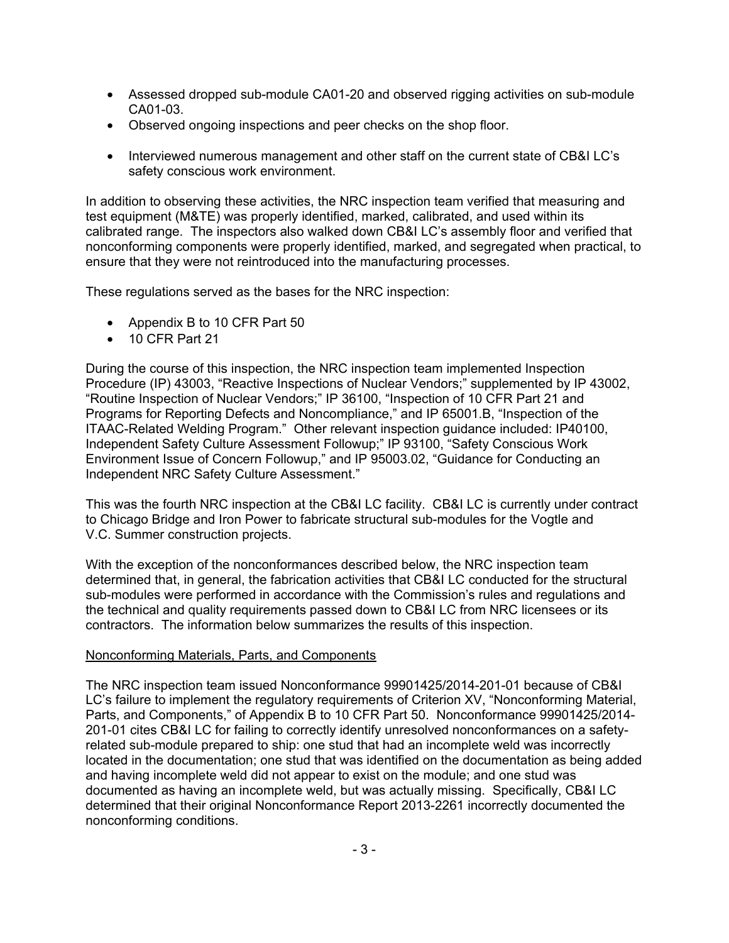- Assessed dropped sub-module CA01-20 and observed rigging activities on sub-module CA01-03.
- Observed ongoing inspections and peer checks on the shop floor.
- Interviewed numerous management and other staff on the current state of CB&I LC's safety conscious work environment.

In addition to observing these activities, the NRC inspection team verified that measuring and test equipment (M&TE) was properly identified, marked, calibrated, and used within its calibrated range. The inspectors also walked down CB&I LC's assembly floor and verified that nonconforming components were properly identified, marked, and segregated when practical, to ensure that they were not reintroduced into the manufacturing processes.

These regulations served as the bases for the NRC inspection:

- Appendix B to 10 CFR Part 50
- 10 CFR Part 21

During the course of this inspection, the NRC inspection team implemented Inspection Procedure (IP) 43003, "Reactive Inspections of Nuclear Vendors;" supplemented by IP 43002, "Routine Inspection of Nuclear Vendors;" IP 36100, "Inspection of 10 CFR Part 21 and Programs for Reporting Defects and Noncompliance," and IP 65001.B, "Inspection of the ITAAC-Related Welding Program." Other relevant inspection guidance included: IP40100, Independent Safety Culture Assessment Followup;" IP 93100, "Safety Conscious Work Environment Issue of Concern Followup," and IP 95003.02, "Guidance for Conducting an Independent NRC Safety Culture Assessment."

This was the fourth NRC inspection at the CB&I LC facility. CB&I LC is currently under contract to Chicago Bridge and Iron Power to fabricate structural sub-modules for the Vogtle and V.C. Summer construction projects.

With the exception of the nonconformances described below, the NRC inspection team determined that, in general, the fabrication activities that CB&I LC conducted for the structural sub-modules were performed in accordance with the Commission's rules and regulations and the technical and quality requirements passed down to CB&I LC from NRC licensees or its contractors. The information below summarizes the results of this inspection.

#### Nonconforming Materials, Parts, and Components

The NRC inspection team issued Nonconformance 99901425/2014-201-01 because of CB&I LC's failure to implement the regulatory requirements of Criterion XV, "Nonconforming Material, Parts, and Components," of Appendix B to 10 CFR Part 50. Nonconformance 99901425/2014- 201-01 cites CB&I LC for failing to correctly identify unresolved nonconformances on a safetyrelated sub-module prepared to ship: one stud that had an incomplete weld was incorrectly located in the documentation; one stud that was identified on the documentation as being added and having incomplete weld did not appear to exist on the module; and one stud was documented as having an incomplete weld, but was actually missing. Specifically, CB&I LC determined that their original Nonconformance Report 2013-2261 incorrectly documented the nonconforming conditions.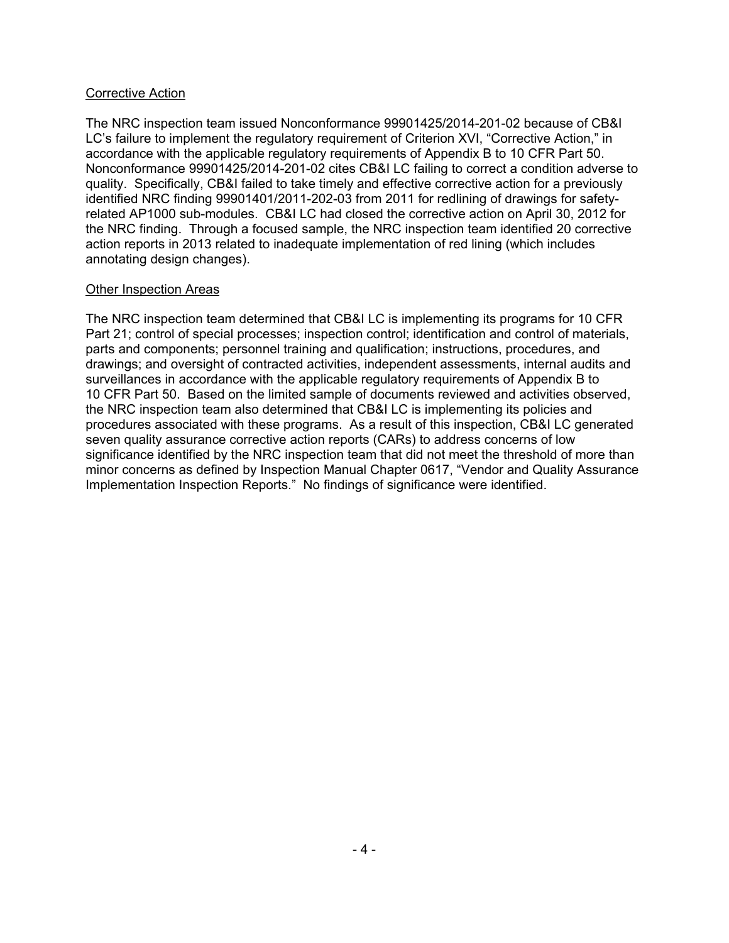#### Corrective Action

The NRC inspection team issued Nonconformance 99901425/2014-201-02 because of CB&I LC's failure to implement the regulatory requirement of Criterion XVI, "Corrective Action," in accordance with the applicable regulatory requirements of Appendix B to 10 CFR Part 50. Nonconformance 99901425/2014-201-02 cites CB&I LC failing to correct a condition adverse to quality. Specifically, CB&I failed to take timely and effective corrective action for a previously identified NRC finding 99901401/2011-202-03 from 2011 for redlining of drawings for safetyrelated AP1000 sub-modules. CB&I LC had closed the corrective action on April 30, 2012 for the NRC finding. Through a focused sample, the NRC inspection team identified 20 corrective action reports in 2013 related to inadequate implementation of red lining (which includes annotating design changes).

## Other Inspection Areas

The NRC inspection team determined that CB&I LC is implementing its programs for 10 CFR Part 21; control of special processes; inspection control; identification and control of materials, parts and components; personnel training and qualification; instructions, procedures, and drawings; and oversight of contracted activities, independent assessments, internal audits and surveillances in accordance with the applicable regulatory requirements of Appendix B to 10 CFR Part 50. Based on the limited sample of documents reviewed and activities observed, the NRC inspection team also determined that CB&I LC is implementing its policies and procedures associated with these programs. As a result of this inspection, CB&I LC generated seven quality assurance corrective action reports (CARs) to address concerns of low significance identified by the NRC inspection team that did not meet the threshold of more than minor concerns as defined by Inspection Manual Chapter 0617, "Vendor and Quality Assurance Implementation Inspection Reports." No findings of significance were identified.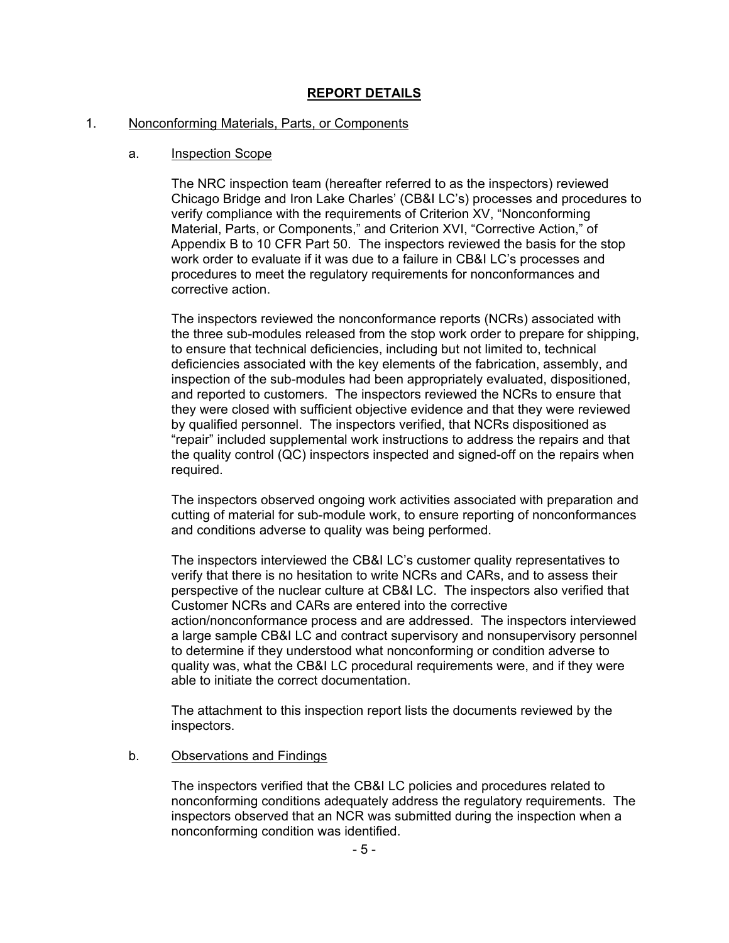# **REPORT DETAILS**

#### 1. Nonconforming Materials, Parts, or Components

#### a. Inspection Scope

The NRC inspection team (hereafter referred to as the inspectors) reviewed Chicago Bridge and Iron Lake Charles' (CB&I LC's) processes and procedures to verify compliance with the requirements of Criterion XV, "Nonconforming Material, Parts, or Components," and Criterion XVI, "Corrective Action," of Appendix B to 10 CFR Part 50. The inspectors reviewed the basis for the stop work order to evaluate if it was due to a failure in CB&I LC's processes and procedures to meet the regulatory requirements for nonconformances and corrective action.

The inspectors reviewed the nonconformance reports (NCRs) associated with the three sub-modules released from the stop work order to prepare for shipping, to ensure that technical deficiencies, including but not limited to, technical deficiencies associated with the key elements of the fabrication, assembly, and inspection of the sub-modules had been appropriately evaluated, dispositioned, and reported to customers. The inspectors reviewed the NCRs to ensure that they were closed with sufficient objective evidence and that they were reviewed by qualified personnel. The inspectors verified, that NCRs dispositioned as "repair" included supplemental work instructions to address the repairs and that the quality control (QC) inspectors inspected and signed-off on the repairs when required.

The inspectors observed ongoing work activities associated with preparation and cutting of material for sub-module work, to ensure reporting of nonconformances and conditions adverse to quality was being performed.

The inspectors interviewed the CB&I LC's customer quality representatives to verify that there is no hesitation to write NCRs and CARs, and to assess their perspective of the nuclear culture at CB&I LC. The inspectors also verified that Customer NCRs and CARs are entered into the corrective action/nonconformance process and are addressed. The inspectors interviewed a large sample CB&I LC and contract supervisory and nonsupervisory personnel to determine if they understood what nonconforming or condition adverse to quality was, what the CB&I LC procedural requirements were, and if they were able to initiate the correct documentation.

The attachment to this inspection report lists the documents reviewed by the inspectors.

#### b. Observations and Findings

The inspectors verified that the CB&I LC policies and procedures related to nonconforming conditions adequately address the regulatory requirements. The inspectors observed that an NCR was submitted during the inspection when a nonconforming condition was identified.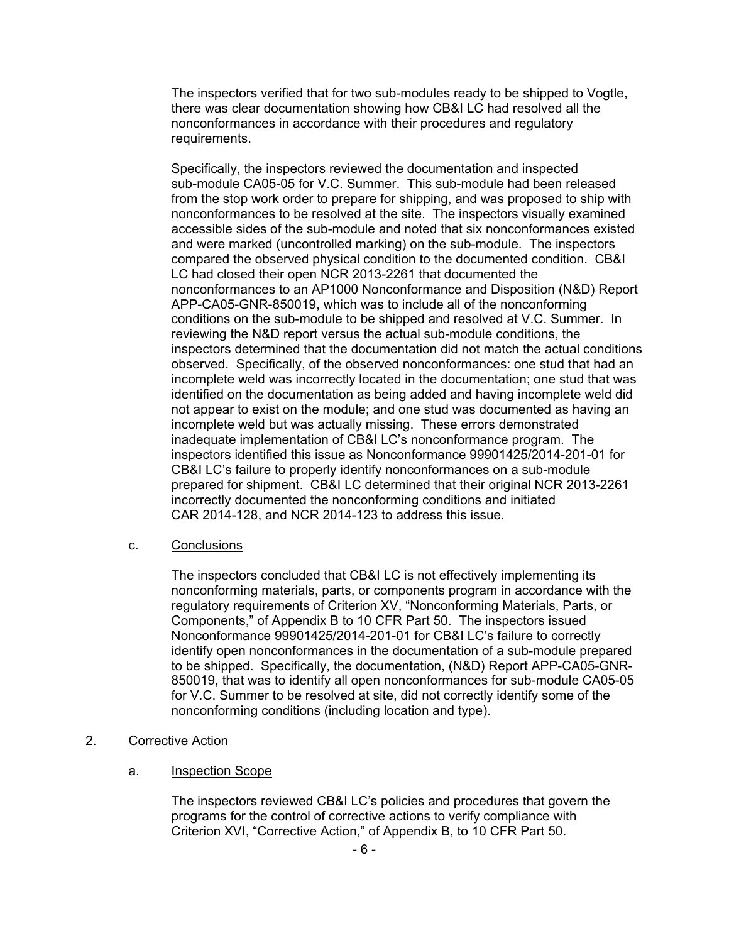The inspectors verified that for two sub-modules ready to be shipped to Vogtle, there was clear documentation showing how CB&I LC had resolved all the nonconformances in accordance with their procedures and regulatory requirements.

Specifically, the inspectors reviewed the documentation and inspected sub-module CA05-05 for V.C. Summer. This sub-module had been released from the stop work order to prepare for shipping, and was proposed to ship with nonconformances to be resolved at the site. The inspectors visually examined accessible sides of the sub-module and noted that six nonconformances existed and were marked (uncontrolled marking) on the sub-module. The inspectors compared the observed physical condition to the documented condition. CB&I LC had closed their open NCR 2013-2261 that documented the nonconformances to an AP1000 Nonconformance and Disposition (N&D) Report APP-CA05-GNR-850019, which was to include all of the nonconforming conditions on the sub-module to be shipped and resolved at V.C. Summer. In reviewing the N&D report versus the actual sub-module conditions, the inspectors determined that the documentation did not match the actual conditions observed. Specifically, of the observed nonconformances: one stud that had an incomplete weld was incorrectly located in the documentation; one stud that was identified on the documentation as being added and having incomplete weld did not appear to exist on the module; and one stud was documented as having an incomplete weld but was actually missing. These errors demonstrated inadequate implementation of CB&I LC's nonconformance program. The inspectors identified this issue as Nonconformance 99901425/2014-201-01 for CB&I LC's failure to properly identify nonconformances on a sub-module prepared for shipment. CB&I LC determined that their original NCR 2013-2261 incorrectly documented the nonconforming conditions and initiated CAR 2014-128, and NCR 2014-123 to address this issue.

## c. Conclusions

The inspectors concluded that CB&I LC is not effectively implementing its nonconforming materials, parts, or components program in accordance with the regulatory requirements of Criterion XV, "Nonconforming Materials, Parts, or Components," of Appendix B to 10 CFR Part 50. The inspectors issued Nonconformance 99901425/2014-201-01 for CB&I LC's failure to correctly identify open nonconformances in the documentation of a sub-module prepared to be shipped. Specifically, the documentation, (N&D) Report APP-CA05-GNR-850019, that was to identify all open nonconformances for sub-module CA05-05 for V.C. Summer to be resolved at site, did not correctly identify some of the nonconforming conditions (including location and type).

- 2. Corrective Action
	- a. Inspection Scope

The inspectors reviewed CB&I LC's policies and procedures that govern the programs for the control of corrective actions to verify compliance with Criterion XVI, "Corrective Action," of Appendix B, to 10 CFR Part 50.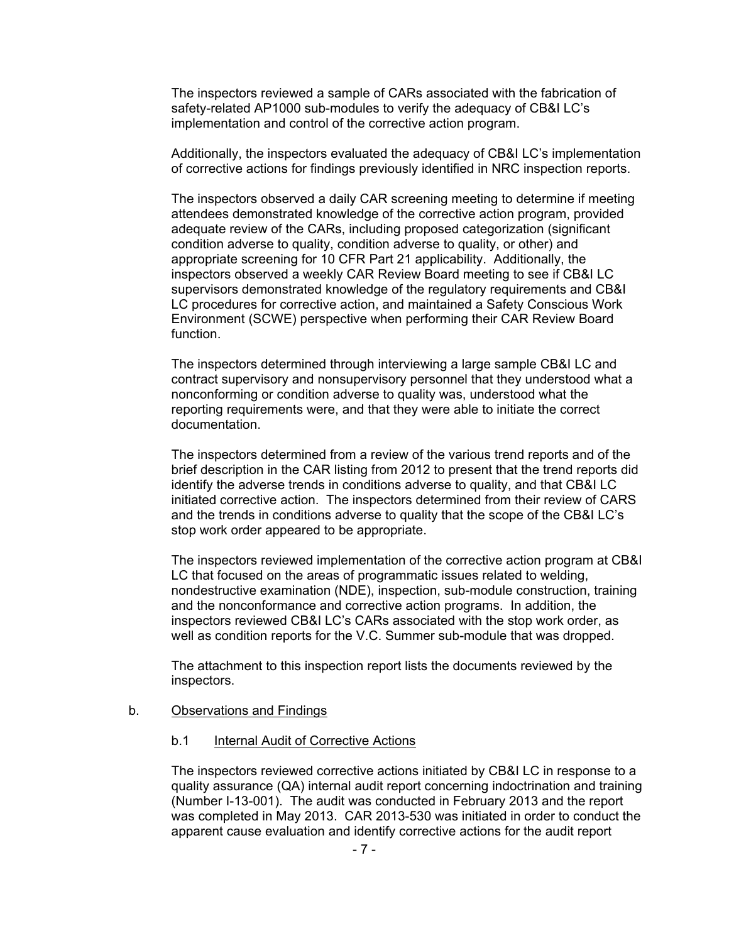The inspectors reviewed a sample of CARs associated with the fabrication of safety-related AP1000 sub-modules to verify the adequacy of CB&I LC's implementation and control of the corrective action program.

Additionally, the inspectors evaluated the adequacy of CB&I LC's implementation of corrective actions for findings previously identified in NRC inspection reports.

The inspectors observed a daily CAR screening meeting to determine if meeting attendees demonstrated knowledge of the corrective action program, provided adequate review of the CARs, including proposed categorization (significant condition adverse to quality, condition adverse to quality, or other) and appropriate screening for 10 CFR Part 21 applicability. Additionally, the inspectors observed a weekly CAR Review Board meeting to see if CB&I LC supervisors demonstrated knowledge of the regulatory requirements and CB&I LC procedures for corrective action, and maintained a Safety Conscious Work Environment (SCWE) perspective when performing their CAR Review Board function.

The inspectors determined through interviewing a large sample CB&I LC and contract supervisory and nonsupervisory personnel that they understood what a nonconforming or condition adverse to quality was, understood what the reporting requirements were, and that they were able to initiate the correct documentation.

The inspectors determined from a review of the various trend reports and of the brief description in the CAR listing from 2012 to present that the trend reports did identify the adverse trends in conditions adverse to quality, and that CB&I LC initiated corrective action. The inspectors determined from their review of CARS and the trends in conditions adverse to quality that the scope of the CB&I LC's stop work order appeared to be appropriate.

The inspectors reviewed implementation of the corrective action program at CB&I LC that focused on the areas of programmatic issues related to welding, nondestructive examination (NDE), inspection, sub-module construction, training and the nonconformance and corrective action programs. In addition, the inspectors reviewed CB&I LC's CARs associated with the stop work order, as well as condition reports for the V.C. Summer sub-module that was dropped.

The attachment to this inspection report lists the documents reviewed by the inspectors.

#### b. Observations and Findings

#### b.1 Internal Audit of Corrective Actions

The inspectors reviewed corrective actions initiated by CB&I LC in response to a quality assurance (QA) internal audit report concerning indoctrination and training (Number I-13-001). The audit was conducted in February 2013 and the report was completed in May 2013. CAR 2013-530 was initiated in order to conduct the apparent cause evaluation and identify corrective actions for the audit report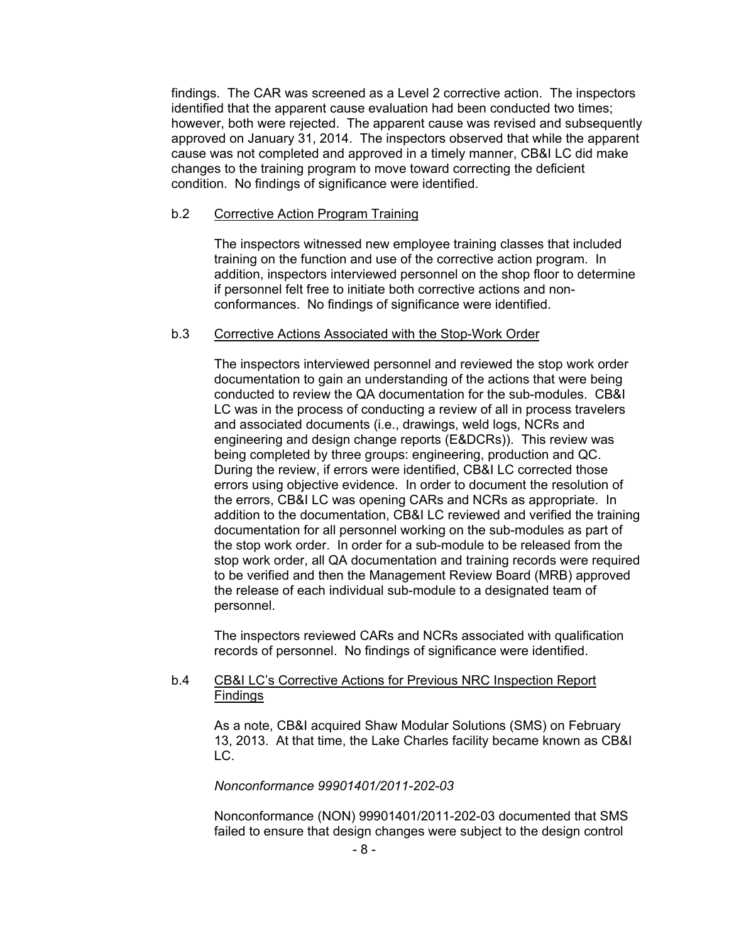findings. The CAR was screened as a Level 2 corrective action. The inspectors identified that the apparent cause evaluation had been conducted two times; however, both were rejected. The apparent cause was revised and subsequently approved on January 31, 2014. The inspectors observed that while the apparent cause was not completed and approved in a timely manner, CB&I LC did make changes to the training program to move toward correcting the deficient condition. No findings of significance were identified.

#### b.2 Corrective Action Program Training

The inspectors witnessed new employee training classes that included training on the function and use of the corrective action program. In addition, inspectors interviewed personnel on the shop floor to determine if personnel felt free to initiate both corrective actions and nonconformances. No findings of significance were identified.

#### b.3 Corrective Actions Associated with the Stop-Work Order

The inspectors interviewed personnel and reviewed the stop work order documentation to gain an understanding of the actions that were being conducted to review the QA documentation for the sub-modules. CB&I LC was in the process of conducting a review of all in process travelers and associated documents (i.e., drawings, weld logs, NCRs and engineering and design change reports (E&DCRs)). This review was being completed by three groups: engineering, production and QC. During the review, if errors were identified, CB&I LC corrected those errors using objective evidence. In order to document the resolution of the errors, CB&I LC was opening CARs and NCRs as appropriate. In addition to the documentation, CB&I LC reviewed and verified the training documentation for all personnel working on the sub-modules as part of the stop work order. In order for a sub-module to be released from the stop work order, all QA documentation and training records were required to be verified and then the Management Review Board (MRB) approved the release of each individual sub-module to a designated team of personnel.

The inspectors reviewed CARs and NCRs associated with qualification records of personnel. No findings of significance were identified.

#### b.4 CB&I LC's Corrective Actions for Previous NRC Inspection Report Findings

As a note, CB&I acquired Shaw Modular Solutions (SMS) on February 13, 2013. At that time, the Lake Charles facility became known as CB&I LC.

## *Nonconformance 99901401/2011-202-03*

Nonconformance (NON) 99901401/2011-202-03 documented that SMS failed to ensure that design changes were subject to the design control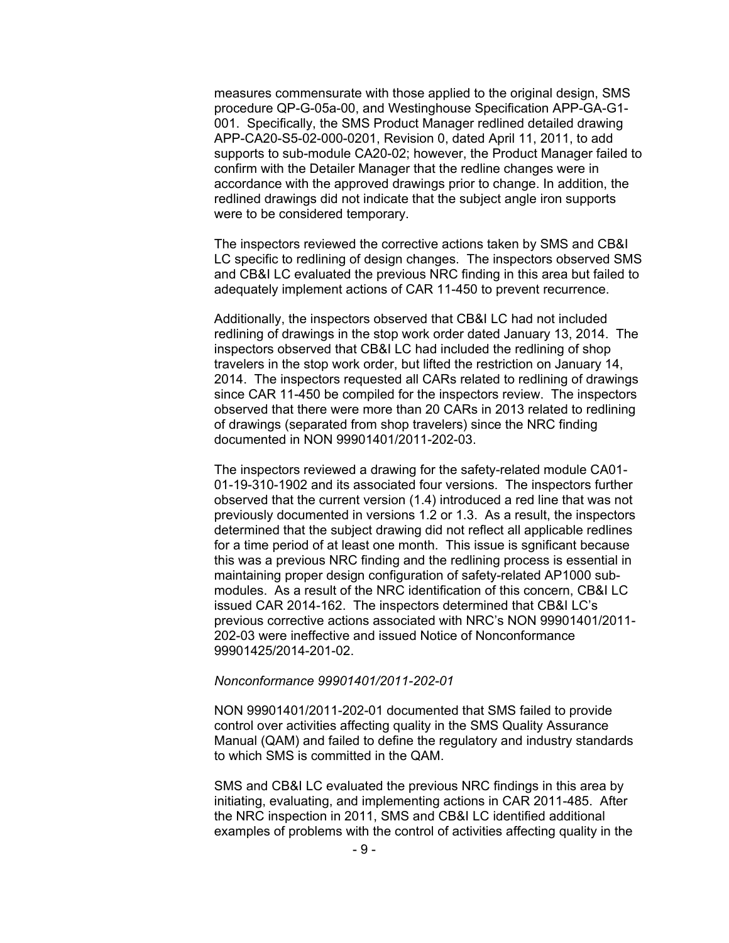measures commensurate with those applied to the original design, SMS procedure QP-G-05a-00, and Westinghouse Specification APP-GA-G1- 001. Specifically, the SMS Product Manager redlined detailed drawing APP-CA20-S5-02-000-0201, Revision 0, dated April 11, 2011, to add supports to sub-module CA20-02; however, the Product Manager failed to confirm with the Detailer Manager that the redline changes were in accordance with the approved drawings prior to change. In addition, the redlined drawings did not indicate that the subject angle iron supports were to be considered temporary.

The inspectors reviewed the corrective actions taken by SMS and CB&I LC specific to redlining of design changes. The inspectors observed SMS and CB&I LC evaluated the previous NRC finding in this area but failed to adequately implement actions of CAR 11-450 to prevent recurrence.

Additionally, the inspectors observed that CB&I LC had not included redlining of drawings in the stop work order dated January 13, 2014. The inspectors observed that CB&I LC had included the redlining of shop travelers in the stop work order, but lifted the restriction on January 14, 2014. The inspectors requested all CARs related to redlining of drawings since CAR 11-450 be compiled for the inspectors review. The inspectors observed that there were more than 20 CARs in 2013 related to redlining of drawings (separated from shop travelers) since the NRC finding documented in NON 99901401/2011-202-03.

The inspectors reviewed a drawing for the safety-related module CA01- 01-19-310-1902 and its associated four versions. The inspectors further observed that the current version (1.4) introduced a red line that was not previously documented in versions 1.2 or 1.3. As a result, the inspectors determined that the subject drawing did not reflect all applicable redlines for a time period of at least one month. This issue is sgnificant because this was a previous NRC finding and the redlining process is essential in maintaining proper design configuration of safety-related AP1000 submodules. As a result of the NRC identification of this concern, CB&I LC issued CAR 2014-162. The inspectors determined that CB&I LC's previous corrective actions associated with NRC's NON 99901401/2011- 202-03 were ineffective and issued Notice of Nonconformance 99901425/2014-201-02.

#### *Nonconformance 99901401/2011-202-01*

NON 99901401/2011-202-01 documented that SMS failed to provide control over activities affecting quality in the SMS Quality Assurance Manual (QAM) and failed to define the regulatory and industry standards to which SMS is committed in the QAM.

SMS and CB&I LC evaluated the previous NRC findings in this area by initiating, evaluating, and implementing actions in CAR 2011-485. After the NRC inspection in 2011, SMS and CB&I LC identified additional examples of problems with the control of activities affecting quality in the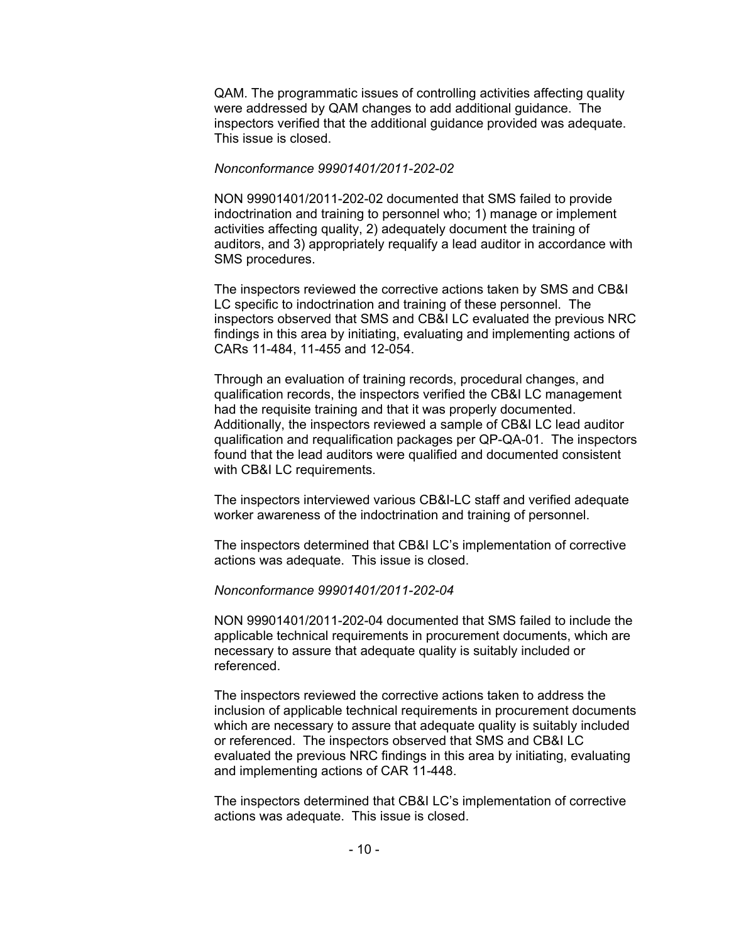QAM. The programmatic issues of controlling activities affecting quality were addressed by QAM changes to add additional guidance. The inspectors verified that the additional guidance provided was adequate. This issue is closed.

#### *Nonconformance 99901401/2011-202-02*

NON 99901401/2011-202-02 documented that SMS failed to provide indoctrination and training to personnel who; 1) manage or implement activities affecting quality, 2) adequately document the training of auditors, and 3) appropriately requalify a lead auditor in accordance with SMS procedures.

The inspectors reviewed the corrective actions taken by SMS and CB&I LC specific to indoctrination and training of these personnel. The inspectors observed that SMS and CB&I LC evaluated the previous NRC findings in this area by initiating, evaluating and implementing actions of CARs 11-484, 11-455 and 12-054.

Through an evaluation of training records, procedural changes, and qualification records, the inspectors verified the CB&I LC management had the requisite training and that it was properly documented. Additionally, the inspectors reviewed a sample of CB&I LC lead auditor qualification and requalification packages per QP-QA-01. The inspectors found that the lead auditors were qualified and documented consistent with CB&I LC requirements.

The inspectors interviewed various CB&I-LC staff and verified adequate worker awareness of the indoctrination and training of personnel.

The inspectors determined that CB&I LC's implementation of corrective actions was adequate. This issue is closed.

#### *Nonconformance 99901401/2011-202-04*

NON 99901401/2011-202-04 documented that SMS failed to include the applicable technical requirements in procurement documents, which are necessary to assure that adequate quality is suitably included or referenced.

The inspectors reviewed the corrective actions taken to address the inclusion of applicable technical requirements in procurement documents which are necessary to assure that adequate quality is suitably included or referenced. The inspectors observed that SMS and CB&I LC evaluated the previous NRC findings in this area by initiating, evaluating and implementing actions of CAR 11-448.

The inspectors determined that CB&I LC's implementation of corrective actions was adequate. This issue is closed.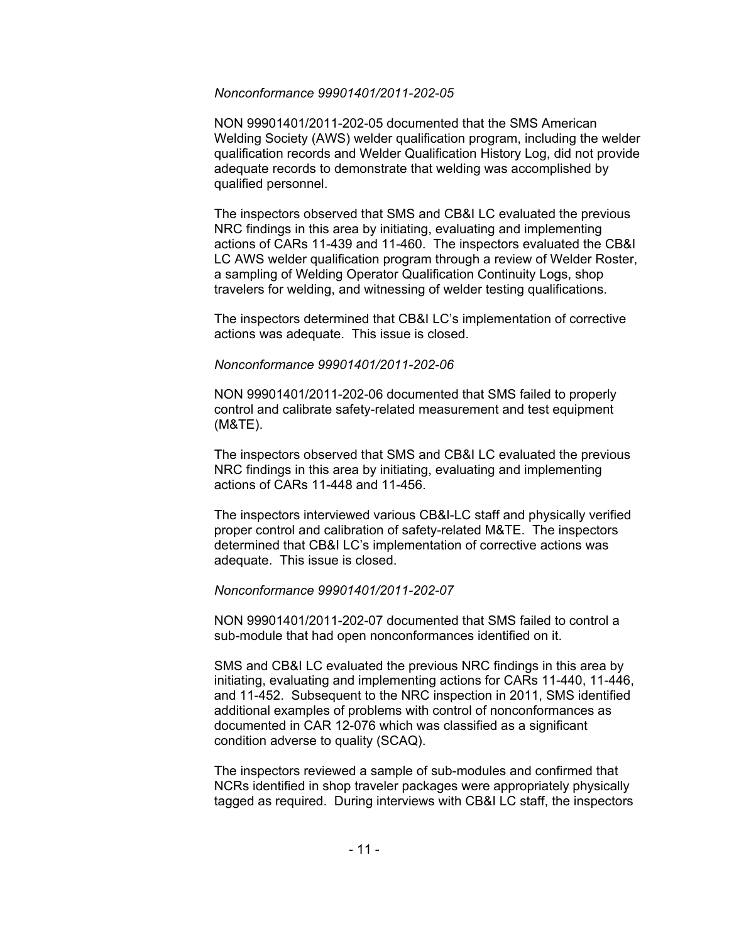#### *Nonconformance 99901401/2011-202-05*

NON 99901401/2011-202-05 documented that the SMS American Welding Society (AWS) welder qualification program, including the welder qualification records and Welder Qualification History Log, did not provide adequate records to demonstrate that welding was accomplished by qualified personnel.

The inspectors observed that SMS and CB&I LC evaluated the previous NRC findings in this area by initiating, evaluating and implementing actions of CARs 11-439 and 11-460. The inspectors evaluated the CB&I LC AWS welder qualification program through a review of Welder Roster, a sampling of Welding Operator Qualification Continuity Logs, shop travelers for welding, and witnessing of welder testing qualifications.

The inspectors determined that CB&I LC's implementation of corrective actions was adequate. This issue is closed.

#### *Nonconformance 99901401/2011-202-06*

NON 99901401/2011-202-06 documented that SMS failed to properly control and calibrate safety-related measurement and test equipment (M&TE).

The inspectors observed that SMS and CB&I LC evaluated the previous NRC findings in this area by initiating, evaluating and implementing actions of CARs 11-448 and 11-456.

The inspectors interviewed various CB&I-LC staff and physically verified proper control and calibration of safety-related M&TE. The inspectors determined that CB&I LC's implementation of corrective actions was adequate. This issue is closed.

## *Nonconformance 99901401/2011-202-07*

NON 99901401/2011-202-07 documented that SMS failed to control a sub-module that had open nonconformances identified on it.

SMS and CB&I LC evaluated the previous NRC findings in this area by initiating, evaluating and implementing actions for CARs 11-440, 11-446, and 11-452. Subsequent to the NRC inspection in 2011, SMS identified additional examples of problems with control of nonconformances as documented in CAR 12-076 which was classified as a significant condition adverse to quality (SCAQ).

The inspectors reviewed a sample of sub-modules and confirmed that NCRs identified in shop traveler packages were appropriately physically tagged as required. During interviews with CB&I LC staff, the inspectors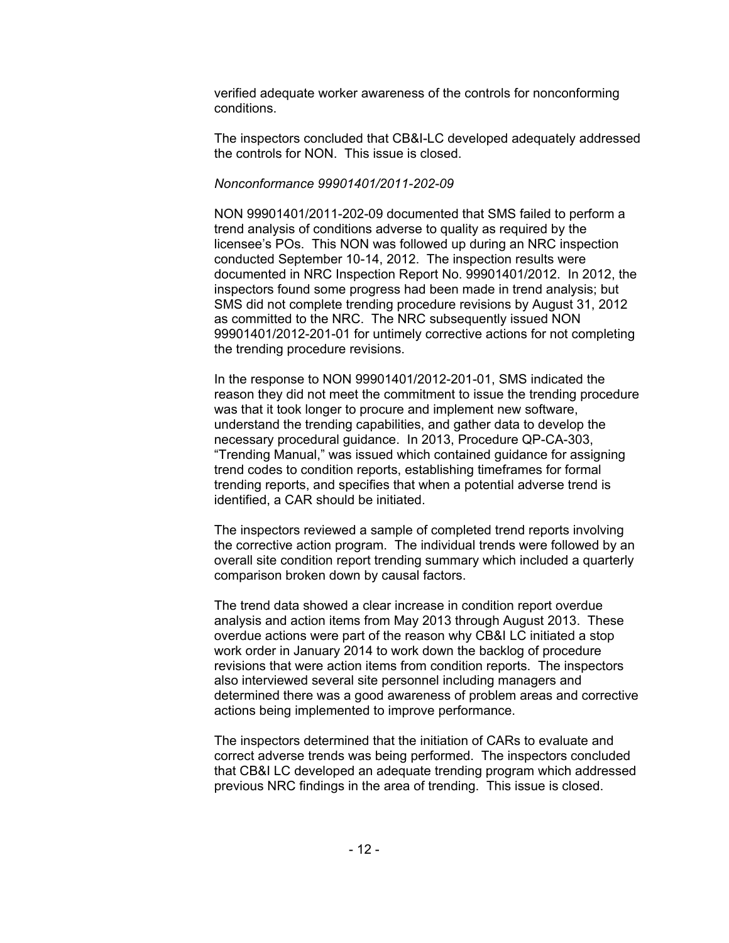verified adequate worker awareness of the controls for nonconforming conditions.

The inspectors concluded that CB&I-LC developed adequately addressed the controls for NON. This issue is closed.

#### *Nonconformance 99901401/2011-202-09*

NON 99901401/2011-202-09 documented that SMS failed to perform a trend analysis of conditions adverse to quality as required by the licensee's POs. This NON was followed up during an NRC inspection conducted September 10-14, 2012. The inspection results were documented in NRC Inspection Report No. 99901401/2012. In 2012, the inspectors found some progress had been made in trend analysis; but SMS did not complete trending procedure revisions by August 31, 2012 as committed to the NRC. The NRC subsequently issued NON 99901401/2012-201-01 for untimely corrective actions for not completing the trending procedure revisions.

In the response to NON 99901401/2012-201-01, SMS indicated the reason they did not meet the commitment to issue the trending procedure was that it took longer to procure and implement new software, understand the trending capabilities, and gather data to develop the necessary procedural guidance. In 2013, Procedure QP-CA-303, "Trending Manual," was issued which contained guidance for assigning trend codes to condition reports, establishing timeframes for formal trending reports, and specifies that when a potential adverse trend is identified, a CAR should be initiated.

The inspectors reviewed a sample of completed trend reports involving the corrective action program. The individual trends were followed by an overall site condition report trending summary which included a quarterly comparison broken down by causal factors.

The trend data showed a clear increase in condition report overdue analysis and action items from May 2013 through August 2013. These overdue actions were part of the reason why CB&I LC initiated a stop work order in January 2014 to work down the backlog of procedure revisions that were action items from condition reports. The inspectors also interviewed several site personnel including managers and determined there was a good awareness of problem areas and corrective actions being implemented to improve performance.

The inspectors determined that the initiation of CARs to evaluate and correct adverse trends was being performed. The inspectors concluded that CB&I LC developed an adequate trending program which addressed previous NRC findings in the area of trending. This issue is closed.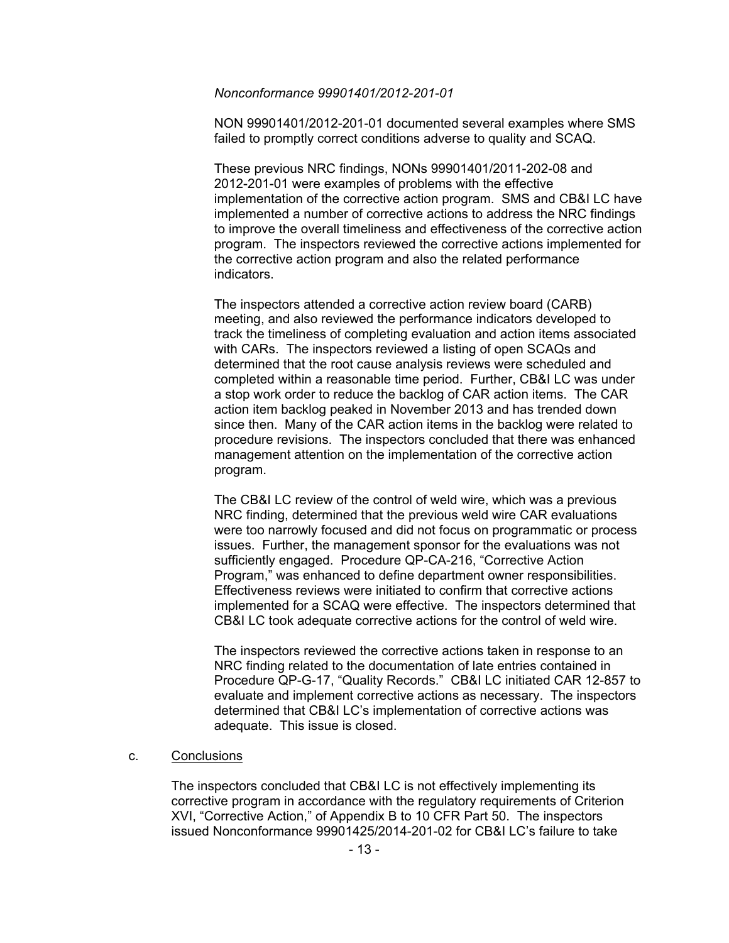#### *Nonconformance 99901401/2012-201-01*

NON 99901401/2012-201-01 documented several examples where SMS failed to promptly correct conditions adverse to quality and SCAQ.

These previous NRC findings, NONs 99901401/2011-202-08 and 2012-201-01 were examples of problems with the effective implementation of the corrective action program. SMS and CB&I LC have implemented a number of corrective actions to address the NRC findings to improve the overall timeliness and effectiveness of the corrective action program. The inspectors reviewed the corrective actions implemented for the corrective action program and also the related performance indicators.

The inspectors attended a corrective action review board (CARB) meeting, and also reviewed the performance indicators developed to track the timeliness of completing evaluation and action items associated with CARs. The inspectors reviewed a listing of open SCAQs and determined that the root cause analysis reviews were scheduled and completed within a reasonable time period. Further, CB&I LC was under a stop work order to reduce the backlog of CAR action items. The CAR action item backlog peaked in November 2013 and has trended down since then. Many of the CAR action items in the backlog were related to procedure revisions. The inspectors concluded that there was enhanced management attention on the implementation of the corrective action program.

The CB&I LC review of the control of weld wire, which was a previous NRC finding, determined that the previous weld wire CAR evaluations were too narrowly focused and did not focus on programmatic or process issues. Further, the management sponsor for the evaluations was not sufficiently engaged. Procedure QP-CA-216, "Corrective Action Program," was enhanced to define department owner responsibilities. Effectiveness reviews were initiated to confirm that corrective actions implemented for a SCAQ were effective. The inspectors determined that CB&I LC took adequate corrective actions for the control of weld wire.

The inspectors reviewed the corrective actions taken in response to an NRC finding related to the documentation of late entries contained in Procedure QP-G-17, "Quality Records." CB&I LC initiated CAR 12-857 to evaluate and implement corrective actions as necessary. The inspectors determined that CB&I LC's implementation of corrective actions was adequate. This issue is closed.

c. Conclusions

The inspectors concluded that CB&I LC is not effectively implementing its corrective program in accordance with the regulatory requirements of Criterion XVI, "Corrective Action," of Appendix B to 10 CFR Part 50. The inspectors issued Nonconformance 99901425/2014-201-02 for CB&I LC's failure to take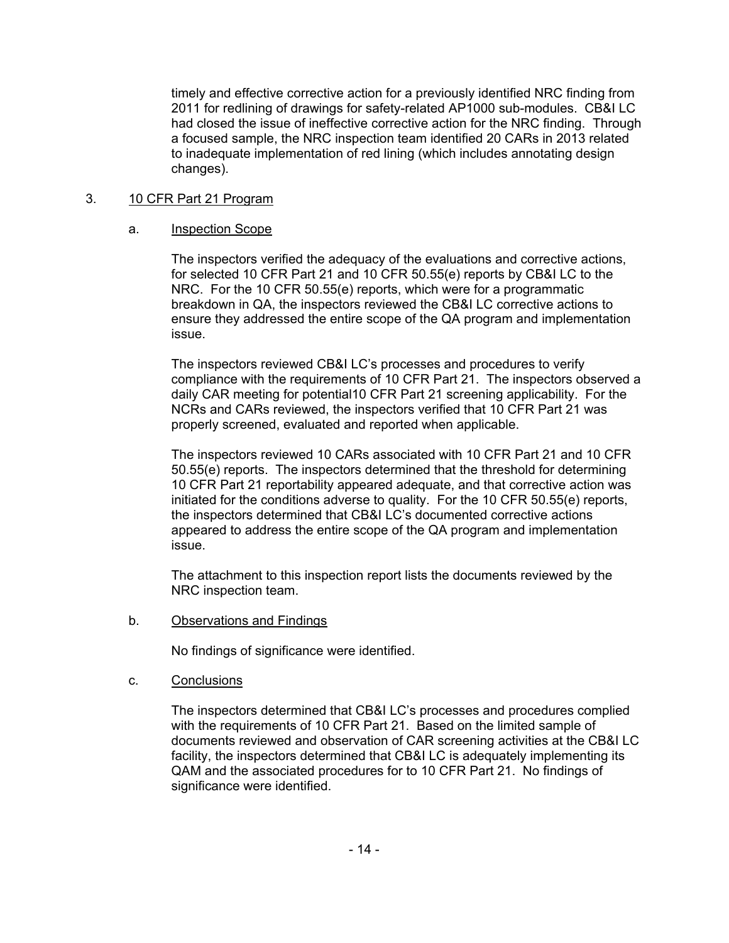timely and effective corrective action for a previously identified NRC finding from 2011 for redlining of drawings for safety-related AP1000 sub-modules. CB&I LC had closed the issue of ineffective corrective action for the NRC finding. Through a focused sample, the NRC inspection team identified 20 CARs in 2013 related to inadequate implementation of red lining (which includes annotating design changes).

# 3. 10 CFR Part 21 Program

# a. Inspection Scope

The inspectors verified the adequacy of the evaluations and corrective actions, for selected 10 CFR Part 21 and 10 CFR 50.55(e) reports by CB&I LC to the NRC. For the 10 CFR 50.55(e) reports, which were for a programmatic breakdown in QA, the inspectors reviewed the CB&I LC corrective actions to ensure they addressed the entire scope of the QA program and implementation issue.

The inspectors reviewed CB&I LC's processes and procedures to verify compliance with the requirements of 10 CFR Part 21. The inspectors observed a daily CAR meeting for potential10 CFR Part 21 screening applicability. For the NCRs and CARs reviewed, the inspectors verified that 10 CFR Part 21 was properly screened, evaluated and reported when applicable.

The inspectors reviewed 10 CARs associated with 10 CFR Part 21 and 10 CFR 50.55(e) reports. The inspectors determined that the threshold for determining 10 CFR Part 21 reportability appeared adequate, and that corrective action was initiated for the conditions adverse to quality. For the 10 CFR 50.55(e) reports, the inspectors determined that CB&I LC's documented corrective actions appeared to address the entire scope of the QA program and implementation issue.

The attachment to this inspection report lists the documents reviewed by the NRC inspection team.

b. Observations and Findings

No findings of significance were identified.

c. Conclusions

The inspectors determined that CB&I LC's processes and procedures complied with the requirements of 10 CFR Part 21. Based on the limited sample of documents reviewed and observation of CAR screening activities at the CB&I LC facility, the inspectors determined that CB&I LC is adequately implementing its QAM and the associated procedures for to 10 CFR Part 21. No findings of significance were identified.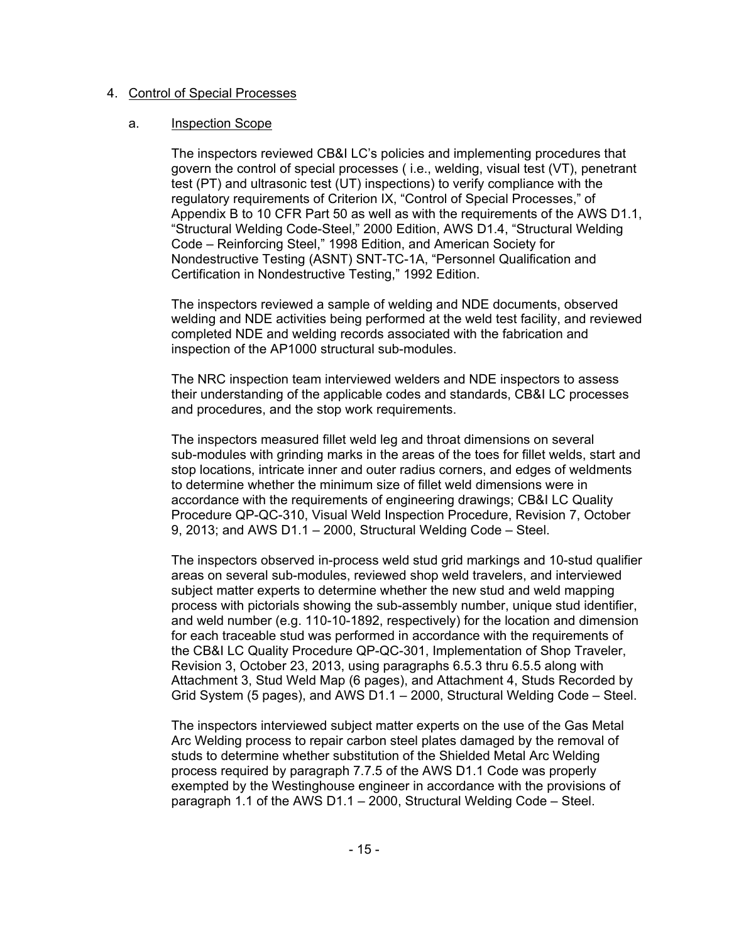### 4. Control of Special Processes

#### a. Inspection Scope

The inspectors reviewed CB&I LC's policies and implementing procedures that govern the control of special processes ( i.e., welding, visual test (VT), penetrant test (PT) and ultrasonic test (UT) inspections) to verify compliance with the regulatory requirements of Criterion IX, "Control of Special Processes," of Appendix B to 10 CFR Part 50 as well as with the requirements of the AWS D1.1, "Structural Welding Code-Steel," 2000 Edition, AWS D1.4, "Structural Welding Code – Reinforcing Steel," 1998 Edition, and American Society for Nondestructive Testing (ASNT) SNT-TC-1A, "Personnel Qualification and Certification in Nondestructive Testing," 1992 Edition.

The inspectors reviewed a sample of welding and NDE documents, observed welding and NDE activities being performed at the weld test facility, and reviewed completed NDE and welding records associated with the fabrication and inspection of the AP1000 structural sub-modules.

The NRC inspection team interviewed welders and NDE inspectors to assess their understanding of the applicable codes and standards, CB&I LC processes and procedures, and the stop work requirements.

The inspectors measured fillet weld leg and throat dimensions on several sub-modules with grinding marks in the areas of the toes for fillet welds, start and stop locations, intricate inner and outer radius corners, and edges of weldments to determine whether the minimum size of fillet weld dimensions were in accordance with the requirements of engineering drawings; CB&I LC Quality Procedure QP-QC-310, Visual Weld Inspection Procedure, Revision 7, October 9, 2013; and AWS D1.1 – 2000, Structural Welding Code – Steel.

The inspectors observed in-process weld stud grid markings and 10-stud qualifier areas on several sub-modules, reviewed shop weld travelers, and interviewed subject matter experts to determine whether the new stud and weld mapping process with pictorials showing the sub-assembly number, unique stud identifier, and weld number (e.g. 110-10-1892, respectively) for the location and dimension for each traceable stud was performed in accordance with the requirements of the CB&I LC Quality Procedure QP-QC-301, Implementation of Shop Traveler, Revision 3, October 23, 2013, using paragraphs 6.5.3 thru 6.5.5 along with Attachment 3, Stud Weld Map (6 pages), and Attachment 4, Studs Recorded by Grid System (5 pages), and AWS D1.1 – 2000, Structural Welding Code – Steel.

The inspectors interviewed subject matter experts on the use of the Gas Metal Arc Welding process to repair carbon steel plates damaged by the removal of studs to determine whether substitution of the Shielded Metal Arc Welding process required by paragraph 7.7.5 of the AWS D1.1 Code was properly exempted by the Westinghouse engineer in accordance with the provisions of paragraph 1.1 of the AWS D1.1 – 2000, Structural Welding Code – Steel.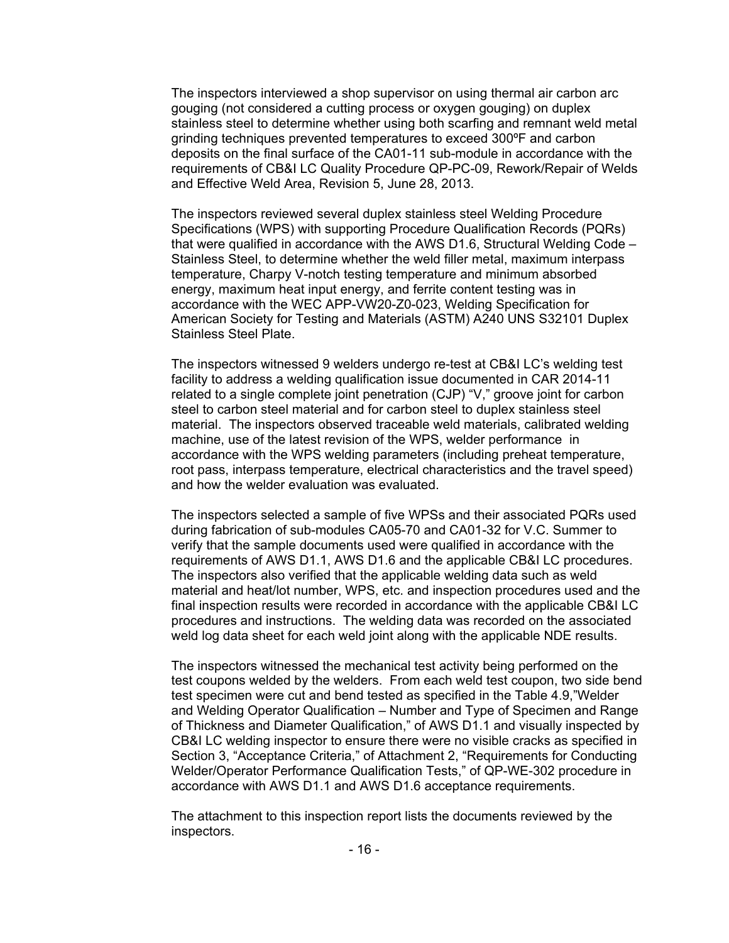The inspectors interviewed a shop supervisor on using thermal air carbon arc gouging (not considered a cutting process or oxygen gouging) on duplex stainless steel to determine whether using both scarfing and remnant weld metal grinding techniques prevented temperatures to exceed 300ºF and carbon deposits on the final surface of the CA01-11 sub-module in accordance with the requirements of CB&I LC Quality Procedure QP-PC-09, Rework/Repair of Welds and Effective Weld Area, Revision 5, June 28, 2013.

The inspectors reviewed several duplex stainless steel Welding Procedure Specifications (WPS) with supporting Procedure Qualification Records (PQRs) that were qualified in accordance with the AWS D1.6, Structural Welding Code – Stainless Steel, to determine whether the weld filler metal, maximum interpass temperature, Charpy V-notch testing temperature and minimum absorbed energy, maximum heat input energy, and ferrite content testing was in accordance with the WEC APP-VW20-Z0-023, Welding Specification for American Society for Testing and Materials (ASTM) A240 UNS S32101 Duplex Stainless Steel Plate.

The inspectors witnessed 9 welders undergo re-test at CB&I LC's welding test facility to address a welding qualification issue documented in CAR 2014-11 related to a single complete joint penetration (CJP) "V," groove joint for carbon steel to carbon steel material and for carbon steel to duplex stainless steel material. The inspectors observed traceable weld materials, calibrated welding machine, use of the latest revision of the WPS, welder performance in accordance with the WPS welding parameters (including preheat temperature, root pass, interpass temperature, electrical characteristics and the travel speed) and how the welder evaluation was evaluated.

The inspectors selected a sample of five WPSs and their associated PQRs used during fabrication of sub-modules CA05-70 and CA01-32 for V.C. Summer to verify that the sample documents used were qualified in accordance with the requirements of AWS D1.1, AWS D1.6 and the applicable CB&I LC procedures. The inspectors also verified that the applicable welding data such as weld material and heat/lot number, WPS, etc. and inspection procedures used and the final inspection results were recorded in accordance with the applicable CB&I LC procedures and instructions. The welding data was recorded on the associated weld log data sheet for each weld joint along with the applicable NDE results.

The inspectors witnessed the mechanical test activity being performed on the test coupons welded by the welders. From each weld test coupon, two side bend test specimen were cut and bend tested as specified in the Table 4.9,"Welder and Welding Operator Qualification – Number and Type of Specimen and Range of Thickness and Diameter Qualification," of AWS D1.1 and visually inspected by CB&I LC welding inspector to ensure there were no visible cracks as specified in Section 3, "Acceptance Criteria," of Attachment 2, "Requirements for Conducting Welder/Operator Performance Qualification Tests," of QP-WE-302 procedure in accordance with AWS D1.1 and AWS D1.6 acceptance requirements.

The attachment to this inspection report lists the documents reviewed by the inspectors.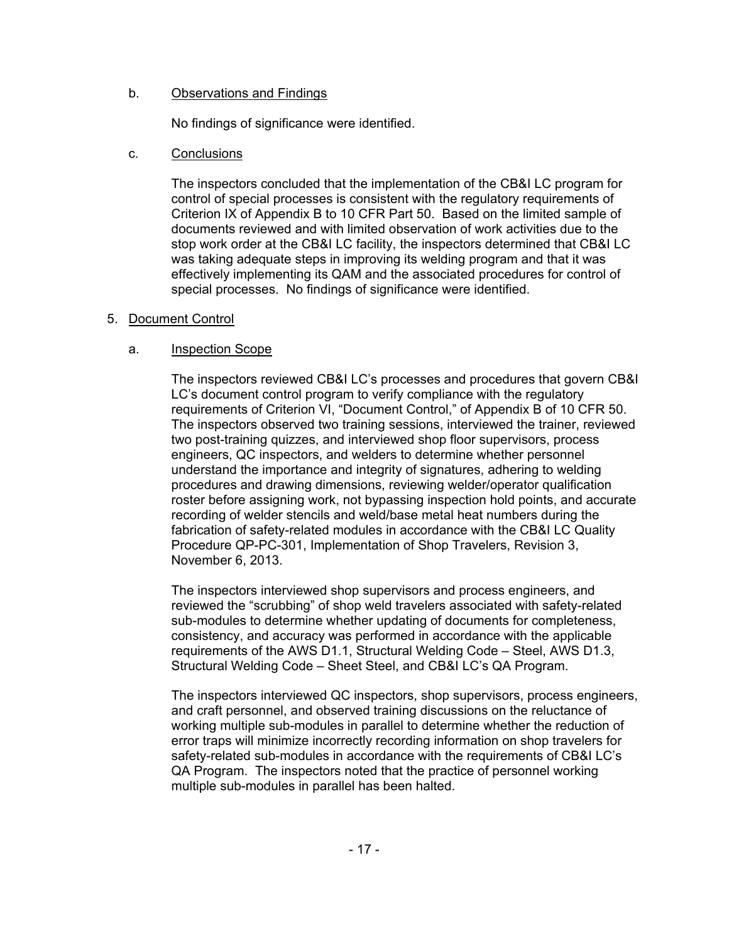# b. Observations and Findings

No findings of significance were identified.

# c. Conclusions

The inspectors concluded that the implementation of the CB&I LC program for control of special processes is consistent with the regulatory requirements of Criterion IX of Appendix B to 10 CFR Part 50. Based on the limited sample of documents reviewed and with limited observation of work activities due to the stop work order at the CB&I LC facility, the inspectors determined that CB&I LC was taking adequate steps in improving its welding program and that it was effectively implementing its QAM and the associated procedures for control of special processes. No findings of significance were identified.

# 5. Document Control

# a. Inspection Scope

The inspectors reviewed CB&I LC's processes and procedures that govern CB&I LC's document control program to verify compliance with the regulatory requirements of Criterion VI, "Document Control," of Appendix B of 10 CFR 50. The inspectors observed two training sessions, interviewed the trainer, reviewed two post-training quizzes, and interviewed shop floor supervisors, process engineers, QC inspectors, and welders to determine whether personnel understand the importance and integrity of signatures, adhering to welding procedures and drawing dimensions, reviewing welder/operator qualification roster before assigning work, not bypassing inspection hold points, and accurate recording of welder stencils and weld/base metal heat numbers during the fabrication of safety-related modules in accordance with the CB&I LC Quality Procedure QP-PC-301, Implementation of Shop Travelers, Revision 3, November 6, 2013.

The inspectors interviewed shop supervisors and process engineers, and reviewed the "scrubbing" of shop weld travelers associated with safety-related sub-modules to determine whether updating of documents for completeness, consistency, and accuracy was performed in accordance with the applicable requirements of the AWS D1.1, Structural Welding Code – Steel, AWS D1.3, Structural Welding Code – Sheet Steel, and CB&I LC's QA Program.

The inspectors interviewed QC inspectors, shop supervisors, process engineers, and craft personnel, and observed training discussions on the reluctance of working multiple sub-modules in parallel to determine whether the reduction of error traps will minimize incorrectly recording information on shop travelers for safety-related sub-modules in accordance with the requirements of CB&I LC's QA Program. The inspectors noted that the practice of personnel working multiple sub-modules in parallel has been halted.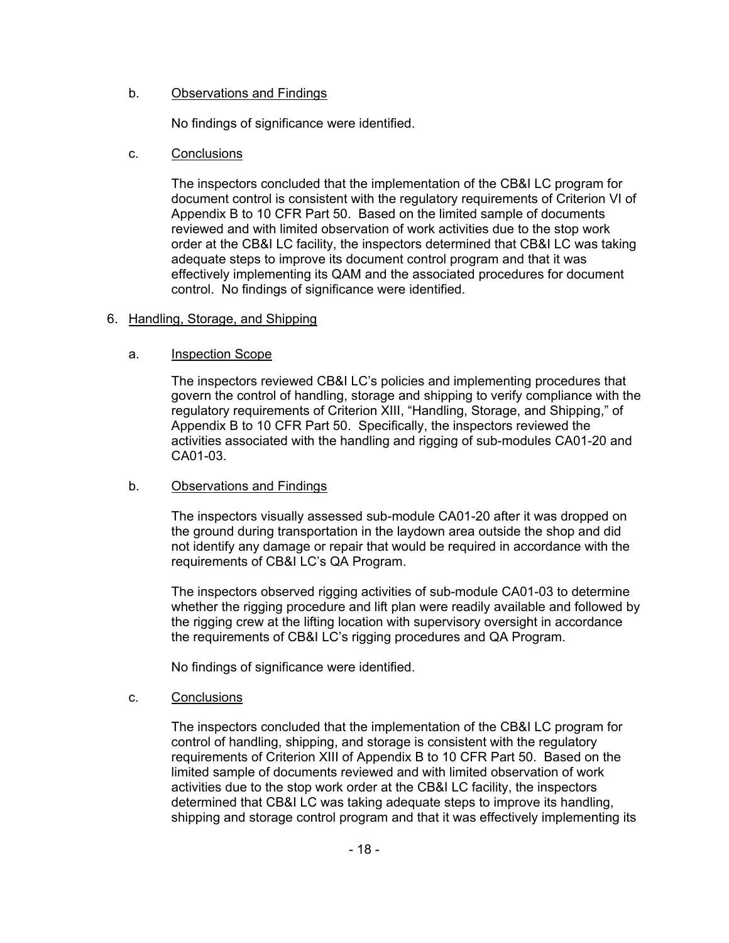# b. Observations and Findings

No findings of significance were identified.

# c. Conclusions

The inspectors concluded that the implementation of the CB&I LC program for document control is consistent with the regulatory requirements of Criterion VI of Appendix B to 10 CFR Part 50. Based on the limited sample of documents reviewed and with limited observation of work activities due to the stop work order at the CB&I LC facility, the inspectors determined that CB&I LC was taking adequate steps to improve its document control program and that it was effectively implementing its QAM and the associated procedures for document control. No findings of significance were identified.

# 6. Handling, Storage, and Shipping

# a. Inspection Scope

The inspectors reviewed CB&I LC's policies and implementing procedures that govern the control of handling, storage and shipping to verify compliance with the regulatory requirements of Criterion XIII, "Handling, Storage, and Shipping," of Appendix B to 10 CFR Part 50. Specifically, the inspectors reviewed the activities associated with the handling and rigging of sub-modules CA01-20 and CA01-03.

## b. Observations and Findings

The inspectors visually assessed sub-module CA01-20 after it was dropped on the ground during transportation in the laydown area outside the shop and did not identify any damage or repair that would be required in accordance with the requirements of CB&I LC's QA Program.

The inspectors observed rigging activities of sub-module CA01-03 to determine whether the rigging procedure and lift plan were readily available and followed by the rigging crew at the lifting location with supervisory oversight in accordance the requirements of CB&I LC's rigging procedures and QA Program.

No findings of significance were identified.

## c. Conclusions

The inspectors concluded that the implementation of the CB&I LC program for control of handling, shipping, and storage is consistent with the regulatory requirements of Criterion XIII of Appendix B to 10 CFR Part 50. Based on the limited sample of documents reviewed and with limited observation of work activities due to the stop work order at the CB&I LC facility, the inspectors determined that CB&I LC was taking adequate steps to improve its handling, shipping and storage control program and that it was effectively implementing its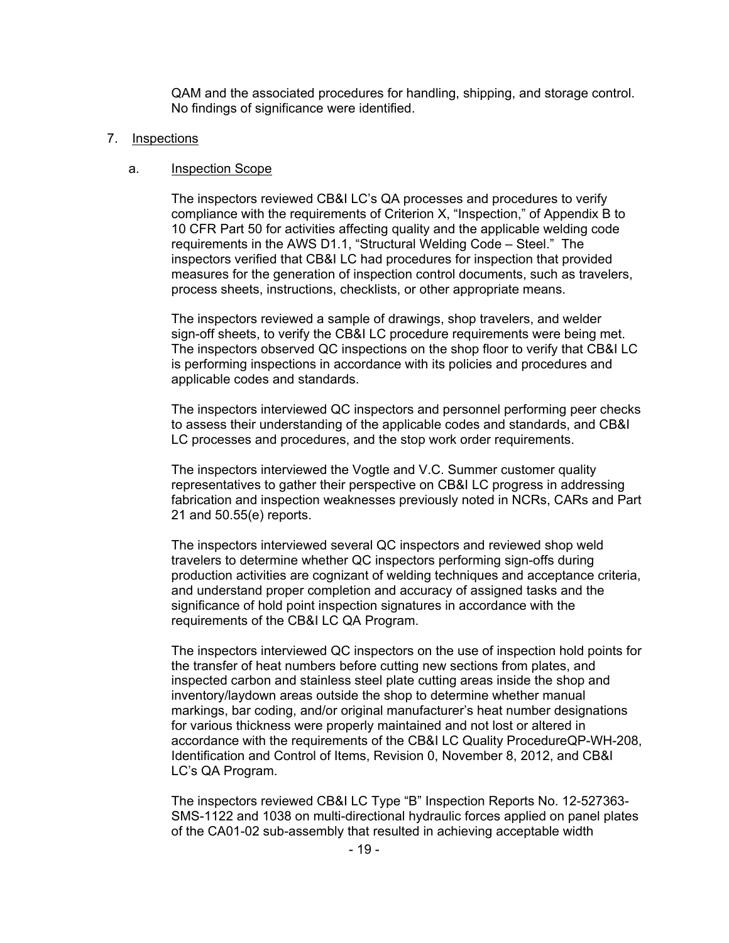QAM and the associated procedures for handling, shipping, and storage control. No findings of significance were identified.

#### 7. Inspections

#### a. Inspection Scope

The inspectors reviewed CB&I LC's QA processes and procedures to verify compliance with the requirements of Criterion X, "Inspection," of Appendix B to 10 CFR Part 50 for activities affecting quality and the applicable welding code requirements in the AWS D1.1, "Structural Welding Code – Steel." The inspectors verified that CB&I LC had procedures for inspection that provided measures for the generation of inspection control documents, such as travelers, process sheets, instructions, checklists, or other appropriate means.

The inspectors reviewed a sample of drawings, shop travelers, and welder sign-off sheets, to verify the CB&I LC procedure requirements were being met. The inspectors observed QC inspections on the shop floor to verify that CB&I LC is performing inspections in accordance with its policies and procedures and applicable codes and standards.

The inspectors interviewed QC inspectors and personnel performing peer checks to assess their understanding of the applicable codes and standards, and CB&I LC processes and procedures, and the stop work order requirements.

The inspectors interviewed the Vogtle and V.C. Summer customer quality representatives to gather their perspective on CB&I LC progress in addressing fabrication and inspection weaknesses previously noted in NCRs, CARs and Part 21 and 50.55(e) reports.

The inspectors interviewed several QC inspectors and reviewed shop weld travelers to determine whether QC inspectors performing sign-offs during production activities are cognizant of welding techniques and acceptance criteria, and understand proper completion and accuracy of assigned tasks and the significance of hold point inspection signatures in accordance with the requirements of the CB&I LC QA Program.

The inspectors interviewed QC inspectors on the use of inspection hold points for the transfer of heat numbers before cutting new sections from plates, and inspected carbon and stainless steel plate cutting areas inside the shop and inventory/laydown areas outside the shop to determine whether manual markings, bar coding, and/or original manufacturer's heat number designations for various thickness were properly maintained and not lost or altered in accordance with the requirements of the CB&I LC Quality ProcedureQP-WH-208, Identification and Control of Items, Revision 0, November 8, 2012, and CB&I LC's QA Program.

The inspectors reviewed CB&I LC Type "B" Inspection Reports No. 12-527363- SMS-1122 and 1038 on multi-directional hydraulic forces applied on panel plates of the CA01-02 sub-assembly that resulted in achieving acceptable width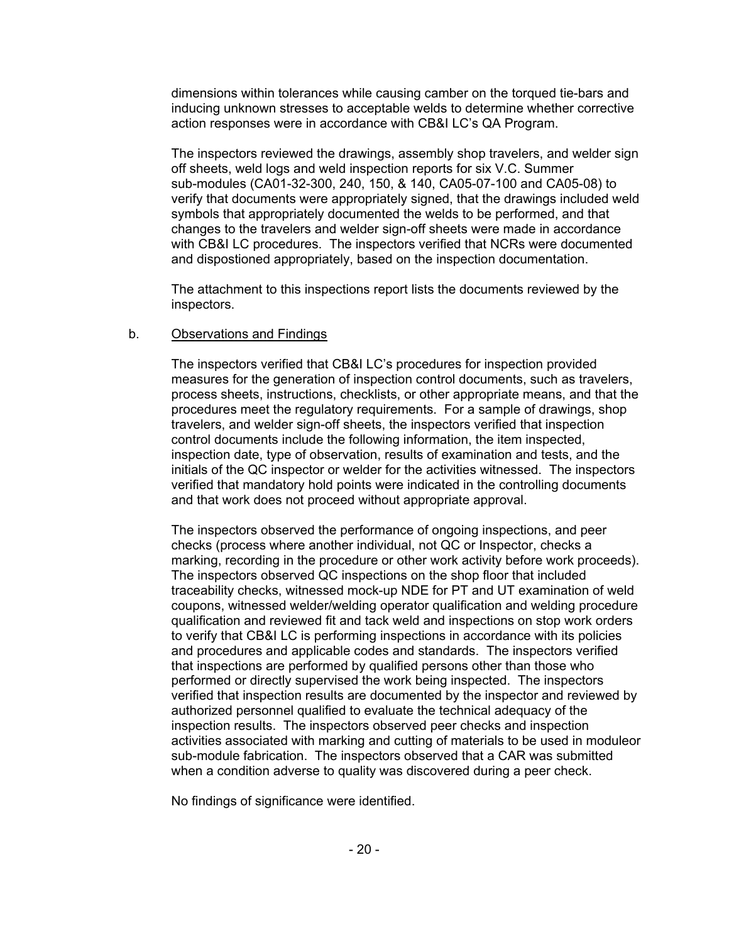dimensions within tolerances while causing camber on the torqued tie-bars and inducing unknown stresses to acceptable welds to determine whether corrective action responses were in accordance with CB&I LC's QA Program.

The inspectors reviewed the drawings, assembly shop travelers, and welder sign off sheets, weld logs and weld inspection reports for six V.C. Summer sub-modules (CA01-32-300, 240, 150, & 140, CA05-07-100 and CA05-08) to verify that documents were appropriately signed, that the drawings included weld symbols that appropriately documented the welds to be performed, and that changes to the travelers and welder sign-off sheets were made in accordance with CB&I LC procedures. The inspectors verified that NCRs were documented and dispostioned appropriately, based on the inspection documentation.

The attachment to this inspections report lists the documents reviewed by the inspectors.

#### b. Observations and Findings

The inspectors verified that CB&I LC's procedures for inspection provided measures for the generation of inspection control documents, such as travelers, process sheets, instructions, checklists, or other appropriate means, and that the procedures meet the regulatory requirements. For a sample of drawings, shop travelers, and welder sign-off sheets, the inspectors verified that inspection control documents include the following information, the item inspected, inspection date, type of observation, results of examination and tests, and the initials of the QC inspector or welder for the activities witnessed. The inspectors verified that mandatory hold points were indicated in the controlling documents and that work does not proceed without appropriate approval.

The inspectors observed the performance of ongoing inspections, and peer checks (process where another individual, not QC or Inspector, checks a marking, recording in the procedure or other work activity before work proceeds). The inspectors observed QC inspections on the shop floor that included traceability checks, witnessed mock-up NDE for PT and UT examination of weld coupons, witnessed welder/welding operator qualification and welding procedure qualification and reviewed fit and tack weld and inspections on stop work orders to verify that CB&I LC is performing inspections in accordance with its policies and procedures and applicable codes and standards. The inspectors verified that inspections are performed by qualified persons other than those who performed or directly supervised the work being inspected. The inspectors verified that inspection results are documented by the inspector and reviewed by authorized personnel qualified to evaluate the technical adequacy of the inspection results. The inspectors observed peer checks and inspection activities associated with marking and cutting of materials to be used in moduleor sub-module fabrication. The inspectors observed that a CAR was submitted when a condition adverse to quality was discovered during a peer check.

No findings of significance were identified.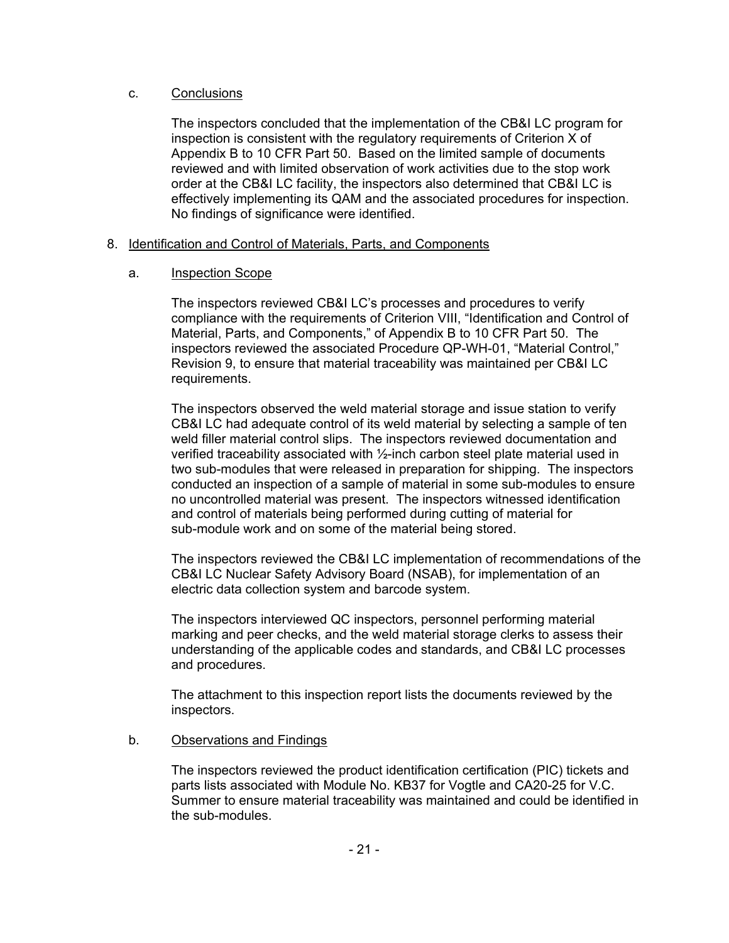# c. Conclusions

The inspectors concluded that the implementation of the CB&I LC program for inspection is consistent with the regulatory requirements of Criterion X of Appendix B to 10 CFR Part 50. Based on the limited sample of documents reviewed and with limited observation of work activities due to the stop work order at the CB&I LC facility, the inspectors also determined that CB&I LC is effectively implementing its QAM and the associated procedures for inspection. No findings of significance were identified.

# 8. Identification and Control of Materials, Parts, and Components

# a. Inspection Scope

The inspectors reviewed CB&I LC's processes and procedures to verify compliance with the requirements of Criterion VIII, "Identification and Control of Material, Parts, and Components," of Appendix B to 10 CFR Part 50. The inspectors reviewed the associated Procedure QP-WH-01, "Material Control," Revision 9, to ensure that material traceability was maintained per CB&I LC requirements.

The inspectors observed the weld material storage and issue station to verify CB&I LC had adequate control of its weld material by selecting a sample of ten weld filler material control slips. The inspectors reviewed documentation and verified traceability associated with ½-inch carbon steel plate material used in two sub-modules that were released in preparation for shipping. The inspectors conducted an inspection of a sample of material in some sub-modules to ensure no uncontrolled material was present. The inspectors witnessed identification and control of materials being performed during cutting of material for sub-module work and on some of the material being stored.

The inspectors reviewed the CB&I LC implementation of recommendations of the CB&I LC Nuclear Safety Advisory Board (NSAB), for implementation of an electric data collection system and barcode system.

The inspectors interviewed QC inspectors, personnel performing material marking and peer checks, and the weld material storage clerks to assess their understanding of the applicable codes and standards, and CB&I LC processes and procedures.

The attachment to this inspection report lists the documents reviewed by the inspectors.

# b. Observations and Findings

The inspectors reviewed the product identification certification (PIC) tickets and parts lists associated with Module No. KB37 for Vogtle and CA20-25 for V.C. Summer to ensure material traceability was maintained and could be identified in the sub-modules.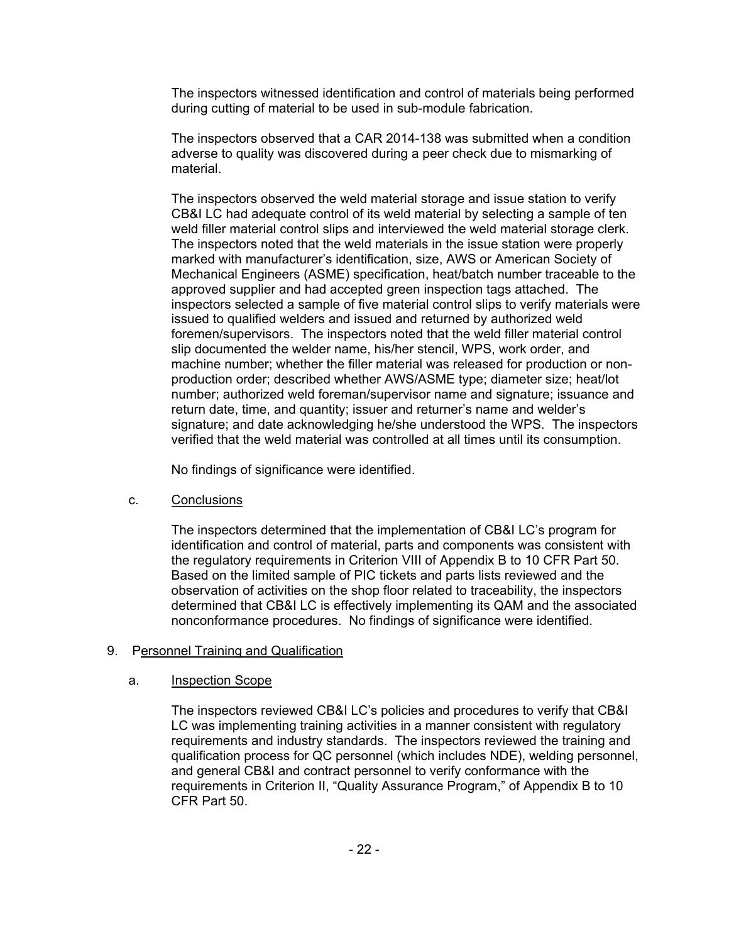The inspectors witnessed identification and control of materials being performed during cutting of material to be used in sub-module fabrication.

The inspectors observed that a CAR 2014-138 was submitted when a condition adverse to quality was discovered during a peer check due to mismarking of material.

The inspectors observed the weld material storage and issue station to verify CB&I LC had adequate control of its weld material by selecting a sample of ten weld filler material control slips and interviewed the weld material storage clerk. The inspectors noted that the weld materials in the issue station were properly marked with manufacturer's identification, size, AWS or American Society of Mechanical Engineers (ASME) specification, heat/batch number traceable to the approved supplier and had accepted green inspection tags attached. The inspectors selected a sample of five material control slips to verify materials were issued to qualified welders and issued and returned by authorized weld foremen/supervisors. The inspectors noted that the weld filler material control slip documented the welder name, his/her stencil, WPS, work order, and machine number; whether the filler material was released for production or nonproduction order; described whether AWS/ASME type; diameter size; heat/lot number; authorized weld foreman/supervisor name and signature; issuance and return date, time, and quantity; issuer and returner's name and welder's signature; and date acknowledging he/she understood the WPS. The inspectors verified that the weld material was controlled at all times until its consumption.

No findings of significance were identified.

## c. Conclusions

The inspectors determined that the implementation of CB&I LC's program for identification and control of material, parts and components was consistent with the regulatory requirements in Criterion VIII of Appendix B to 10 CFR Part 50. Based on the limited sample of PIC tickets and parts lists reviewed and the observation of activities on the shop floor related to traceability, the inspectors determined that CB&I LC is effectively implementing its QAM and the associated nonconformance procedures. No findings of significance were identified.

## 9. Personnel Training and Qualification

## a. Inspection Scope

The inspectors reviewed CB&I LC's policies and procedures to verify that CB&I LC was implementing training activities in a manner consistent with regulatory requirements and industry standards. The inspectors reviewed the training and qualification process for QC personnel (which includes NDE), welding personnel, and general CB&I and contract personnel to verify conformance with the requirements in Criterion II, "Quality Assurance Program," of Appendix B to 10 CFR Part 50.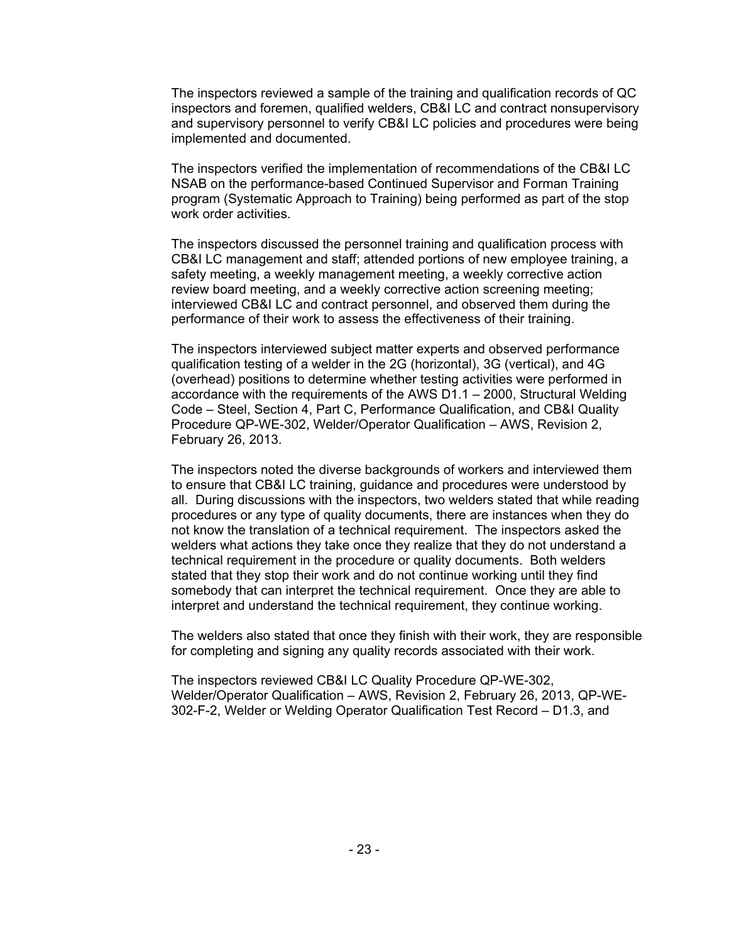The inspectors reviewed a sample of the training and qualification records of QC inspectors and foremen, qualified welders, CB&I LC and contract nonsupervisory and supervisory personnel to verify CB&I LC policies and procedures were being implemented and documented.

The inspectors verified the implementation of recommendations of the CB&I LC NSAB on the performance-based Continued Supervisor and Forman Training program (Systematic Approach to Training) being performed as part of the stop work order activities.

The inspectors discussed the personnel training and qualification process with CB&I LC management and staff; attended portions of new employee training, a safety meeting, a weekly management meeting, a weekly corrective action review board meeting, and a weekly corrective action screening meeting; interviewed CB&I LC and contract personnel, and observed them during the performance of their work to assess the effectiveness of their training.

The inspectors interviewed subject matter experts and observed performance qualification testing of a welder in the 2G (horizontal), 3G (vertical), and 4G (overhead) positions to determine whether testing activities were performed in accordance with the requirements of the AWS D1.1 – 2000, Structural Welding Code – Steel, Section 4, Part C, Performance Qualification, and CB&I Quality Procedure QP-WE-302, Welder/Operator Qualification – AWS, Revision 2, February 26, 2013.

The inspectors noted the diverse backgrounds of workers and interviewed them to ensure that CB&I LC training, guidance and procedures were understood by all. During discussions with the inspectors, two welders stated that while reading procedures or any type of quality documents, there are instances when they do not know the translation of a technical requirement. The inspectors asked the welders what actions they take once they realize that they do not understand a technical requirement in the procedure or quality documents. Both welders stated that they stop their work and do not continue working until they find somebody that can interpret the technical requirement. Once they are able to interpret and understand the technical requirement, they continue working.

The welders also stated that once they finish with their work, they are responsible for completing and signing any quality records associated with their work.

The inspectors reviewed CB&I LC Quality Procedure QP-WE-302, Welder/Operator Qualification – AWS, Revision 2, February 26, 2013, QP-WE-302-F-2, Welder or Welding Operator Qualification Test Record – D1.3, and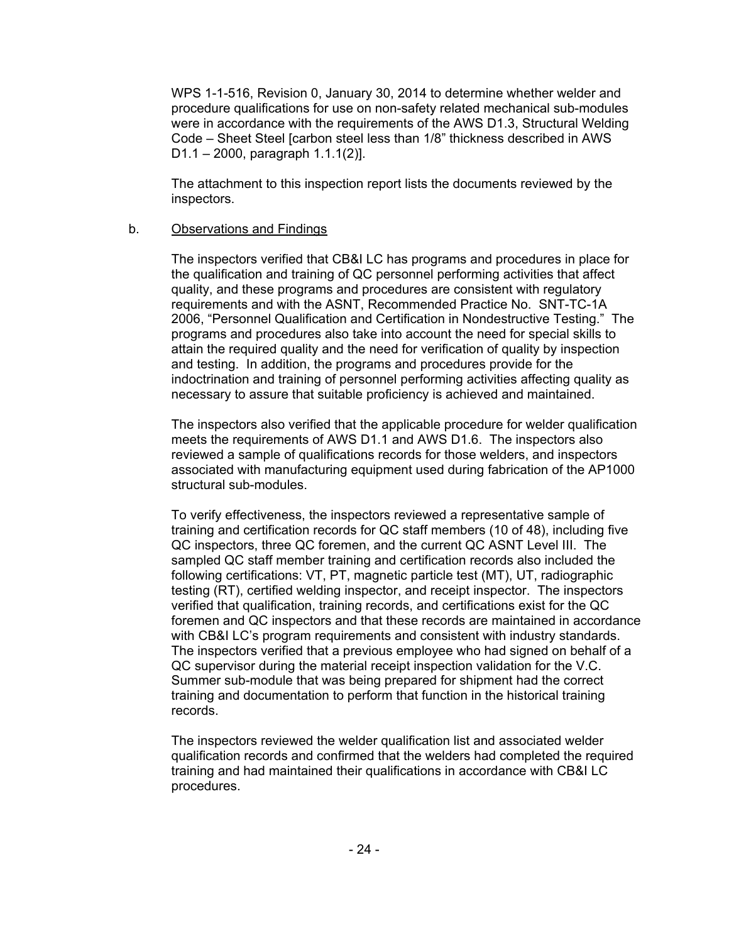WPS 1-1-516, Revision 0, January 30, 2014 to determine whether welder and procedure qualifications for use on non-safety related mechanical sub-modules were in accordance with the requirements of the AWS D1.3, Structural Welding Code – Sheet Steel [carbon steel less than 1/8" thickness described in AWS D1.1 – 2000, paragraph 1.1.1(2)].

The attachment to this inspection report lists the documents reviewed by the inspectors.

# b. Observations and Findings

The inspectors verified that CB&I LC has programs and procedures in place for the qualification and training of QC personnel performing activities that affect quality, and these programs and procedures are consistent with regulatory requirements and with the ASNT, Recommended Practice No. SNT-TC-1A 2006, "Personnel Qualification and Certification in Nondestructive Testing." The programs and procedures also take into account the need for special skills to attain the required quality and the need for verification of quality by inspection and testing. In addition, the programs and procedures provide for the indoctrination and training of personnel performing activities affecting quality as necessary to assure that suitable proficiency is achieved and maintained.

The inspectors also verified that the applicable procedure for welder qualification meets the requirements of AWS D1.1 and AWS D1.6. The inspectors also reviewed a sample of qualifications records for those welders, and inspectors associated with manufacturing equipment used during fabrication of the AP1000 structural sub-modules.

To verify effectiveness, the inspectors reviewed a representative sample of training and certification records for QC staff members (10 of 48), including five QC inspectors, three QC foremen, and the current QC ASNT Level III. The sampled QC staff member training and certification records also included the following certifications: VT, PT, magnetic particle test (MT), UT, radiographic testing (RT), certified welding inspector, and receipt inspector. The inspectors verified that qualification, training records, and certifications exist for the QC foremen and QC inspectors and that these records are maintained in accordance with CB&I LC's program requirements and consistent with industry standards. The inspectors verified that a previous employee who had signed on behalf of a QC supervisor during the material receipt inspection validation for the V.C. Summer sub-module that was being prepared for shipment had the correct training and documentation to perform that function in the historical training records.

The inspectors reviewed the welder qualification list and associated welder qualification records and confirmed that the welders had completed the required training and had maintained their qualifications in accordance with CB&I LC procedures.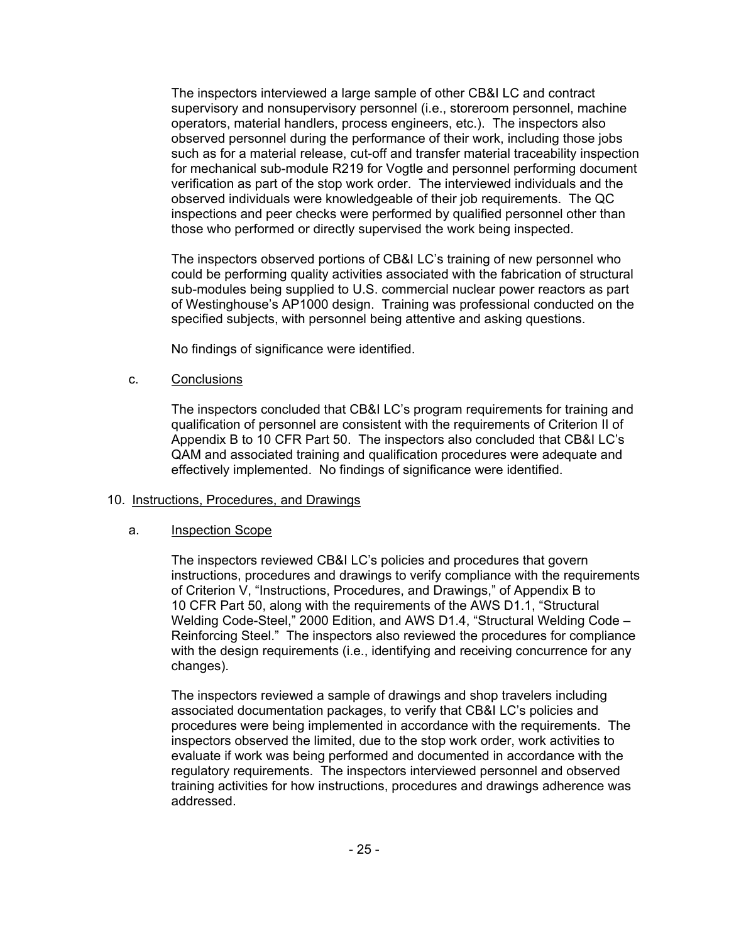The inspectors interviewed a large sample of other CB&I LC and contract supervisory and nonsupervisory personnel (i.e., storeroom personnel, machine operators, material handlers, process engineers, etc.). The inspectors also observed personnel during the performance of their work, including those jobs such as for a material release, cut-off and transfer material traceability inspection for mechanical sub-module R219 for Vogtle and personnel performing document verification as part of the stop work order. The interviewed individuals and the observed individuals were knowledgeable of their job requirements. The QC inspections and peer checks were performed by qualified personnel other than those who performed or directly supervised the work being inspected.

The inspectors observed portions of CB&I LC's training of new personnel who could be performing quality activities associated with the fabrication of structural sub-modules being supplied to U.S. commercial nuclear power reactors as part of Westinghouse's AP1000 design. Training was professional conducted on the specified subjects, with personnel being attentive and asking questions.

No findings of significance were identified.

## c. Conclusions

The inspectors concluded that CB&I LC's program requirements for training and qualification of personnel are consistent with the requirements of Criterion II of Appendix B to 10 CFR Part 50. The inspectors also concluded that CB&I LC's QAM and associated training and qualification procedures were adequate and effectively implemented. No findings of significance were identified.

## 10. Instructions, Procedures, and Drawings

## a. Inspection Scope

The inspectors reviewed CB&I LC's policies and procedures that govern instructions, procedures and drawings to verify compliance with the requirements of Criterion V, "Instructions, Procedures, and Drawings," of Appendix B to 10 CFR Part 50, along with the requirements of the AWS D1.1, "Structural Welding Code-Steel," 2000 Edition, and AWS D1.4, "Structural Welding Code – Reinforcing Steel." The inspectors also reviewed the procedures for compliance with the design requirements (i.e., identifying and receiving concurrence for any changes).

The inspectors reviewed a sample of drawings and shop travelers including associated documentation packages, to verify that CB&I LC's policies and procedures were being implemented in accordance with the requirements. The inspectors observed the limited, due to the stop work order, work activities to evaluate if work was being performed and documented in accordance with the regulatory requirements. The inspectors interviewed personnel and observed training activities for how instructions, procedures and drawings adherence was addressed.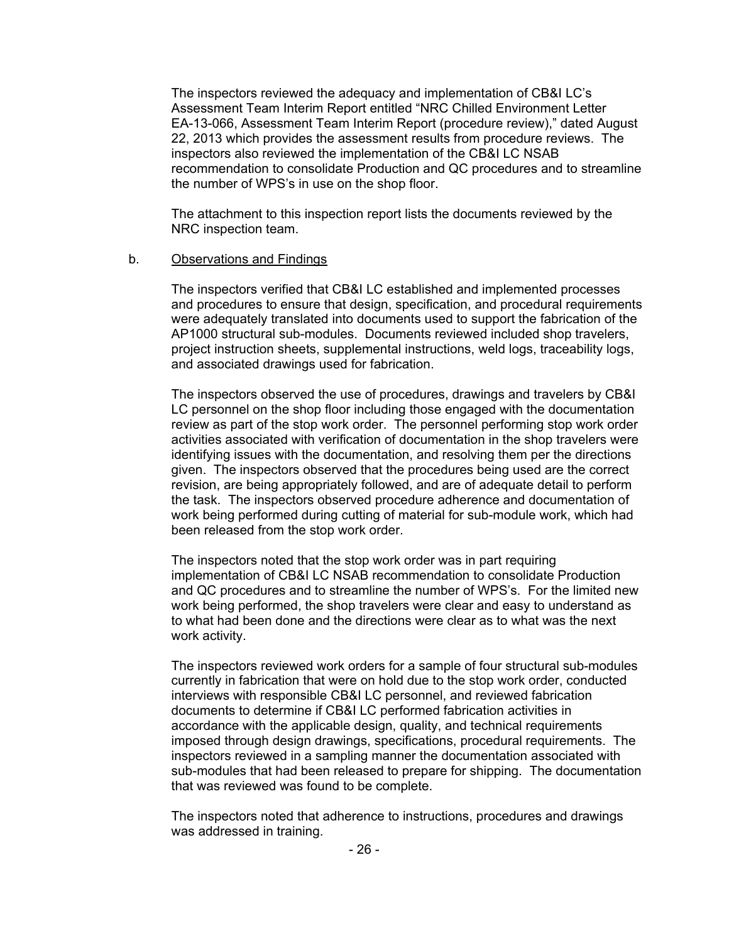The inspectors reviewed the adequacy and implementation of CB&I LC's Assessment Team Interim Report entitled "NRC Chilled Environment Letter EA-13-066, Assessment Team Interim Report (procedure review)," dated August 22, 2013 which provides the assessment results from procedure reviews. The inspectors also reviewed the implementation of the CB&I LC NSAB recommendation to consolidate Production and QC procedures and to streamline the number of WPS's in use on the shop floor.

The attachment to this inspection report lists the documents reviewed by the NRC inspection team.

#### b. Observations and Findings

The inspectors verified that CB&I LC established and implemented processes and procedures to ensure that design, specification, and procedural requirements were adequately translated into documents used to support the fabrication of the AP1000 structural sub-modules. Documents reviewed included shop travelers, project instruction sheets, supplemental instructions, weld logs, traceability logs, and associated drawings used for fabrication.

The inspectors observed the use of procedures, drawings and travelers by CB&I LC personnel on the shop floor including those engaged with the documentation review as part of the stop work order. The personnel performing stop work order activities associated with verification of documentation in the shop travelers were identifying issues with the documentation, and resolving them per the directions given. The inspectors observed that the procedures being used are the correct revision, are being appropriately followed, and are of adequate detail to perform the task. The inspectors observed procedure adherence and documentation of work being performed during cutting of material for sub-module work, which had been released from the stop work order.

The inspectors noted that the stop work order was in part requiring implementation of CB&I LC NSAB recommendation to consolidate Production and QC procedures and to streamline the number of WPS's. For the limited new work being performed, the shop travelers were clear and easy to understand as to what had been done and the directions were clear as to what was the next work activity.

The inspectors reviewed work orders for a sample of four structural sub-modules currently in fabrication that were on hold due to the stop work order, conducted interviews with responsible CB&I LC personnel, and reviewed fabrication documents to determine if CB&I LC performed fabrication activities in accordance with the applicable design, quality, and technical requirements imposed through design drawings, specifications, procedural requirements. The inspectors reviewed in a sampling manner the documentation associated with sub-modules that had been released to prepare for shipping. The documentation that was reviewed was found to be complete.

The inspectors noted that adherence to instructions, procedures and drawings was addressed in training.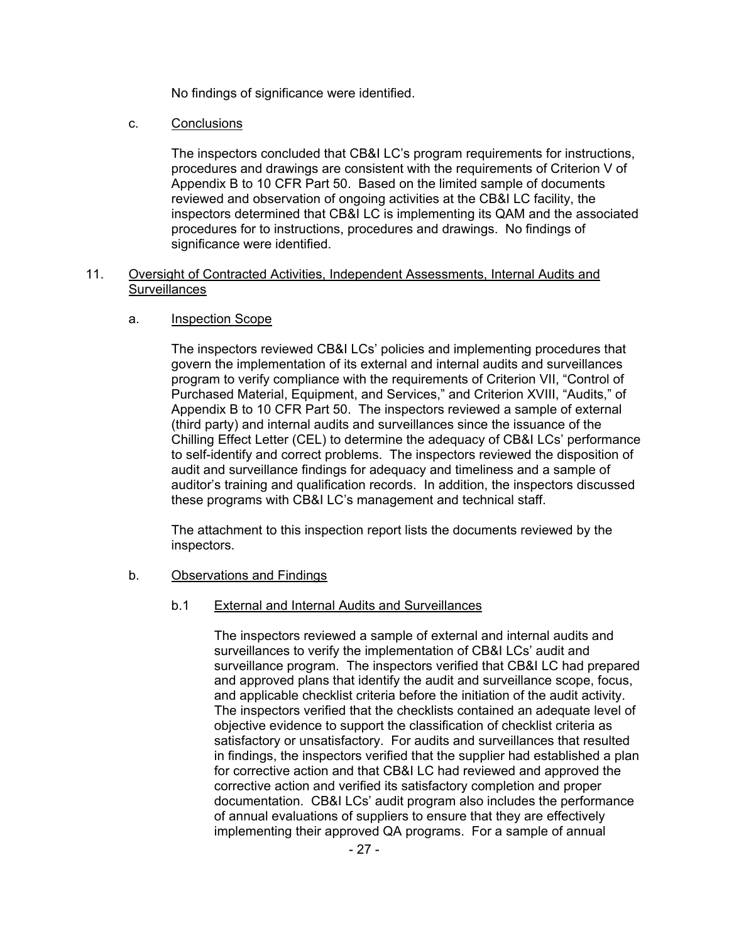No findings of significance were identified.

c. Conclusions

The inspectors concluded that CB&I LC's program requirements for instructions, procedures and drawings are consistent with the requirements of Criterion V of Appendix B to 10 CFR Part 50. Based on the limited sample of documents reviewed and observation of ongoing activities at the CB&I LC facility, the inspectors determined that CB&I LC is implementing its QAM and the associated procedures for to instructions, procedures and drawings. No findings of significance were identified.

#### 11. Oversight of Contracted Activities, Independent Assessments, Internal Audits and **Surveillances**

#### a. Inspection Scope

The inspectors reviewed CB&I LCs' policies and implementing procedures that govern the implementation of its external and internal audits and surveillances program to verify compliance with the requirements of Criterion VII, "Control of Purchased Material, Equipment, and Services," and Criterion XVIII, "Audits," of Appendix B to 10 CFR Part 50. The inspectors reviewed a sample of external (third party) and internal audits and surveillances since the issuance of the Chilling Effect Letter (CEL) to determine the adequacy of CB&I LCs' performance to self-identify and correct problems. The inspectors reviewed the disposition of audit and surveillance findings for adequacy and timeliness and a sample of auditor's training and qualification records. In addition, the inspectors discussed these programs with CB&I LC's management and technical staff.

The attachment to this inspection report lists the documents reviewed by the inspectors.

#### b. Observations and Findings

#### b.1 External and Internal Audits and Surveillances

The inspectors reviewed a sample of external and internal audits and surveillances to verify the implementation of CB&I LCs' audit and surveillance program. The inspectors verified that CB&I LC had prepared and approved plans that identify the audit and surveillance scope, focus, and applicable checklist criteria before the initiation of the audit activity. The inspectors verified that the checklists contained an adequate level of objective evidence to support the classification of checklist criteria as satisfactory or unsatisfactory. For audits and surveillances that resulted in findings, the inspectors verified that the supplier had established a plan for corrective action and that CB&I LC had reviewed and approved the corrective action and verified its satisfactory completion and proper documentation. CB&I LCs' audit program also includes the performance of annual evaluations of suppliers to ensure that they are effectively implementing their approved QA programs. For a sample of annual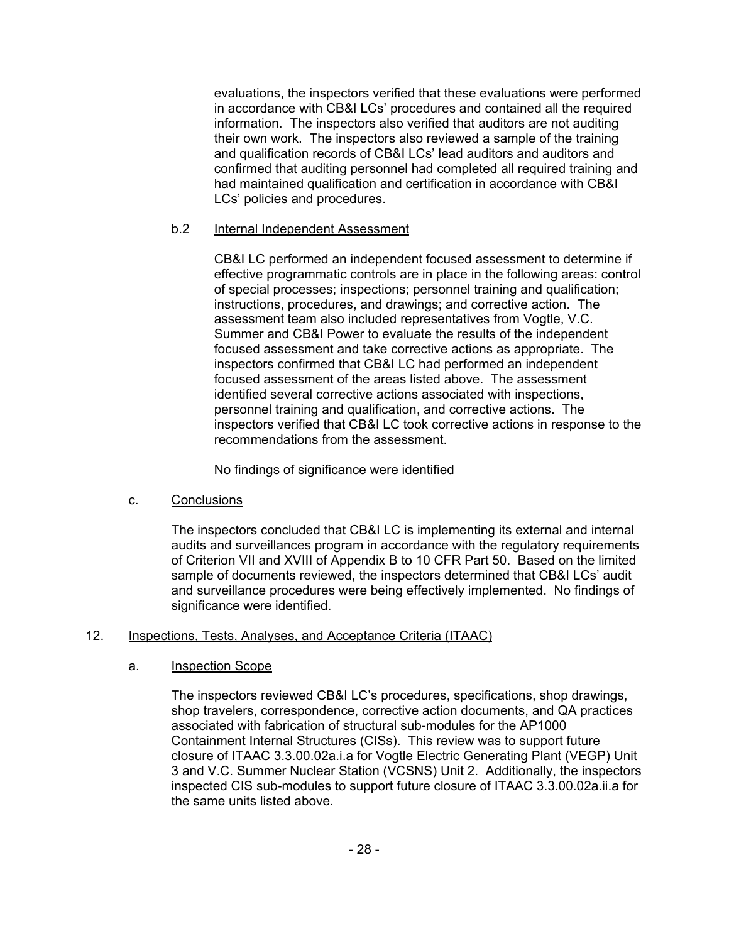evaluations, the inspectors verified that these evaluations were performed in accordance with CB&I LCs' procedures and contained all the required information. The inspectors also verified that auditors are not auditing their own work. The inspectors also reviewed a sample of the training and qualification records of CB&I LCs' lead auditors and auditors and confirmed that auditing personnel had completed all required training and had maintained qualification and certification in accordance with CB&I LCs' policies and procedures.

# b.2 Internal Independent Assessment

CB&I LC performed an independent focused assessment to determine if effective programmatic controls are in place in the following areas: control of special processes; inspections; personnel training and qualification; instructions, procedures, and drawings; and corrective action. The assessment team also included representatives from Vogtle, V.C. Summer and CB&I Power to evaluate the results of the independent focused assessment and take corrective actions as appropriate. The inspectors confirmed that CB&I LC had performed an independent focused assessment of the areas listed above. The assessment identified several corrective actions associated with inspections, personnel training and qualification, and corrective actions. The inspectors verified that CB&I LC took corrective actions in response to the recommendations from the assessment.

No findings of significance were identified

# c. Conclusions

The inspectors concluded that CB&I LC is implementing its external and internal audits and surveillances program in accordance with the regulatory requirements of Criterion VII and XVIII of Appendix B to 10 CFR Part 50. Based on the limited sample of documents reviewed, the inspectors determined that CB&I LCs' audit and surveillance procedures were being effectively implemented. No findings of significance were identified.

# 12. Inspections, Tests, Analyses, and Acceptance Criteria (ITAAC)

## a. Inspection Scope

The inspectors reviewed CB&I LC's procedures, specifications, shop drawings, shop travelers, correspondence, corrective action documents, and QA practices associated with fabrication of structural sub-modules for the AP1000 Containment Internal Structures (CISs). This review was to support future closure of ITAAC 3.3.00.02a.i.a for Vogtle Electric Generating Plant (VEGP) Unit 3 and V.C. Summer Nuclear Station (VCSNS) Unit 2. Additionally, the inspectors inspected CIS sub-modules to support future closure of ITAAC 3.3.00.02a.ii.a for the same units listed above.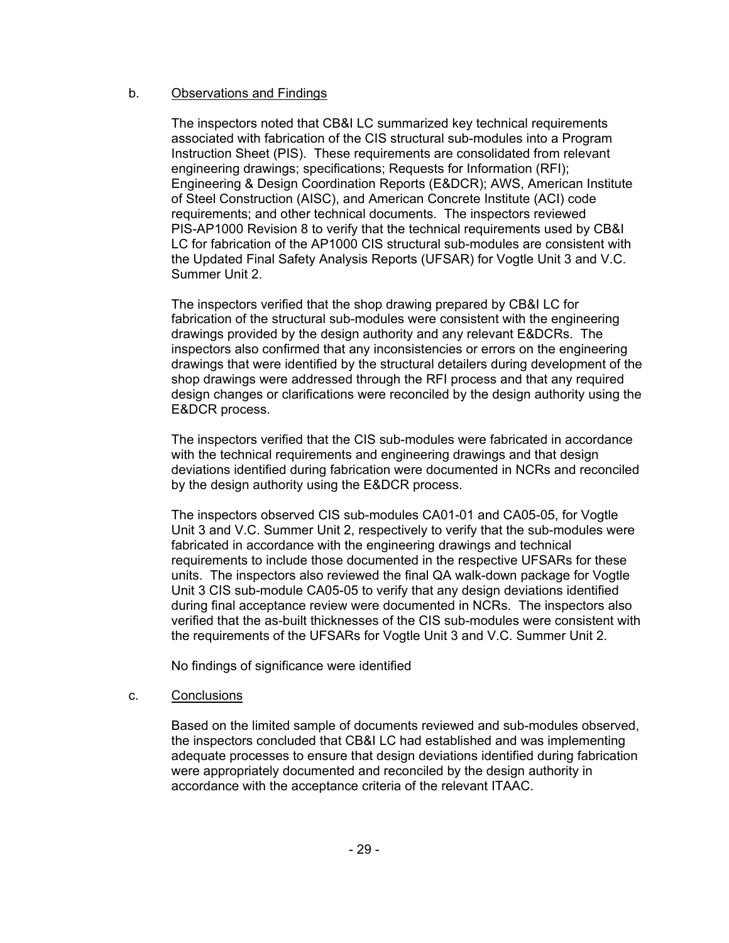# b. Observations and Findings

The inspectors noted that CB&I LC summarized key technical requirements associated with fabrication of the CIS structural sub-modules into a Program Instruction Sheet (PIS). These requirements are consolidated from relevant engineering drawings; specifications; Requests for Information (RFI); Engineering & Design Coordination Reports (E&DCR); AWS, American Institute of Steel Construction (AISC), and American Concrete Institute (ACI) code requirements; and other technical documents. The inspectors reviewed PIS-AP1000 Revision 8 to verify that the technical requirements used by CB&I LC for fabrication of the AP1000 CIS structural sub-modules are consistent with the Updated Final Safety Analysis Reports (UFSAR) for Vogtle Unit 3 and V.C. Summer Unit 2.

The inspectors verified that the shop drawing prepared by CB&I LC for fabrication of the structural sub-modules were consistent with the engineering drawings provided by the design authority and any relevant E&DCRs. The inspectors also confirmed that any inconsistencies or errors on the engineering drawings that were identified by the structural detailers during development of the shop drawings were addressed through the RFI process and that any required design changes or clarifications were reconciled by the design authority using the E&DCR process.

The inspectors verified that the CIS sub-modules were fabricated in accordance with the technical requirements and engineering drawings and that design deviations identified during fabrication were documented in NCRs and reconciled by the design authority using the E&DCR process.

The inspectors observed CIS sub-modules CA01-01 and CA05-05, for Vogtle Unit 3 and V.C. Summer Unit 2, respectively to verify that the sub-modules were fabricated in accordance with the engineering drawings and technical requirements to include those documented in the respective UFSARs for these units. The inspectors also reviewed the final QA walk-down package for Vogtle Unit 3 CIS sub-module CA05-05 to verify that any design deviations identified during final acceptance review were documented in NCRs. The inspectors also verified that the as-built thicknesses of the CIS sub-modules were consistent with the requirements of the UFSARs for Vogtle Unit 3 and V.C. Summer Unit 2.

No findings of significance were identified

## c. Conclusions

Based on the limited sample of documents reviewed and sub-modules observed, the inspectors concluded that CB&I LC had established and was implementing adequate processes to ensure that design deviations identified during fabrication were appropriately documented and reconciled by the design authority in accordance with the acceptance criteria of the relevant ITAAC.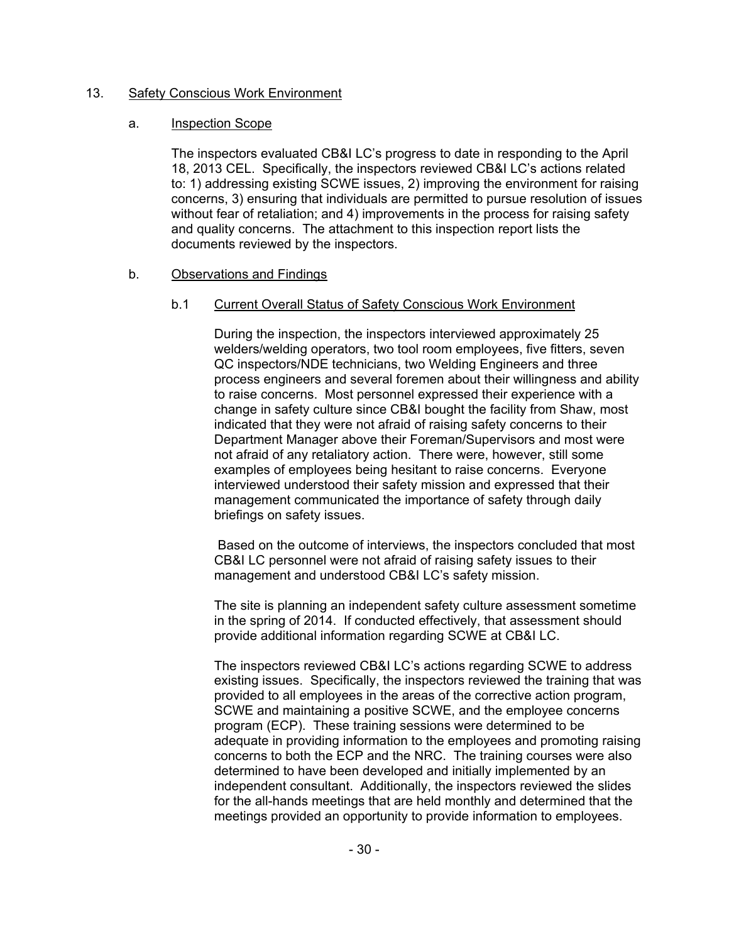#### 13. Safety Conscious Work Environment

#### a. Inspection Scope

The inspectors evaluated CB&I LC's progress to date in responding to the April 18, 2013 CEL. Specifically, the inspectors reviewed CB&I LC's actions related to: 1) addressing existing SCWE issues, 2) improving the environment for raising concerns, 3) ensuring that individuals are permitted to pursue resolution of issues without fear of retaliation; and 4) improvements in the process for raising safety and quality concerns. The attachment to this inspection report lists the documents reviewed by the inspectors.

## b. Observations and Findings

#### b.1 Current Overall Status of Safety Conscious Work Environment

During the inspection, the inspectors interviewed approximately 25 welders/welding operators, two tool room employees, five fitters, seven QC inspectors/NDE technicians, two Welding Engineers and three process engineers and several foremen about their willingness and ability to raise concerns. Most personnel expressed their experience with a change in safety culture since CB&I bought the facility from Shaw, most indicated that they were not afraid of raising safety concerns to their Department Manager above their Foreman/Supervisors and most were not afraid of any retaliatory action. There were, however, still some examples of employees being hesitant to raise concerns. Everyone interviewed understood their safety mission and expressed that their management communicated the importance of safety through daily briefings on safety issues.

 Based on the outcome of interviews, the inspectors concluded that most CB&I LC personnel were not afraid of raising safety issues to their management and understood CB&I LC's safety mission.

The site is planning an independent safety culture assessment sometime in the spring of 2014. If conducted effectively, that assessment should provide additional information regarding SCWE at CB&I LC.

The inspectors reviewed CB&I LC's actions regarding SCWE to address existing issues. Specifically, the inspectors reviewed the training that was provided to all employees in the areas of the corrective action program, SCWE and maintaining a positive SCWE, and the employee concerns program (ECP). These training sessions were determined to be adequate in providing information to the employees and promoting raising concerns to both the ECP and the NRC. The training courses were also determined to have been developed and initially implemented by an independent consultant. Additionally, the inspectors reviewed the slides for the all-hands meetings that are held monthly and determined that the meetings provided an opportunity to provide information to employees.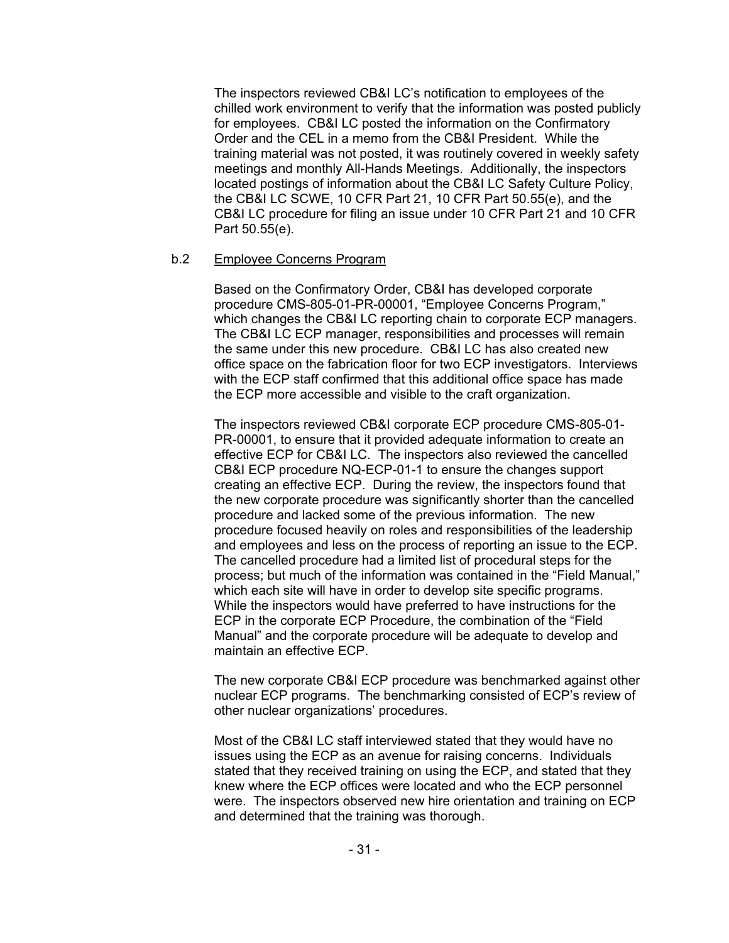The inspectors reviewed CB&I LC's notification to employees of the chilled work environment to verify that the information was posted publicly for employees. CB&I LC posted the information on the Confirmatory Order and the CEL in a memo from the CB&I President. While the training material was not posted, it was routinely covered in weekly safety meetings and monthly All-Hands Meetings. Additionally, the inspectors located postings of information about the CB&I LC Safety Culture Policy, the CB&I LC SCWE, 10 CFR Part 21, 10 CFR Part 50.55(e), and the CB&I LC procedure for filing an issue under 10 CFR Part 21 and 10 CFR Part 50.55(e).

#### b.2 Employee Concerns Program

Based on the Confirmatory Order, CB&I has developed corporate procedure CMS-805-01-PR-00001, "Employee Concerns Program," which changes the CB&I LC reporting chain to corporate ECP managers. The CB&I LC ECP manager, responsibilities and processes will remain the same under this new procedure. CB&I LC has also created new office space on the fabrication floor for two ECP investigators. Interviews with the ECP staff confirmed that this additional office space has made the ECP more accessible and visible to the craft organization.

The inspectors reviewed CB&I corporate ECP procedure CMS-805-01- PR-00001, to ensure that it provided adequate information to create an effective ECP for CB&I LC. The inspectors also reviewed the cancelled CB&I ECP procedure NQ-ECP-01-1 to ensure the changes support creating an effective ECP. During the review, the inspectors found that the new corporate procedure was significantly shorter than the cancelled procedure and lacked some of the previous information. The new procedure focused heavily on roles and responsibilities of the leadership and employees and less on the process of reporting an issue to the ECP. The cancelled procedure had a limited list of procedural steps for the process; but much of the information was contained in the "Field Manual," which each site will have in order to develop site specific programs. While the inspectors would have preferred to have instructions for the ECP in the corporate ECP Procedure, the combination of the "Field Manual" and the corporate procedure will be adequate to develop and maintain an effective ECP.

The new corporate CB&I ECP procedure was benchmarked against other nuclear ECP programs. The benchmarking consisted of ECP's review of other nuclear organizations' procedures.

Most of the CB&I LC staff interviewed stated that they would have no issues using the ECP as an avenue for raising concerns. Individuals stated that they received training on using the ECP, and stated that they knew where the ECP offices were located and who the ECP personnel were. The inspectors observed new hire orientation and training on ECP and determined that the training was thorough.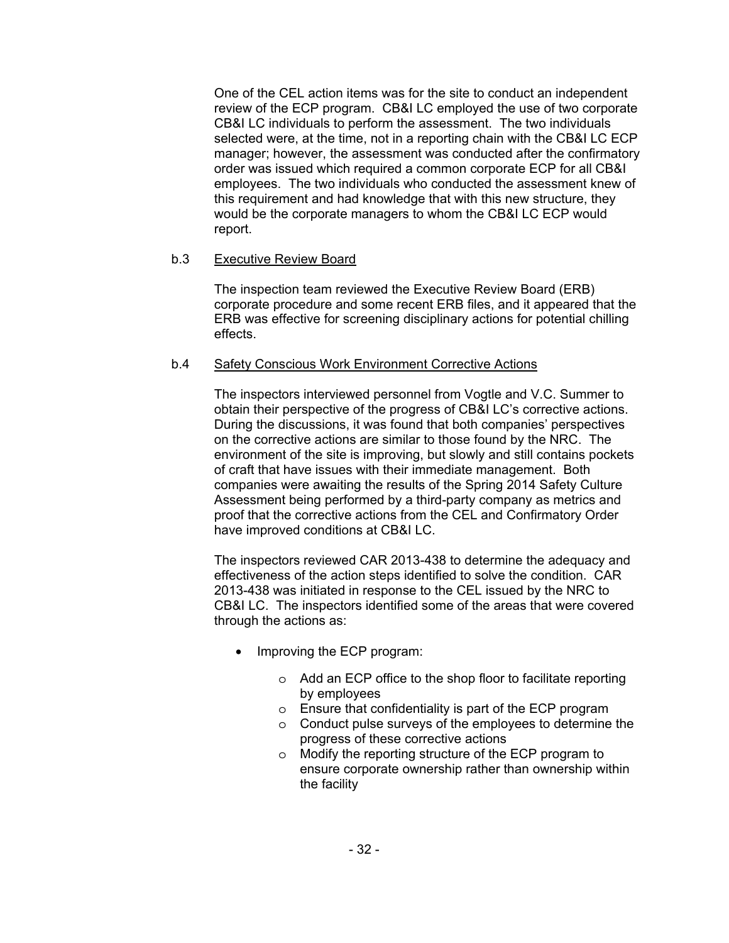One of the CEL action items was for the site to conduct an independent review of the ECP program. CB&I LC employed the use of two corporate CB&I LC individuals to perform the assessment. The two individuals selected were, at the time, not in a reporting chain with the CB&I LC ECP manager; however, the assessment was conducted after the confirmatory order was issued which required a common corporate ECP for all CB&I employees. The two individuals who conducted the assessment knew of this requirement and had knowledge that with this new structure, they would be the corporate managers to whom the CB&I LC ECP would report.

# b.3 Executive Review Board

The inspection team reviewed the Executive Review Board (ERB) corporate procedure and some recent ERB files, and it appeared that the ERB was effective for screening disciplinary actions for potential chilling effects.

# b.4 Safety Conscious Work Environment Corrective Actions

The inspectors interviewed personnel from Vogtle and V.C. Summer to obtain their perspective of the progress of CB&I LC's corrective actions. During the discussions, it was found that both companies' perspectives on the corrective actions are similar to those found by the NRC. The environment of the site is improving, but slowly and still contains pockets of craft that have issues with their immediate management. Both companies were awaiting the results of the Spring 2014 Safety Culture Assessment being performed by a third-party company as metrics and proof that the corrective actions from the CEL and Confirmatory Order have improved conditions at CB&I LC.

The inspectors reviewed CAR 2013-438 to determine the adequacy and effectiveness of the action steps identified to solve the condition. CAR 2013-438 was initiated in response to the CEL issued by the NRC to CB&I LC. The inspectors identified some of the areas that were covered through the actions as:

- Improving the ECP program:
	- o Add an ECP office to the shop floor to facilitate reporting by employees
	- o Ensure that confidentiality is part of the ECP program
	- o Conduct pulse surveys of the employees to determine the progress of these corrective actions
	- o Modify the reporting structure of the ECP program to ensure corporate ownership rather than ownership within the facility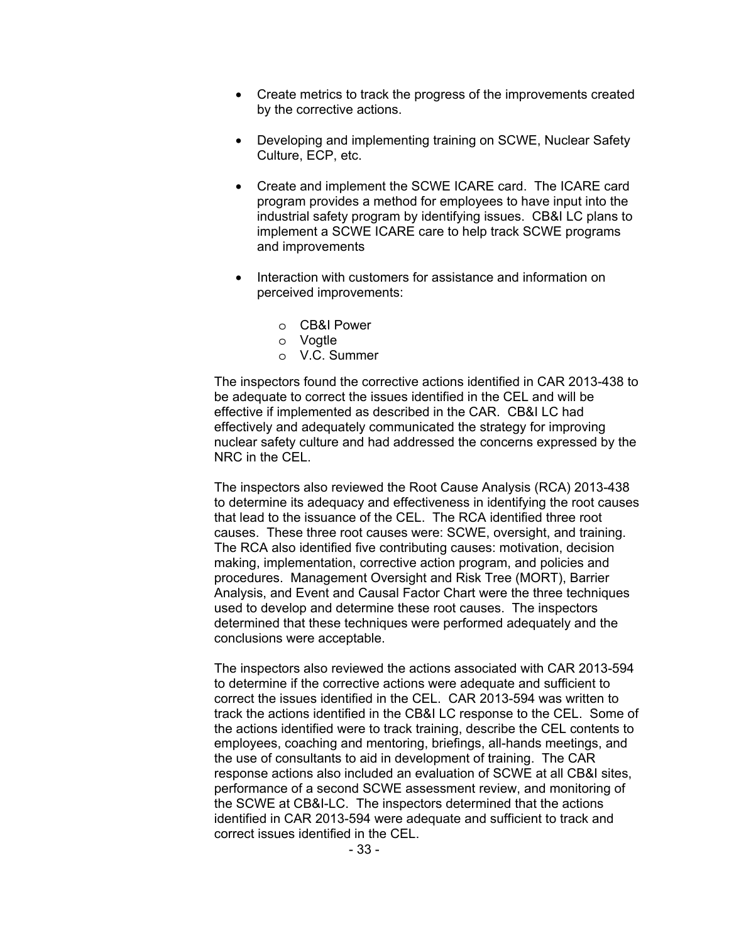- Create metrics to track the progress of the improvements created by the corrective actions.
- Developing and implementing training on SCWE, Nuclear Safety Culture, ECP, etc.
- Create and implement the SCWE ICARE card. The ICARE card program provides a method for employees to have input into the industrial safety program by identifying issues. CB&I LC plans to implement a SCWE ICARE care to help track SCWE programs and improvements
- Interaction with customers for assistance and information on perceived improvements:
	- o CB&I Power
	- o Vogtle
	- o V.C. Summer

The inspectors found the corrective actions identified in CAR 2013-438 to be adequate to correct the issues identified in the CEL and will be effective if implemented as described in the CAR. CB&I LC had effectively and adequately communicated the strategy for improving nuclear safety culture and had addressed the concerns expressed by the NRC in the CEL.

The inspectors also reviewed the Root Cause Analysis (RCA) 2013-438 to determine its adequacy and effectiveness in identifying the root causes that lead to the issuance of the CEL. The RCA identified three root causes. These three root causes were: SCWE, oversight, and training. The RCA also identified five contributing causes: motivation, decision making, implementation, corrective action program, and policies and procedures. Management Oversight and Risk Tree (MORT), Barrier Analysis, and Event and Causal Factor Chart were the three techniques used to develop and determine these root causes. The inspectors determined that these techniques were performed adequately and the conclusions were acceptable.

The inspectors also reviewed the actions associated with CAR 2013-594 to determine if the corrective actions were adequate and sufficient to correct the issues identified in the CEL. CAR 2013-594 was written to track the actions identified in the CB&I LC response to the CEL. Some of the actions identified were to track training, describe the CEL contents to employees, coaching and mentoring, briefings, all-hands meetings, and the use of consultants to aid in development of training. The CAR response actions also included an evaluation of SCWE at all CB&I sites, performance of a second SCWE assessment review, and monitoring of the SCWE at CB&I-LC. The inspectors determined that the actions identified in CAR 2013-594 were adequate and sufficient to track and correct issues identified in the CEL.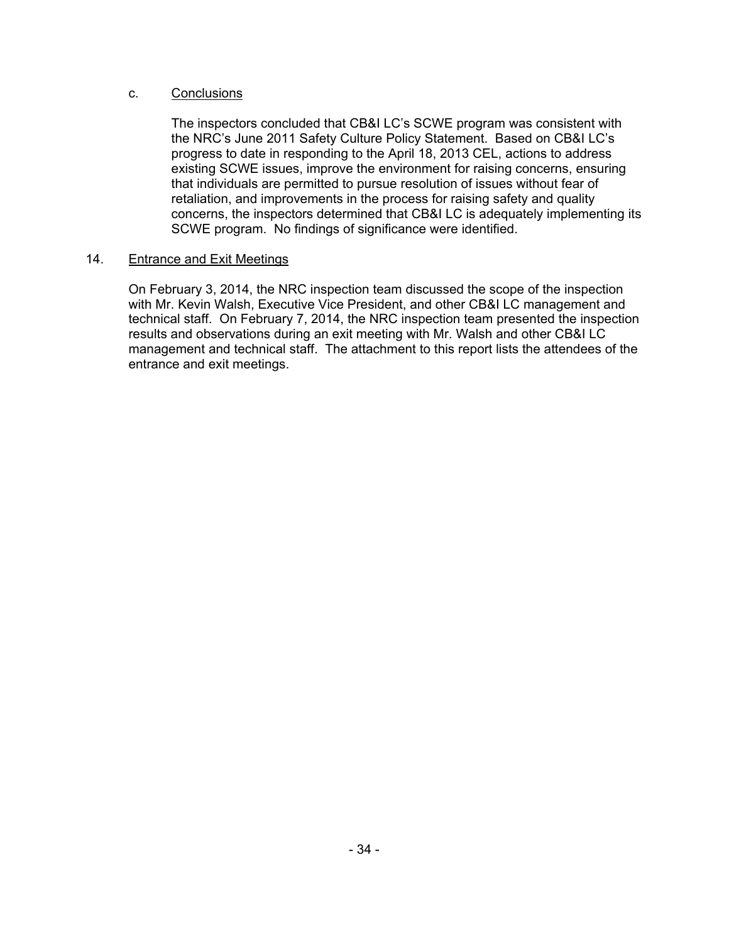## c. Conclusions

The inspectors concluded that CB&I LC's SCWE program was consistent with the NRC's June 2011 Safety Culture Policy Statement. Based on CB&I LC's progress to date in responding to the April 18, 2013 CEL, actions to address existing SCWE issues, improve the environment for raising concerns, ensuring that individuals are permitted to pursue resolution of issues without fear of retaliation, and improvements in the process for raising safety and quality concerns, the inspectors determined that CB&I LC is adequately implementing its SCWE program. No findings of significance were identified.

#### 14. Entrance and Exit Meetings

On February 3, 2014, the NRC inspection team discussed the scope of the inspection with Mr. Kevin Walsh, Executive Vice President, and other CB&I LC management and technical staff. On February 7, 2014, the NRC inspection team presented the inspection results and observations during an exit meeting with Mr. Walsh and other CB&I LC management and technical staff. The attachment to this report lists the attendees of the entrance and exit meetings.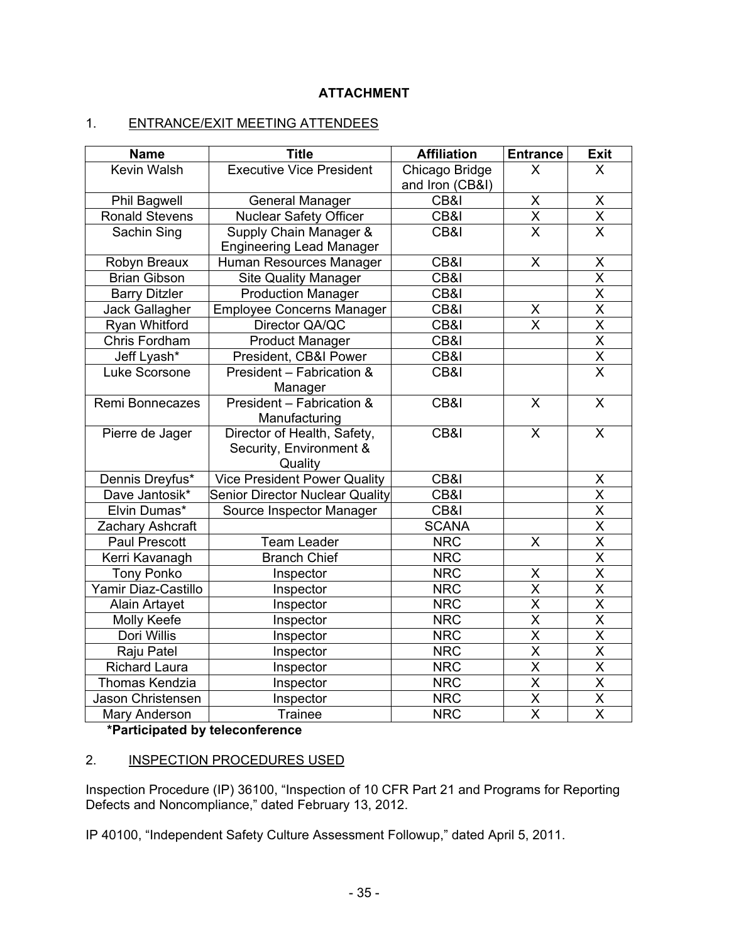# **ATTACHMENT**

# 1. ENTRANCE/EXIT MEETING ATTENDEES

| <b>Name</b>           | <b>Title</b>                           | <b>Affiliation</b>                | <b>Entrance</b>         | <b>Exit</b>                         |
|-----------------------|----------------------------------------|-----------------------------------|-------------------------|-------------------------------------|
| <b>Kevin Walsh</b>    | <b>Executive Vice President</b>        | Chicago Bridge<br>and Iron (CB&I) | $\mathsf{X}$            | $\mathsf{X}$                        |
| <b>Phil Bagwell</b>   | General Manager                        | CB&I                              | X                       |                                     |
| <b>Ronald Stevens</b> | Nuclear Safety Officer                 | CB&I                              | $\overline{\mathsf{x}}$ | $\frac{X}{X}$                       |
| Sachin Sing           | Supply Chain Manager &                 | CB&I                              | $\overline{\mathsf{x}}$ |                                     |
|                       | <b>Engineering Lead Manager</b>        |                                   |                         |                                     |
| Robyn Breaux          | Human Resources Manager                | CB&I                              | X                       | X                                   |
| <b>Brian Gibson</b>   | <b>Site Quality Manager</b>            | CB&I                              |                         |                                     |
| <b>Barry Ditzler</b>  | <b>Production Manager</b>              | CB&I                              |                         | $\frac{\overline{X}}{\overline{X}}$ |
| Jack Gallagher        | <b>Employee Concerns Manager</b>       | $\overline{\text{CB8}}$           | X                       | $\overline{\mathsf{x}}$             |
| Ryan Whitford         | Director QA/QC                         | CB&I                              | $\overline{\mathsf{x}}$ | $\overline{\mathsf{x}}$             |
| Chris Fordham         | <b>Product Manager</b>                 | CB&I                              |                         | $\overline{\mathsf{X}}$             |
| Jeff Lyash*           | President, CB&I Power                  | CB&I                              |                         | $\overline{\mathsf{X}}$             |
| Luke Scorsone         | President - Fabrication &              | CB&I                              |                         | $\overline{\mathsf{x}}$             |
| Remi Bonnecazes       | Manager<br>President - Fabrication &   | CB&I                              | $\overline{\mathsf{x}}$ | $\overline{\mathsf{x}}$             |
|                       | Manufacturing                          |                                   |                         |                                     |
| Pierre de Jager       | Director of Health, Safety,            | CB&I                              | $\overline{\mathsf{x}}$ | $\overline{\mathsf{x}}$             |
|                       | Security, Environment &                |                                   |                         |                                     |
|                       | Quality                                |                                   |                         |                                     |
| Dennis Dreyfus*       | <b>Vice President Power Quality</b>    | CB&I                              |                         | X                                   |
| Dave Jantosik*        | <b>Senior Director Nuclear Quality</b> | CB&I                              |                         | $\overline{\mathsf{x}}$             |
| Elvin Dumas*          | Source Inspector Manager               | CB&I                              |                         |                                     |
| Zachary Ashcraft      |                                        | <b>SCANA</b>                      |                         | $\frac{X}{X}$                       |
| <b>Paul Prescott</b>  | <b>Team Leader</b>                     | <b>NRC</b>                        | $\mathsf{X}$            |                                     |
| Kerri Kavanagh        | <b>Branch Chief</b>                    | <b>NRC</b>                        |                         |                                     |
| <b>Tony Ponko</b>     | Inspector                              | <b>NRC</b>                        | X                       |                                     |
| Yamir Diaz-Castillo   | Inspector                              | <b>NRC</b>                        | $\overline{\mathsf{x}}$ | $\overline{\mathsf{x}}$             |
| <b>Alain Artayet</b>  | Inspector                              | <b>NRC</b>                        | $\overline{\mathsf{x}}$ | $\overline{\mathsf{x}}$             |
| <b>Molly Keefe</b>    | Inspector                              | <b>NRC</b>                        | $\overline{\sf X}$      | $\overline{\mathsf{x}}$             |
| Dori Willis           | Inspector                              | <b>NRC</b>                        | $\overline{\sf X}$      | $\overline{\mathsf{X}}$             |
| Raju Patel            | Inspector                              | <b>NRC</b>                        | $\overline{\mathsf{X}}$ | $\overline{\mathsf{x}}$             |
| <b>Richard Laura</b>  | Inspector                              | <b>NRC</b>                        | X                       | $\overline{\mathsf{x}}$             |
| <b>Thomas Kendzia</b> | Inspector                              | <b>NRC</b>                        | $\overline{\mathsf{X}}$ | $\overline{X}$                      |
| Jason Christensen     | Inspector                              | <b>NRC</b>                        | $\overline{X}$          | $\overline{\mathsf{X}}$             |
| Mary Anderson         | <b>Trainee</b>                         | <b>NRC</b>                        | $\overline{\mathsf{x}}$ | $\overline{\mathsf{x}}$             |

# **\*Participated by teleconference**

# 2. INSPECTION PROCEDURES USED

Inspection Procedure (IP) 36100, "Inspection of 10 CFR Part 21 and Programs for Reporting Defects and Noncompliance," dated February 13, 2012.

IP 40100, "Independent Safety Culture Assessment Followup," dated April 5, 2011.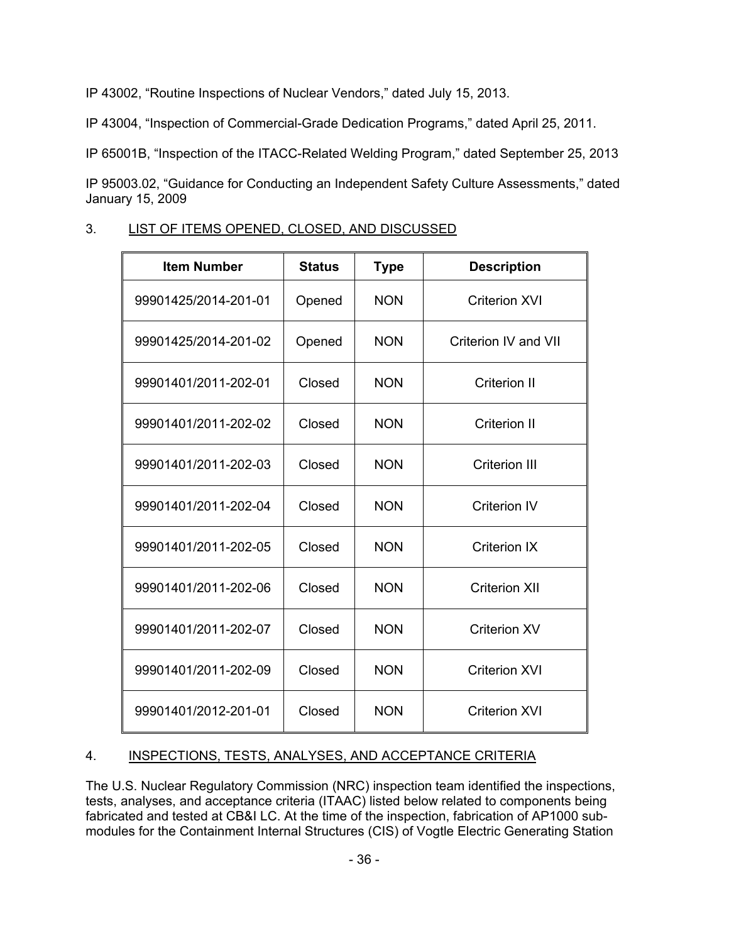IP 43002, "Routine Inspections of Nuclear Vendors," dated July 15, 2013.

IP 43004, "Inspection of Commercial-Grade Dedication Programs," dated April 25, 2011.

IP 65001B, "Inspection of the ITACC-Related Welding Program," dated September 25, 2013

IP 95003.02, "Guidance for Conducting an Independent Safety Culture Assessments," dated January 15, 2009

# 3. LIST OF ITEMS OPENED, CLOSED, AND DISCUSSED

| <b>Item Number</b>   | <b>Status</b> | <b>Type</b> | <b>Description</b>   |
|----------------------|---------------|-------------|----------------------|
| 99901425/2014-201-01 | Opened        | <b>NON</b>  | <b>Criterion XVI</b> |
| 99901425/2014-201-02 | Opened        | <b>NON</b>  | Criterion IV and VII |
| 99901401/2011-202-01 | Closed        | <b>NON</b>  | Criterion II         |
| 99901401/2011-202-02 | Closed        | <b>NON</b>  | <b>Criterion II</b>  |
| 99901401/2011-202-03 | Closed        | <b>NON</b>  | <b>Criterion III</b> |
| 99901401/2011-202-04 | Closed        | <b>NON</b>  | <b>Criterion IV</b>  |
| 99901401/2011-202-05 | Closed        | <b>NON</b>  | <b>Criterion IX</b>  |
| 99901401/2011-202-06 | Closed        | <b>NON</b>  | <b>Criterion XII</b> |
| 99901401/2011-202-07 | Closed        | <b>NON</b>  | <b>Criterion XV</b>  |
| 99901401/2011-202-09 | Closed        | <b>NON</b>  | <b>Criterion XVI</b> |
| 99901401/2012-201-01 | Closed        | <b>NON</b>  | <b>Criterion XVI</b> |

# 4. INSPECTIONS, TESTS, ANALYSES, AND ACCEPTANCE CRITERIA

The U.S. Nuclear Regulatory Commission (NRC) inspection team identified the inspections, tests, analyses, and acceptance criteria (ITAAC) listed below related to components being fabricated and tested at CB&I LC. At the time of the inspection, fabrication of AP1000 submodules for the Containment Internal Structures (CIS) of Vogtle Electric Generating Station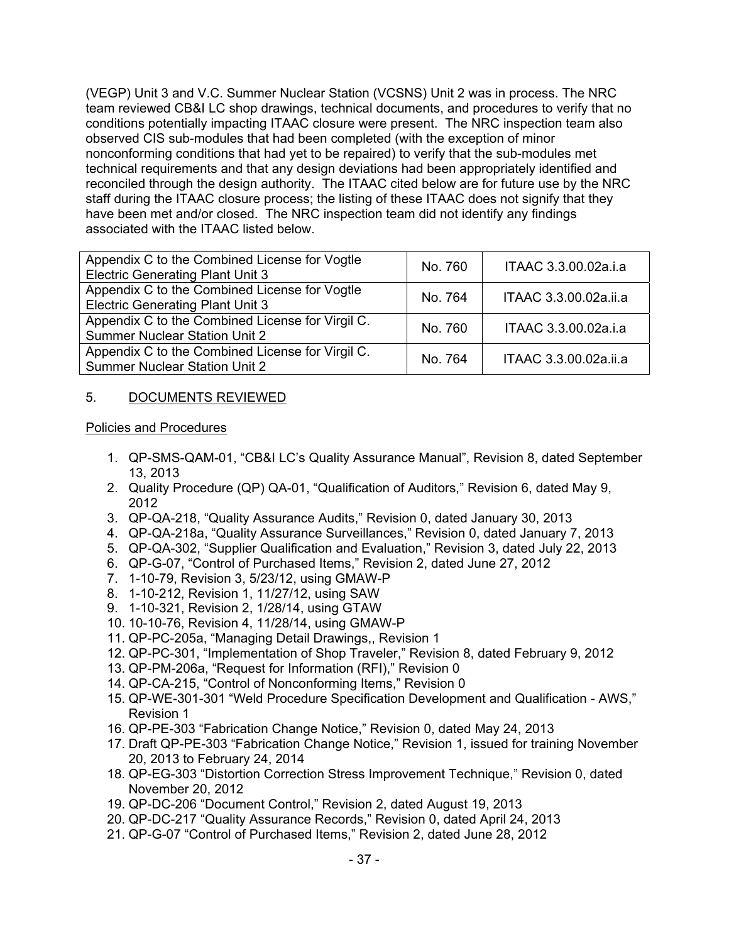(VEGP) Unit 3 and V.C. Summer Nuclear Station (VCSNS) Unit 2 was in process. The NRC team reviewed CB&I LC shop drawings, technical documents, and procedures to verify that no conditions potentially impacting ITAAC closure were present. The NRC inspection team also observed CIS sub-modules that had been completed (with the exception of minor nonconforming conditions that had yet to be repaired) to verify that the sub-modules met technical requirements and that any design deviations had been appropriately identified and reconciled through the design authority. The ITAAC cited below are for future use by the NRC staff during the ITAAC closure process; the listing of these ITAAC does not signify that they have been met and/or closed. The NRC inspection team did not identify any findings associated with the ITAAC listed below.

| Appendix C to the Combined License for Vogtle<br><b>Electric Generating Plant Unit 3</b> | No. 760 | ITAAC 3.3.00.02a.i.a  |
|------------------------------------------------------------------------------------------|---------|-----------------------|
| Appendix C to the Combined License for Vogtle<br><b>Electric Generating Plant Unit 3</b> | No. 764 | ITAAC 3.3.00.02a.ii.a |
| Appendix C to the Combined License for Virgil C.<br><b>Summer Nuclear Station Unit 2</b> | No. 760 | ITAAC 3.3.00.02a.i.a  |
| Appendix C to the Combined License for Virgil C.<br><b>Summer Nuclear Station Unit 2</b> | No. 764 | ITAAC 3.3.00.02a.ii.a |

## 5. DOCUMENTS REVIEWED

#### Policies and Procedures

- 1. QP-SMS-QAM-01, "CB&I LC's Quality Assurance Manual", Revision 8, dated September 13, 2013
- 2. Quality Procedure (QP) QA-01, "Qualification of Auditors," Revision 6, dated May 9, 2012
- 3. QP-QA-218, "Quality Assurance Audits," Revision 0, dated January 30, 2013
- 4. QP-QA-218a, "Quality Assurance Surveillances," Revision 0, dated January 7, 2013
- 5. QP-QA-302, "Supplier Qualification and Evaluation," Revision 3, dated July 22, 2013
- 6. QP-G-07, "Control of Purchased Items," Revision 2, dated June 27, 2012
- 7. 1-10-79, Revision 3, 5/23/12, using GMAW-P
- 8. 1-10-212, Revision 1, 11/27/12, using SAW
- 9. 1-10-321, Revision 2, 1/28/14, using GTAW
- 10. 10-10-76, Revision 4, 11/28/14, using GMAW-P
- 11. QP-PC-205a, "Managing Detail Drawings,, Revision 1
- 12. QP-PC-301, "Implementation of Shop Traveler," Revision 8, dated February 9, 2012
- 13. QP-PM-206a, "Request for Information (RFI)," Revision 0
- 14. QP-CA-215, "Control of Nonconforming Items," Revision 0
- 15. QP-WE-301-301 "Weld Procedure Specification Development and Qualification AWS," Revision 1
- 16. QP-PE-303 "Fabrication Change Notice," Revision 0, dated May 24, 2013
- 17. Draft QP-PE-303 "Fabrication Change Notice," Revision 1, issued for training November 20, 2013 to February 24, 2014
- 18. QP-EG-303 "Distortion Correction Stress Improvement Technique," Revision 0, dated November 20, 2012
- 19. QP-DC-206 "Document Control," Revision 2, dated August 19, 2013
- 20. QP-DC-217 "Quality Assurance Records," Revision 0, dated April 24, 2013
- 21. QP-G-07 "Control of Purchased Items," Revision 2, dated June 28, 2012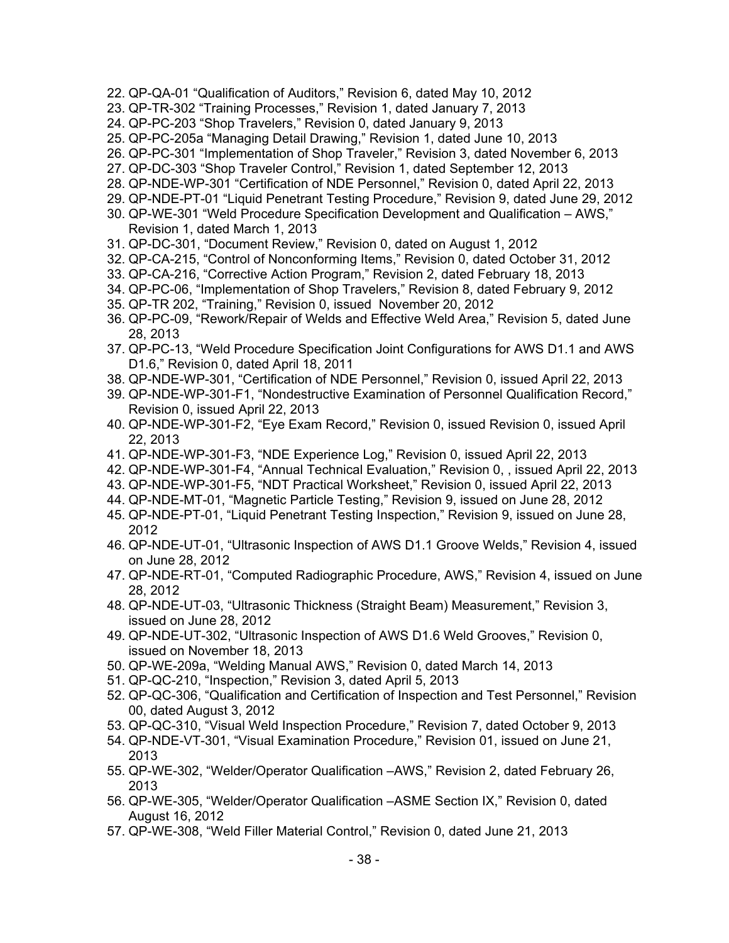- 22. QP-QA-01 "Qualification of Auditors," Revision 6, dated May 10, 2012
- 23. QP-TR-302 "Training Processes," Revision 1, dated January 7, 2013
- 24. QP-PC-203 "Shop Travelers," Revision 0, dated January 9, 2013
- 25. QP-PC-205a "Managing Detail Drawing," Revision 1, dated June 10, 2013
- 26. QP-PC-301 "Implementation of Shop Traveler," Revision 3, dated November 6, 2013
- 27. QP-DC-303 "Shop Traveler Control," Revision 1, dated September 12, 2013
- 28. QP-NDE-WP-301 "Certification of NDE Personnel," Revision 0, dated April 22, 2013
- 29. QP-NDE-PT-01 "Liquid Penetrant Testing Procedure," Revision 9, dated June 29, 2012
- 30. QP-WE-301 "Weld Procedure Specification Development and Qualification AWS," Revision 1, dated March 1, 2013
- 31. QP-DC-301, "Document Review," Revision 0, dated on August 1, 2012
- 32. QP-CA-215, "Control of Nonconforming Items," Revision 0, dated October 31, 2012
- 33. QP-CA-216, "Corrective Action Program," Revision 2, dated February 18, 2013
- 34. QP-PC-06, "Implementation of Shop Travelers," Revision 8, dated February 9, 2012
- 35. QP-TR 202, "Training," Revision 0, issued November 20, 2012
- 36. QP-PC-09, "Rework/Repair of Welds and Effective Weld Area," Revision 5, dated June 28, 2013
- 37. QP-PC-13, "Weld Procedure Specification Joint Configurations for AWS D1.1 and AWS D1.6," Revision 0, dated April 18, 2011
- 38. QP-NDE-WP-301, "Certification of NDE Personnel," Revision 0, issued April 22, 2013
- 39. QP-NDE-WP-301-F1, "Nondestructive Examination of Personnel Qualification Record," Revision 0, issued April 22, 2013
- 40. QP-NDE-WP-301-F2, "Eye Exam Record," Revision 0, issued Revision 0, issued April 22, 2013
- 41. QP-NDE-WP-301-F3, "NDE Experience Log," Revision 0, issued April 22, 2013
- 42. QP-NDE-WP-301-F4, "Annual Technical Evaluation," Revision 0, , issued April 22, 2013
- 43. QP-NDE-WP-301-F5, "NDT Practical Worksheet," Revision 0, issued April 22, 2013
- 44. QP-NDE-MT-01, "Magnetic Particle Testing," Revision 9, issued on June 28, 2012
- 45. QP-NDE-PT-01, "Liquid Penetrant Testing Inspection," Revision 9, issued on June 28, 2012
- 46. QP-NDE-UT-01, "Ultrasonic Inspection of AWS D1.1 Groove Welds," Revision 4, issued on June 28, 2012
- 47. QP-NDE-RT-01, "Computed Radiographic Procedure, AWS," Revision 4, issued on June 28, 2012
- 48. QP-NDE-UT-03, "Ultrasonic Thickness (Straight Beam) Measurement," Revision 3, issued on June 28, 2012
- 49. QP-NDE-UT-302, "Ultrasonic Inspection of AWS D1.6 Weld Grooves," Revision 0, issued on November 18, 2013
- 50. QP-WE-209a, "Welding Manual AWS," Revision 0, dated March 14, 2013
- 51. QP-QC-210, "Inspection," Revision 3, dated April 5, 2013
- 52. QP-QC-306, "Qualification and Certification of Inspection and Test Personnel," Revision 00, dated August 3, 2012
- 53. QP-QC-310, "Visual Weld Inspection Procedure," Revision 7, dated October 9, 2013
- 54. QP-NDE-VT-301, "Visual Examination Procedure," Revision 01, issued on June 21, 2013
- 55. QP-WE-302, "Welder/Operator Qualification –AWS," Revision 2, dated February 26, 2013
- 56. QP-WE-305, "Welder/Operator Qualification –ASME Section IX," Revision 0, dated August 16, 2012
- 57. QP-WE-308, "Weld Filler Material Control," Revision 0, dated June 21, 2013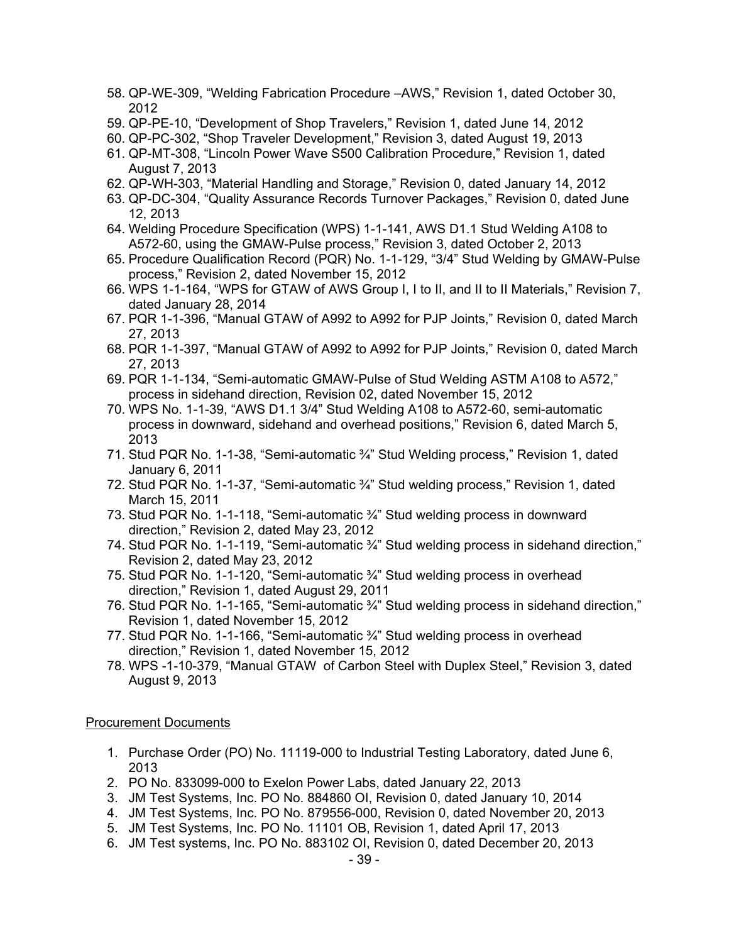- 58. QP-WE-309, "Welding Fabrication Procedure –AWS," Revision 1, dated October 30, 2012
- 59. QP-PE-10, "Development of Shop Travelers," Revision 1, dated June 14, 2012
- 60. QP-PC-302, "Shop Traveler Development," Revision 3, dated August 19, 2013
- 61. QP-MT-308, "Lincoln Power Wave S500 Calibration Procedure," Revision 1, dated August 7, 2013
- 62. QP-WH-303, "Material Handling and Storage," Revision 0, dated January 14, 2012
- 63. QP-DC-304, "Quality Assurance Records Turnover Packages," Revision 0, dated June 12, 2013
- 64. Welding Procedure Specification (WPS) 1-1-141, AWS D1.1 Stud Welding A108 to A572-60, using the GMAW-Pulse process," Revision 3, dated October 2, 2013
- 65. Procedure Qualification Record (PQR) No. 1-1-129, "3/4" Stud Welding by GMAW-Pulse process," Revision 2, dated November 15, 2012
- 66. WPS 1-1-164, "WPS for GTAW of AWS Group I, I to II, and II to II Materials," Revision 7, dated January 28, 2014
- 67. PQR 1-1-396, "Manual GTAW of A992 to A992 for PJP Joints," Revision 0, dated March 27, 2013
- 68. PQR 1-1-397, "Manual GTAW of A992 to A992 for PJP Joints," Revision 0, dated March 27, 2013
- 69. PQR 1-1-134, "Semi-automatic GMAW-Pulse of Stud Welding ASTM A108 to A572," process in sidehand direction, Revision 02, dated November 15, 2012
- 70. WPS No. 1-1-39, "AWS D1.1 3/4" Stud Welding A108 to A572-60, semi-automatic process in downward, sidehand and overhead positions," Revision 6, dated March 5, 2013
- 71. Stud PQR No. 1-1-38, "Semi-automatic ¾" Stud Welding process," Revision 1, dated January 6, 2011
- 72. Stud PQR No. 1-1-37, "Semi-automatic ¾" Stud welding process," Revision 1, dated March 15, 2011
- 73. Stud PQR No. 1-1-118, "Semi-automatic ¾" Stud welding process in downward direction," Revision 2, dated May 23, 2012
- 74. Stud PQR No. 1-1-119, "Semi-automatic ¾" Stud welding process in sidehand direction," Revision 2, dated May 23, 2012
- 75. Stud PQR No. 1-1-120, "Semi-automatic ¾" Stud welding process in overhead direction," Revision 1, dated August 29, 2011
- 76. Stud PQR No. 1-1-165, "Semi-automatic ¾" Stud welding process in sidehand direction," Revision 1, dated November 15, 2012
- 77. Stud PQR No. 1-1-166, "Semi-automatic ¾" Stud welding process in overhead direction," Revision 1, dated November 15, 2012
- 78. WPS -1-10-379, "Manual GTAW of Carbon Steel with Duplex Steel," Revision 3, dated August 9, 2013

#### Procurement Documents

- 1. Purchase Order (PO) No. 11119-000 to Industrial Testing Laboratory, dated June 6, 2013
- 2. PO No. 833099-000 to Exelon Power Labs, dated January 22, 2013
- 3. JM Test Systems, Inc. PO No. 884860 OI, Revision 0, dated January 10, 2014
- 4. JM Test Systems, Inc. PO No. 879556-000, Revision 0, dated November 20, 2013
- 5. JM Test Systems, Inc. PO No. 11101 OB, Revision 1, dated April 17, 2013
- 6. JM Test systems, Inc. PO No. 883102 OI, Revision 0, dated December 20, 2013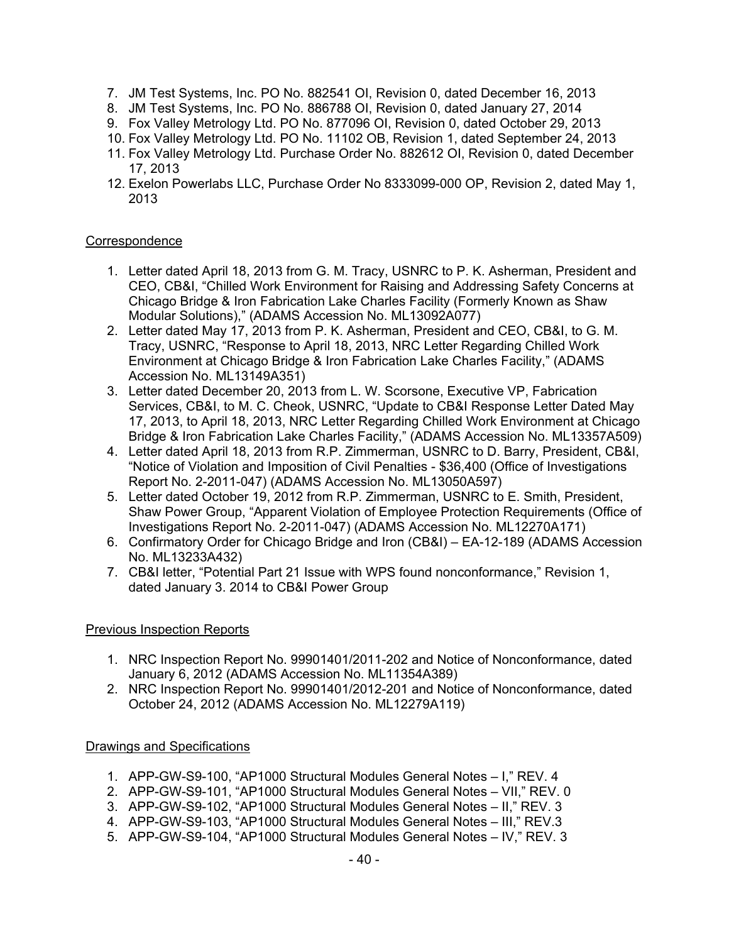- 7. JM Test Systems, Inc. PO No. 882541 OI, Revision 0, dated December 16, 2013
- 8. JM Test Systems, Inc. PO No. 886788 OI, Revision 0, dated January 27, 2014
- 9. Fox Valley Metrology Ltd. PO No. 877096 OI, Revision 0, dated October 29, 2013
- 10. Fox Valley Metrology Ltd. PO No. 11102 OB, Revision 1, dated September 24, 2013
- 11. Fox Valley Metrology Ltd. Purchase Order No. 882612 OI, Revision 0, dated December 17, 2013
- 12. Exelon Powerlabs LLC, Purchase Order No 8333099-000 OP, Revision 2, dated May 1, 2013

# **Correspondence**

- 1. Letter dated April 18, 2013 from G. M. Tracy, USNRC to P. K. Asherman, President and CEO, CB&I, "Chilled Work Environment for Raising and Addressing Safety Concerns at Chicago Bridge & Iron Fabrication Lake Charles Facility (Formerly Known as Shaw Modular Solutions)," (ADAMS Accession No. ML13092A077)
- 2. Letter dated May 17, 2013 from P. K. Asherman, President and CEO, CB&I, to G. M. Tracy, USNRC, "Response to April 18, 2013, NRC Letter Regarding Chilled Work Environment at Chicago Bridge & Iron Fabrication Lake Charles Facility," (ADAMS Accession No. ML13149A351)
- 3. Letter dated December 20, 2013 from L. W. Scorsone, Executive VP, Fabrication Services, CB&I, to M. C. Cheok, USNRC, "Update to CB&I Response Letter Dated May 17, 2013, to April 18, 2013, NRC Letter Regarding Chilled Work Environment at Chicago Bridge & Iron Fabrication Lake Charles Facility," (ADAMS Accession No. ML13357A509)
- 4. Letter dated April 18, 2013 from R.P. Zimmerman, USNRC to D. Barry, President, CB&I, "Notice of Violation and Imposition of Civil Penalties - \$36,400 (Office of Investigations Report No. 2-2011-047) (ADAMS Accession No. ML13050A597)
- 5. Letter dated October 19, 2012 from R.P. Zimmerman, USNRC to E. Smith, President, Shaw Power Group, "Apparent Violation of Employee Protection Requirements (Office of Investigations Report No. 2-2011-047) (ADAMS Accession No. ML12270A171)
- 6. Confirmatory Order for Chicago Bridge and Iron (CB&I) EA-12-189 (ADAMS Accession No. ML13233A432)
- 7. CB&I letter, "Potential Part 21 Issue with WPS found nonconformance," Revision 1, dated January 3. 2014 to CB&I Power Group

# Previous Inspection Reports

- 1. NRC Inspection Report No. 99901401/2011-202 and Notice of Nonconformance, dated January 6, 2012 (ADAMS Accession No. ML11354A389)
- 2. NRC Inspection Report No. 99901401/2012-201 and Notice of Nonconformance, dated October 24, 2012 (ADAMS Accession No. ML12279A119)

# Drawings and Specifications

- 1. APP-GW-S9-100, "AP1000 Structural Modules General Notes I," REV. 4
- 2. APP-GW-S9-101, "AP1000 Structural Modules General Notes VII," REV. 0
- 3. APP-GW-S9-102, "AP1000 Structural Modules General Notes II," REV. 3
- 4. APP-GW-S9-103, "AP1000 Structural Modules General Notes III," REV.3
- 5. APP-GW-S9-104, "AP1000 Structural Modules General Notes IV," REV. 3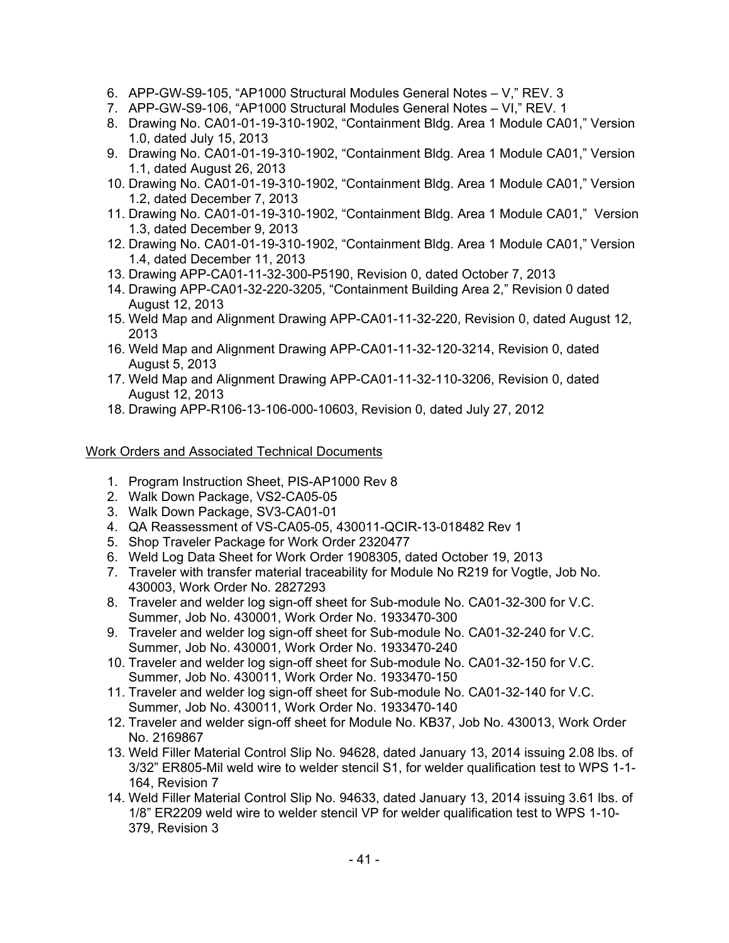- 6. APP-GW-S9-105, "AP1000 Structural Modules General Notes V," REV. 3
- 7. APP-GW-S9-106, "AP1000 Structural Modules General Notes VI," REV. 1
- 8. Drawing No. CA01-01-19-310-1902, "Containment Bldg. Area 1 Module CA01," Version 1.0, dated July 15, 2013
- 9. Drawing No. CA01-01-19-310-1902, "Containment Bldg. Area 1 Module CA01," Version 1.1, dated August 26, 2013
- 10. Drawing No. CA01-01-19-310-1902, "Containment Bldg. Area 1 Module CA01," Version 1.2, dated December 7, 2013
- 11. Drawing No. CA01-01-19-310-1902, "Containment Bldg. Area 1 Module CA01," Version 1.3, dated December 9, 2013
- 12. Drawing No. CA01-01-19-310-1902, "Containment Bldg. Area 1 Module CA01," Version 1.4, dated December 11, 2013
- 13. Drawing APP-CA01-11-32-300-P5190, Revision 0, dated October 7, 2013
- 14. Drawing APP-CA01-32-220-3205, "Containment Building Area 2," Revision 0 dated August 12, 2013
- 15. Weld Map and Alignment Drawing APP-CA01-11-32-220, Revision 0, dated August 12, 2013
- 16. Weld Map and Alignment Drawing APP-CA01-11-32-120-3214, Revision 0, dated August 5, 2013
- 17. Weld Map and Alignment Drawing APP-CA01-11-32-110-3206, Revision 0, dated August 12, 2013
- 18. Drawing APP-R106-13-106-000-10603, Revision 0, dated July 27, 2012

# Work Orders and Associated Technical Documents

- 1. Program Instruction Sheet, PIS-AP1000 Rev 8
- 2. Walk Down Package, VS2-CA05-05
- 3. Walk Down Package, SV3-CA01-01
- 4. QA Reassessment of VS-CA05-05, 430011-QCIR-13-018482 Rev 1
- 5. Shop Traveler Package for Work Order 2320477
- 6. Weld Log Data Sheet for Work Order 1908305, dated October 19, 2013
- 7. Traveler with transfer material traceability for Module No R219 for Vogtle, Job No. 430003, Work Order No. 2827293
- 8. Traveler and welder log sign-off sheet for Sub-module No. CA01-32-300 for V.C. Summer, Job No. 430001, Work Order No. 1933470-300
- 9. Traveler and welder log sign-off sheet for Sub-module No. CA01-32-240 for V.C. Summer, Job No. 430001, Work Order No. 1933470-240
- 10. Traveler and welder log sign-off sheet for Sub-module No. CA01-32-150 for V.C. Summer, Job No. 430011, Work Order No. 1933470-150
- 11. Traveler and welder log sign-off sheet for Sub-module No. CA01-32-140 for V.C. Summer, Job No. 430011, Work Order No. 1933470-140
- 12. Traveler and welder sign-off sheet for Module No. KB37, Job No. 430013, Work Order No. 2169867
- 13. Weld Filler Material Control Slip No. 94628, dated January 13, 2014 issuing 2.08 lbs. of 3/32" ER805-Mil weld wire to welder stencil S1, for welder qualification test to WPS 1-1- 164, Revision 7
- 14. Weld Filler Material Control Slip No. 94633, dated January 13, 2014 issuing 3.61 lbs. of 1/8" ER2209 weld wire to welder stencil VP for welder qualification test to WPS 1-10- 379, Revision 3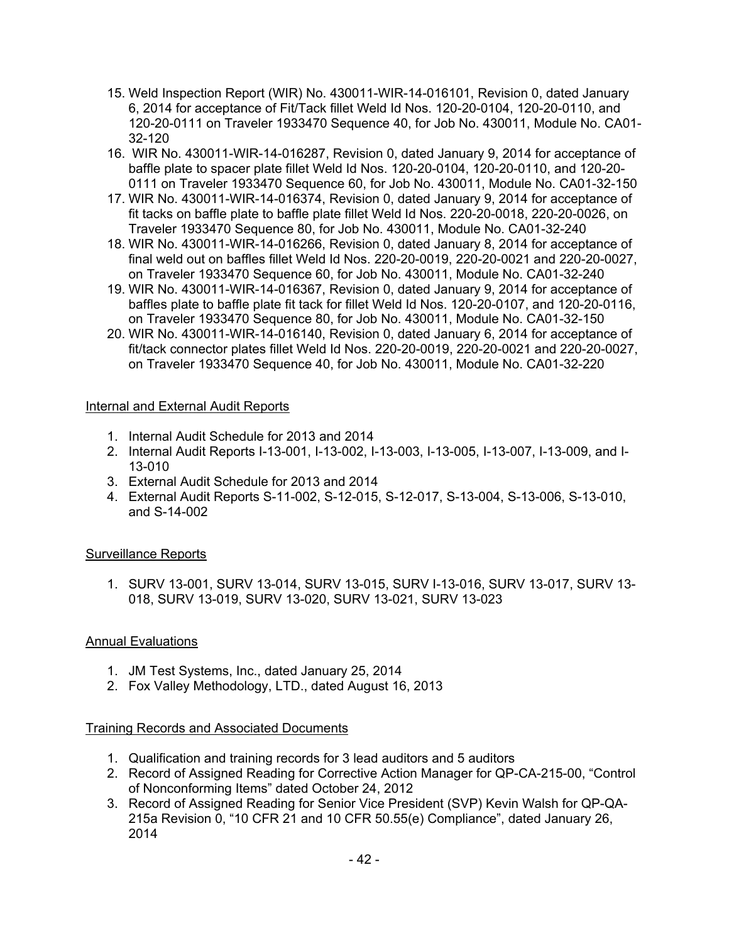- 15. Weld Inspection Report (WIR) No. 430011-WIR-14-016101, Revision 0, dated January 6, 2014 for acceptance of Fit/Tack fillet Weld Id Nos. 120-20-0104, 120-20-0110, and 120-20-0111 on Traveler 1933470 Sequence 40, for Job No. 430011, Module No. CA01- 32-120
- 16. WIR No. 430011-WIR-14-016287, Revision 0, dated January 9, 2014 for acceptance of baffle plate to spacer plate fillet Weld Id Nos. 120-20-0104, 120-20-0110, and 120-20- 0111 on Traveler 1933470 Sequence 60, for Job No. 430011, Module No. CA01-32-150
- 17. WIR No. 430011-WIR-14-016374, Revision 0, dated January 9, 2014 for acceptance of fit tacks on baffle plate to baffle plate fillet Weld Id Nos. 220-20-0018, 220-20-0026, on Traveler 1933470 Sequence 80, for Job No. 430011, Module No. CA01-32-240
- 18. WIR No. 430011-WIR-14-016266, Revision 0, dated January 8, 2014 for acceptance of final weld out on baffles fillet Weld Id Nos. 220-20-0019, 220-20-0021 and 220-20-0027, on Traveler 1933470 Sequence 60, for Job No. 430011, Module No. CA01-32-240
- 19. WIR No. 430011-WIR-14-016367, Revision 0, dated January 9, 2014 for acceptance of baffles plate to baffle plate fit tack for fillet Weld Id Nos. 120-20-0107, and 120-20-0116, on Traveler 1933470 Sequence 80, for Job No. 430011, Module No. CA01-32-150
- 20. WIR No. 430011-WIR-14-016140, Revision 0, dated January 6, 2014 for acceptance of fit/tack connector plates fillet Weld Id Nos. 220-20-0019, 220-20-0021 and 220-20-0027, on Traveler 1933470 Sequence 40, for Job No. 430011, Module No. CA01-32-220

# Internal and External Audit Reports

- 1. Internal Audit Schedule for 2013 and 2014
- 2. Internal Audit Reports I-13-001, I-13-002, I-13-003, I-13-005, I-13-007, I-13-009, and I-13-010
- 3. External Audit Schedule for 2013 and 2014
- 4. External Audit Reports S-11-002, S-12-015, S-12-017, S-13-004, S-13-006, S-13-010, and S-14-002

## Surveillance Reports

1. SURV 13-001, SURV 13-014, SURV 13-015, SURV I-13-016, SURV 13-017, SURV 13- 018, SURV 13-019, SURV 13-020, SURV 13-021, SURV 13-023

## Annual Evaluations

- 1. JM Test Systems, Inc., dated January 25, 2014
- 2. Fox Valley Methodology, LTD., dated August 16, 2013

## Training Records and Associated Documents

- 1. Qualification and training records for 3 lead auditors and 5 auditors
- 2. Record of Assigned Reading for Corrective Action Manager for QP-CA-215-00, "Control of Nonconforming Items" dated October 24, 2012
- 3. Record of Assigned Reading for Senior Vice President (SVP) Kevin Walsh for QP-QA-215a Revision 0, "10 CFR 21 and 10 CFR 50.55(e) Compliance", dated January 26, 2014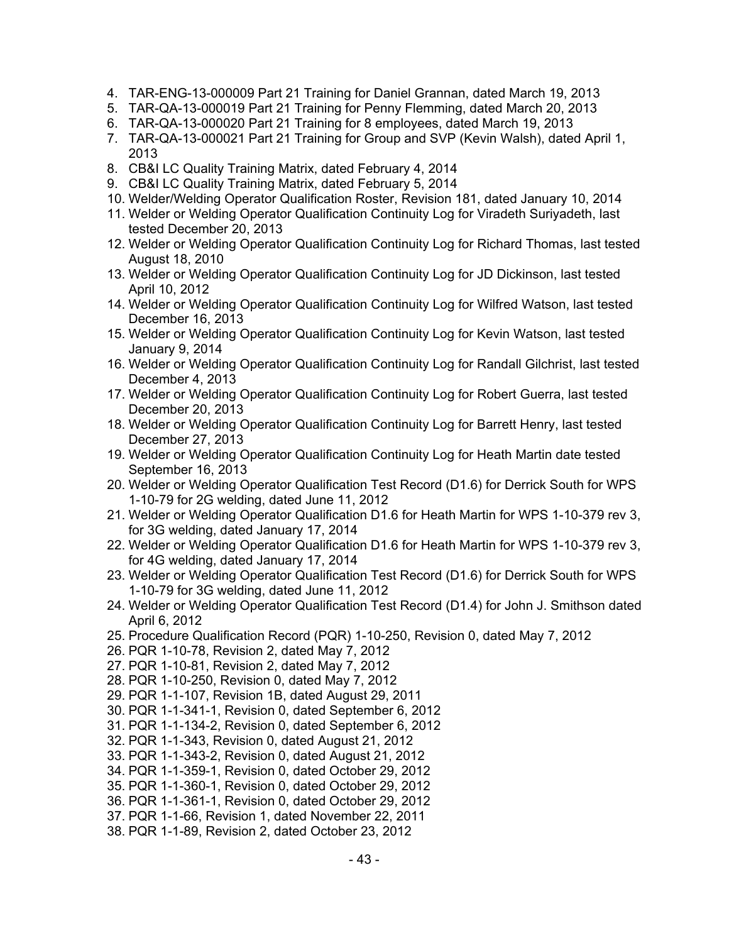- 4. TAR-ENG-13-000009 Part 21 Training for Daniel Grannan, dated March 19, 2013
- 5. TAR-QA-13-000019 Part 21 Training for Penny Flemming, dated March 20, 2013
- 6. TAR-QA-13-000020 Part 21 Training for 8 employees, dated March 19, 2013
- 7. TAR-QA-13-000021 Part 21 Training for Group and SVP (Kevin Walsh), dated April 1, 2013
- 8. CB&I LC Quality Training Matrix, dated February 4, 2014
- 9. CB&I LC Quality Training Matrix, dated February 5, 2014
- 10. Welder/Welding Operator Qualification Roster, Revision 181, dated January 10, 2014
- 11. Welder or Welding Operator Qualification Continuity Log for Viradeth Suriyadeth, last tested December 20, 2013
- 12. Welder or Welding Operator Qualification Continuity Log for Richard Thomas, last tested August 18, 2010
- 13. Welder or Welding Operator Qualification Continuity Log for JD Dickinson, last tested April 10, 2012
- 14. Welder or Welding Operator Qualification Continuity Log for Wilfred Watson, last tested December 16, 2013
- 15. Welder or Welding Operator Qualification Continuity Log for Kevin Watson, last tested January 9, 2014
- 16. Welder or Welding Operator Qualification Continuity Log for Randall Gilchrist, last tested December 4, 2013
- 17. Welder or Welding Operator Qualification Continuity Log for Robert Guerra, last tested December 20, 2013
- 18. Welder or Welding Operator Qualification Continuity Log for Barrett Henry, last tested December 27, 2013
- 19. Welder or Welding Operator Qualification Continuity Log for Heath Martin date tested September 16, 2013
- 20. Welder or Welding Operator Qualification Test Record (D1.6) for Derrick South for WPS 1-10-79 for 2G welding, dated June 11, 2012
- 21. Welder or Welding Operator Qualification D1.6 for Heath Martin for WPS 1-10-379 rev 3, for 3G welding, dated January 17, 2014
- 22. Welder or Welding Operator Qualification D1.6 for Heath Martin for WPS 1-10-379 rev 3, for 4G welding, dated January 17, 2014
- 23. Welder or Welding Operator Qualification Test Record (D1.6) for Derrick South for WPS 1-10-79 for 3G welding, dated June 11, 2012
- 24. Welder or Welding Operator Qualification Test Record (D1.4) for John J. Smithson dated April 6, 2012
- 25. Procedure Qualification Record (PQR) 1-10-250, Revision 0, dated May 7, 2012
- 26. PQR 1-10-78, Revision 2, dated May 7, 2012
- 27. PQR 1-10-81, Revision 2, dated May 7, 2012
- 28. PQR 1-10-250, Revision 0, dated May 7, 2012
- 29. PQR 1-1-107, Revision 1B, dated August 29, 2011
- 30. PQR 1-1-341-1, Revision 0, dated September 6, 2012
- 31. PQR 1-1-134-2, Revision 0, dated September 6, 2012
- 32. PQR 1-1-343, Revision 0, dated August 21, 2012
- 33. PQR 1-1-343-2, Revision 0, dated August 21, 2012
- 34. PQR 1-1-359-1, Revision 0, dated October 29, 2012
- 35. PQR 1-1-360-1, Revision 0, dated October 29, 2012
- 36. PQR 1-1-361-1, Revision 0, dated October 29, 2012
- 37. PQR 1-1-66, Revision 1, dated November 22, 2011
- 38. PQR 1-1-89, Revision 2, dated October 23, 2012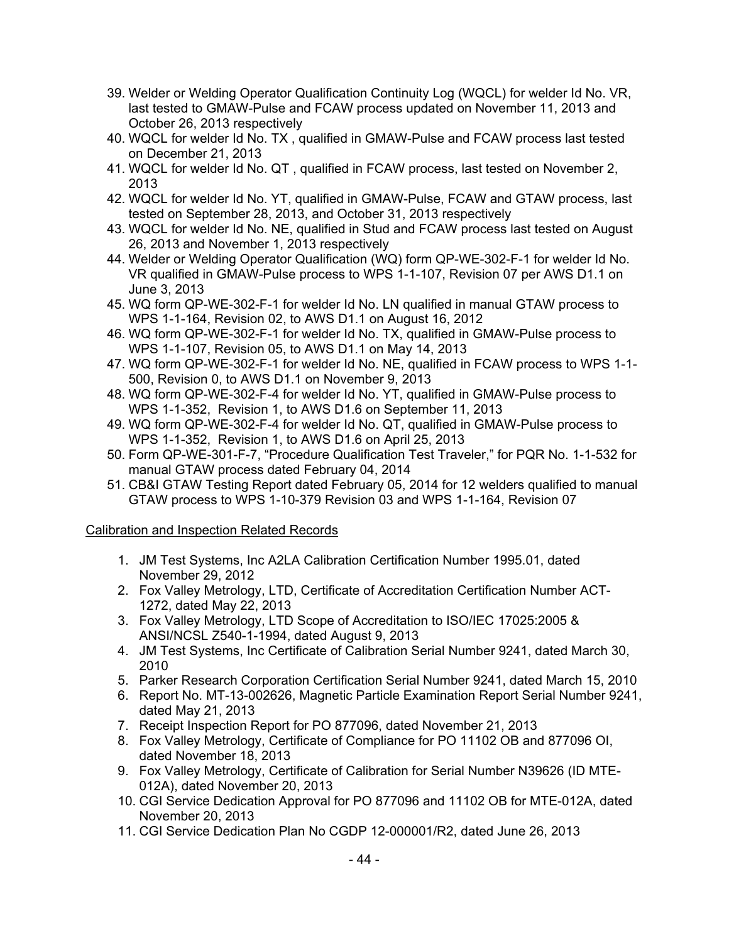- 39. Welder or Welding Operator Qualification Continuity Log (WQCL) for welder Id No. VR, last tested to GMAW-Pulse and FCAW process updated on November 11, 2013 and October 26, 2013 respectively
- 40. WQCL for welder Id No. TX , qualified in GMAW-Pulse and FCAW process last tested on December 21, 2013
- 41. WQCL for welder Id No. QT , qualified in FCAW process, last tested on November 2, 2013
- 42. WQCL for welder Id No. YT, qualified in GMAW-Pulse, FCAW and GTAW process, last tested on September 28, 2013, and October 31, 2013 respectively
- 43. WQCL for welder Id No. NE, qualified in Stud and FCAW process last tested on August 26, 2013 and November 1, 2013 respectively
- 44. Welder or Welding Operator Qualification (WQ) form QP-WE-302-F-1 for welder Id No. VR qualified in GMAW-Pulse process to WPS 1-1-107, Revision 07 per AWS D1.1 on June 3, 2013
- 45. WQ form QP-WE-302-F-1 for welder Id No. LN qualified in manual GTAW process to WPS 1-1-164, Revision 02, to AWS D1.1 on August 16, 2012
- 46. WQ form QP-WE-302-F-1 for welder Id No. TX, qualified in GMAW-Pulse process to WPS 1-1-107, Revision 05, to AWS D1.1 on May 14, 2013
- 47. WQ form QP-WE-302-F-1 for welder Id No. NE, qualified in FCAW process to WPS 1-1- 500, Revision 0, to AWS D1.1 on November 9, 2013
- 48. WQ form QP-WE-302-F-4 for welder Id No. YT, qualified in GMAW-Pulse process to WPS 1-1-352, Revision 1, to AWS D1.6 on September 11, 2013
- 49. WQ form QP-WE-302-F-4 for welder Id No. QT, qualified in GMAW-Pulse process to WPS 1-1-352, Revision 1, to AWS D1.6 on April 25, 2013
- 50. Form QP-WE-301-F-7, "Procedure Qualification Test Traveler," for PQR No. 1-1-532 for manual GTAW process dated February 04, 2014
- 51. CB&I GTAW Testing Report dated February 05, 2014 for 12 welders qualified to manual GTAW process to WPS 1-10-379 Revision 03 and WPS 1-1-164, Revision 07

Calibration and Inspection Related Records

- 1. JM Test Systems, Inc A2LA Calibration Certification Number 1995.01, dated November 29, 2012
- 2. Fox Valley Metrology, LTD, Certificate of Accreditation Certification Number ACT-1272, dated May 22, 2013
- 3. Fox Valley Metrology, LTD Scope of Accreditation to ISO/IEC 17025:2005 & ANSI/NCSL Z540-1-1994, dated August 9, 2013
- 4. JM Test Systems, Inc Certificate of Calibration Serial Number 9241, dated March 30, 2010
- 5. Parker Research Corporation Certification Serial Number 9241, dated March 15, 2010
- 6. Report No. MT-13-002626, Magnetic Particle Examination Report Serial Number 9241, dated May 21, 2013
- 7. Receipt Inspection Report for PO 877096, dated November 21, 2013
- 8. Fox Valley Metrology, Certificate of Compliance for PO 11102 OB and 877096 OI, dated November 18, 2013
- 9. Fox Valley Metrology, Certificate of Calibration for Serial Number N39626 (ID MTE-012A), dated November 20, 2013
- 10. CGI Service Dedication Approval for PO 877096 and 11102 OB for MTE-012A, dated November 20, 2013
- 11. CGI Service Dedication Plan No CGDP 12-000001/R2, dated June 26, 2013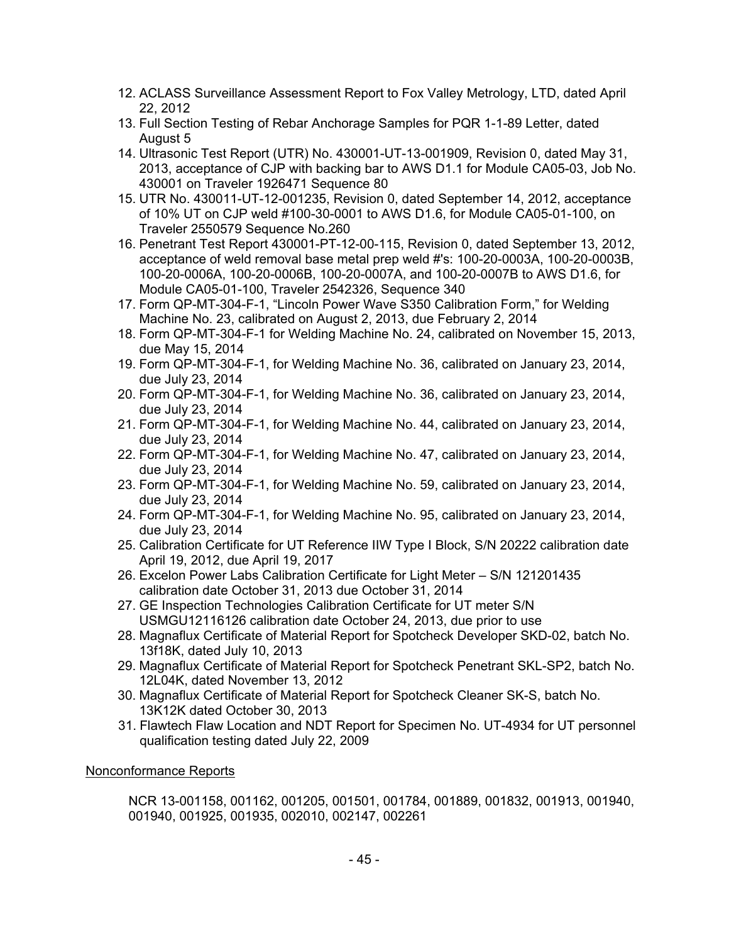- 12. ACLASS Surveillance Assessment Report to Fox Valley Metrology, LTD, dated April 22, 2012
- 13. Full Section Testing of Rebar Anchorage Samples for PQR 1-1-89 Letter, dated August 5
- 14. Ultrasonic Test Report (UTR) No. 430001-UT-13-001909, Revision 0, dated May 31, 2013, acceptance of CJP with backing bar to AWS D1.1 for Module CA05-03, Job No. 430001 on Traveler 1926471 Sequence 80
- 15. UTR No. 430011-UT-12-001235, Revision 0, dated September 14, 2012, acceptance of 10% UT on CJP weld #100-30-0001 to AWS D1.6, for Module CA05-01-100, on Traveler 2550579 Sequence No.260
- 16. Penetrant Test Report 430001-PT-12-00-115, Revision 0, dated September 13, 2012, acceptance of weld removal base metal prep weld #'s: 100-20-0003A, 100-20-0003B, 100-20-0006A, 100-20-0006B, 100-20-0007A, and 100-20-0007B to AWS D1.6, for Module CA05-01-100, Traveler 2542326, Sequence 340
- 17. Form QP-MT-304-F-1, "Lincoln Power Wave S350 Calibration Form," for Welding Machine No. 23, calibrated on August 2, 2013, due February 2, 2014
- 18. Form QP-MT-304-F-1 for Welding Machine No. 24, calibrated on November 15, 2013, due May 15, 2014
- 19. Form QP-MT-304-F-1, for Welding Machine No. 36, calibrated on January 23, 2014, due July 23, 2014
- 20. Form QP-MT-304-F-1, for Welding Machine No. 36, calibrated on January 23, 2014, due July 23, 2014
- 21. Form QP-MT-304-F-1, for Welding Machine No. 44, calibrated on January 23, 2014, due July 23, 2014
- 22. Form QP-MT-304-F-1, for Welding Machine No. 47, calibrated on January 23, 2014, due July 23, 2014
- 23. Form QP-MT-304-F-1, for Welding Machine No. 59, calibrated on January 23, 2014, due July 23, 2014
- 24. Form QP-MT-304-F-1, for Welding Machine No. 95, calibrated on January 23, 2014, due July 23, 2014
- 25. Calibration Certificate for UT Reference IIW Type I Block, S/N 20222 calibration date April 19, 2012, due April 19, 2017
- 26. Excelon Power Labs Calibration Certificate for Light Meter S/N 121201435 calibration date October 31, 2013 due October 31, 2014
- 27. GE Inspection Technologies Calibration Certificate for UT meter S/N USMGU12116126 calibration date October 24, 2013, due prior to use
- 28. Magnaflux Certificate of Material Report for Spotcheck Developer SKD-02, batch No. 13f18K, dated July 10, 2013
- 29. Magnaflux Certificate of Material Report for Spotcheck Penetrant SKL-SP2, batch No. 12L04K, dated November 13, 2012
- 30. Magnaflux Certificate of Material Report for Spotcheck Cleaner SK-S, batch No. 13K12K dated October 30, 2013
- 31. Flawtech Flaw Location and NDT Report for Specimen No. UT-4934 for UT personnel qualification testing dated July 22, 2009

# Nonconformance Reports

NCR 13-001158, 001162, 001205, 001501, 001784, 001889, 001832, 001913, 001940, 001940, 001925, 001935, 002010, 002147, 002261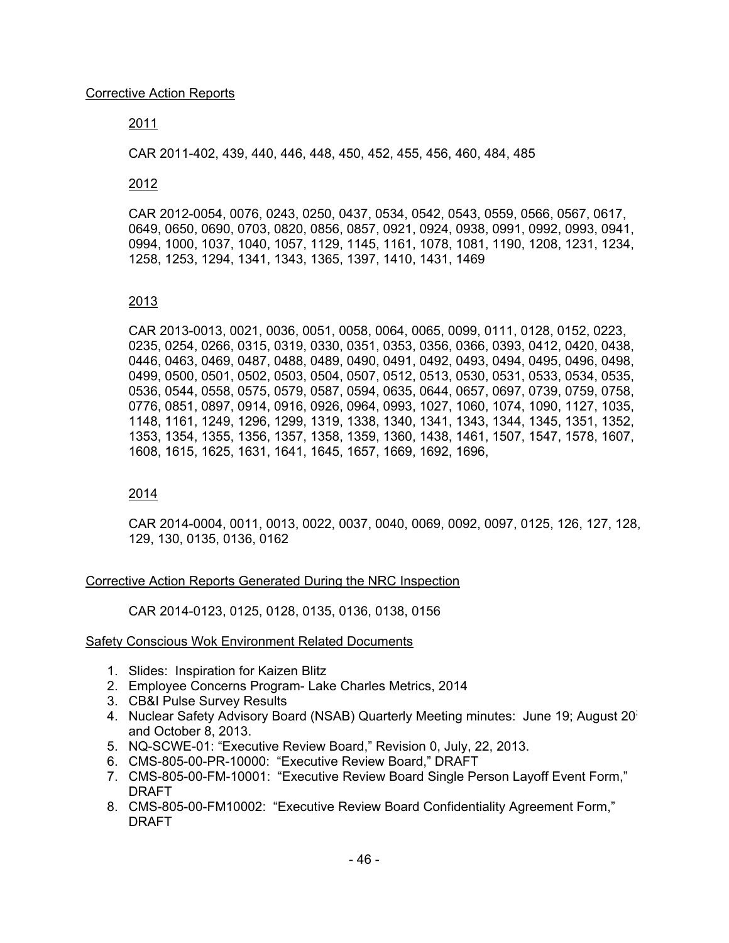### 2011

CAR 2011-402, 439, 440, 446, 448, 450, 452, 455, 456, 460, 484, 485

#### 2012

CAR 2012-0054, 0076, 0243, 0250, 0437, 0534, 0542, 0543, 0559, 0566, 0567, 0617, 0649, 0650, 0690, 0703, 0820, 0856, 0857, 0921, 0924, 0938, 0991, 0992, 0993, 0941, 0994, 1000, 1037, 1040, 1057, 1129, 1145, 1161, 1078, 1081, 1190, 1208, 1231, 1234, 1258, 1253, 1294, 1341, 1343, 1365, 1397, 1410, 1431, 1469

#### 2013

CAR 2013-0013, 0021, 0036, 0051, 0058, 0064, 0065, 0099, 0111, 0128, 0152, 0223, 0235, 0254, 0266, 0315, 0319, 0330, 0351, 0353, 0356, 0366, 0393, 0412, 0420, 0438, 0446, 0463, 0469, 0487, 0488, 0489, 0490, 0491, 0492, 0493, 0494, 0495, 0496, 0498, 0499, 0500, 0501, 0502, 0503, 0504, 0507, 0512, 0513, 0530, 0531, 0533, 0534, 0535, 0536, 0544, 0558, 0575, 0579, 0587, 0594, 0635, 0644, 0657, 0697, 0739, 0759, 0758, 0776, 0851, 0897, 0914, 0916, 0926, 0964, 0993, 1027, 1060, 1074, 1090, 1127, 1035, 1148, 1161, 1249, 1296, 1299, 1319, 1338, 1340, 1341, 1343, 1344, 1345, 1351, 1352, 1353, 1354, 1355, 1356, 1357, 1358, 1359, 1360, 1438, 1461, 1507, 1547, 1578, 1607, 1608, 1615, 1625, 1631, 1641, 1645, 1657, 1669, 1692, 1696,

#### 2014

CAR 2014-0004, 0011, 0013, 0022, 0037, 0040, 0069, 0092, 0097, 0125, 126, 127, 128, 129, 130, 0135, 0136, 0162

#### Corrective Action Reports Generated During the NRC Inspection

CAR 2014-0123, 0125, 0128, 0135, 0136, 0138, 0156

#### Safety Conscious Wok Environment Related Documents

- 1. Slides: Inspiration for Kaizen Blitz
- 2. Employee Concerns Program- Lake Charles Metrics, 2014
- 3. CB&I Pulse Survey Results
- 4. Nuclear Safety Advisory Board (NSAB) Quarterly Meeting minutes: June 19; August 20; and October 8, 2013.
- 5. NQ-SCWE-01: "Executive Review Board," Revision 0, July, 22, 2013.
- 6. CMS-805-00-PR-10000: "Executive Review Board," DRAFT
- 7. CMS-805-00-FM-10001: "Executive Review Board Single Person Layoff Event Form," DRAFT
- 8. CMS-805-00-FM10002: "Executive Review Board Confidentiality Agreement Form," DRAFT